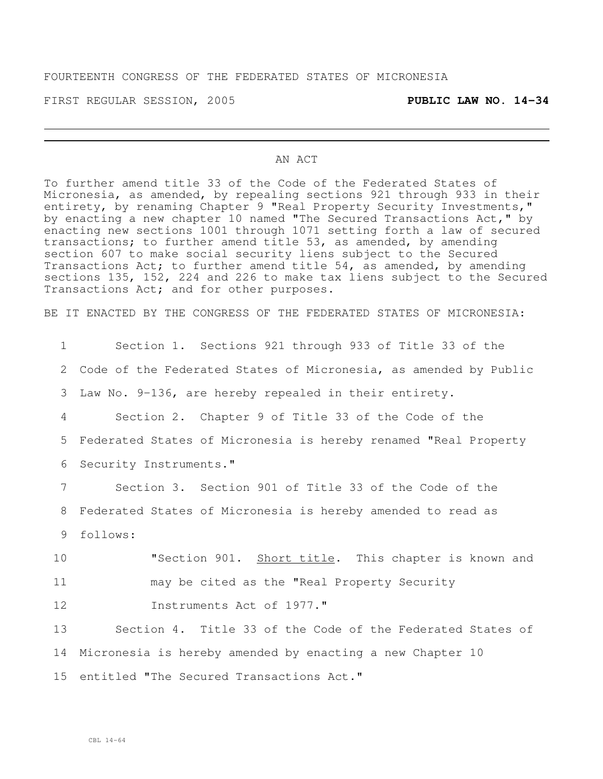## FOURTEENTH CONGRESS OF THE FEDERATED STATES OF MICRONESIA

FIRST REGULAR SESSION, 2005 **PUBLIC LAW NO. 14-34**

### AN ACT

To further amend title 33 of the Code of the Federated States of Micronesia, as amended, by repealing sections 921 through 933 in their entirety, by renaming Chapter 9 "Real Property Security Investments," by enacting a new chapter 10 named "The Secured Transactions Act," by enacting new sections 1001 through 1071 setting forth a law of secured transactions; to further amend title 53, as amended, by amending section 607 to make social security liens subject to the Secured Transactions Act; to further amend title 54, as amended, by amending sections 135, 152, 224 and 226 to make tax liens subject to the Secured Transactions Act; and for other purposes.

BE IT ENACTED BY THE CONGRESS OF THE FEDERATED STATES OF MICRONESIA:

 Section 1. Sections 921 through 933 of Title 33 of the Code of the Federated States of Micronesia, as amended by Public Law No. 9-136, are hereby repealed in their entirety. Section 2. Chapter 9 of Title 33 of the Code of the Federated States of Micronesia is hereby renamed "Real Property Security Instruments." Section 3. Section 901 of Title 33 of the Code of the Federated States of Micronesia is hereby amended to read as 9 follows: **"Section 901.** Short title. This chapter is known and may be cited as the "Real Property Security **Instruments Act of 1977."**  Section 4. Title 33 of the Code of the Federated States of Micronesia is hereby amended by enacting a new Chapter 10 entitled "The Secured Transactions Act."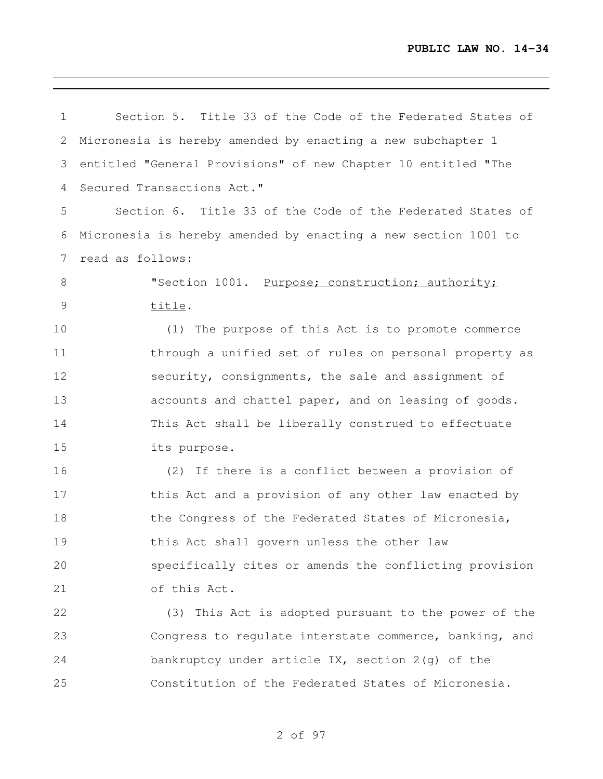| 1               | Section 5. Title 33 of the Code of the Federated States of     |
|-----------------|----------------------------------------------------------------|
| 2               | Micronesia is hereby amended by enacting a new subchapter 1    |
| 3               | entitled "General Provisions" of new Chapter 10 entitled "The  |
| 4               | Secured Transactions Act."                                     |
| 5               | Section 6. Title 33 of the Code of the Federated States of     |
| 6               | Micronesia is hereby amended by enacting a new section 1001 to |
| $7\phantom{.0}$ | read as follows:                                               |
| 8               | "Section 1001. Purpose; construction; authority;               |
| 9               | title.                                                         |
| 10              | (1) The purpose of this Act is to promote commerce             |
| 11              | through a unified set of rules on personal property as         |
| 12              | security, consignments, the sale and assignment of             |
| 13              | accounts and chattel paper, and on leasing of goods.           |
| 14              | This Act shall be liberally construed to effectuate            |
| 15              | its purpose.                                                   |
| 16              | (2) If there is a conflict between a provision of              |
| 17              | this Act and a provision of any other law enacted by           |
| 18              | the Congress of the Federated States of Micronesia,            |
| 19              | this Act shall govern unless the other law                     |
| 20              | specifically cites or amends the conflicting provision         |
| 21              | of this Act.                                                   |
| 22              | (3) This Act is adopted pursuant to the power of the           |
| 23              | Congress to regulate interstate commerce, banking, and         |
| 24              | bankruptcy under article IX, section 2(g) of the               |
| 25              | Constitution of the Federated States of Micronesia.            |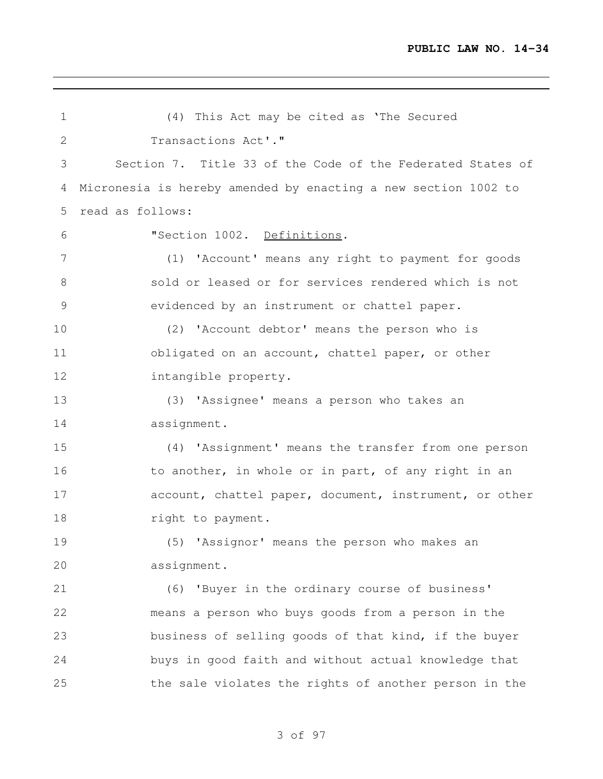| 1  | (4) This Act may be cited as 'The Secured                      |
|----|----------------------------------------------------------------|
| 2  | Transactions Act'."                                            |
| 3  | Section 7. Title 33 of the Code of the Federated States of     |
| 4  | Micronesia is hereby amended by enacting a new section 1002 to |
| 5  | read as follows:                                               |
| 6  | "Section 1002. Definitions.                                    |
| 7  | (1) 'Account' means any right to payment for goods             |
| 8  | sold or leased or for services rendered which is not           |
| 9  | evidenced by an instrument or chattel paper.                   |
| 10 | (2) 'Account debtor' means the person who is                   |
| 11 | obligated on an account, chattel paper, or other               |
| 12 | intangible property.                                           |
| 13 | (3) 'Assignee' means a person who takes an                     |
| 14 | assignment.                                                    |
| 15 | (4) 'Assignment' means the transfer from one person            |
| 16 | to another, in whole or in part, of any right in an            |
| 17 | account, chattel paper, document, instrument, or other         |
| 18 | right to payment.                                              |
| 19 | (5) 'Assignor' means the person who makes an                   |
| 20 | assignment.                                                    |
| 21 | 'Buyer in the ordinary course of business'<br>(6)              |
| 22 | means a person who buys goods from a person in the             |
| 23 | business of selling goods of that kind, if the buyer           |
| 24 | buys in good faith and without actual knowledge that           |
| 25 | the sale violates the rights of another person in the          |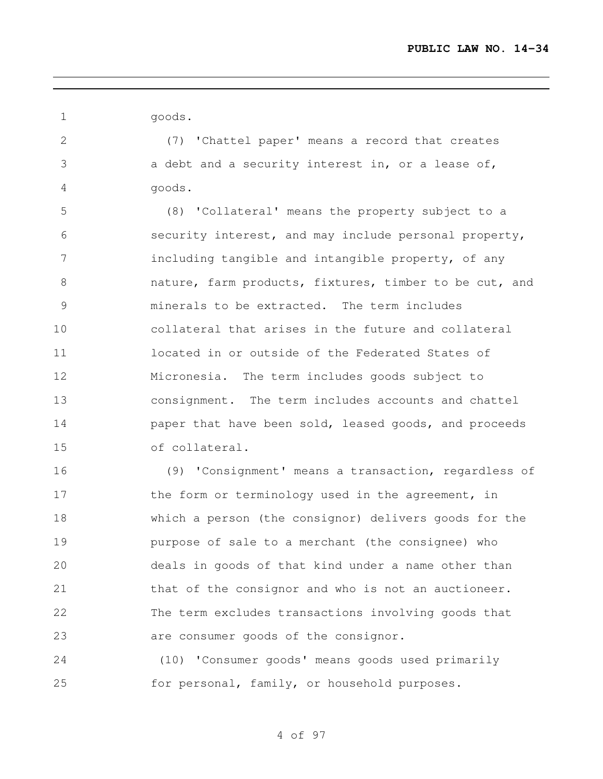goods.

 (7) 'Chattel paper' means a record that creates a debt and a security interest in, or a lease of, goods.

 (8) 'Collateral' means the property subject to a security interest, and may include personal property, 7 including tangible and intangible property, of any nature, farm products, fixtures, timber to be cut, and minerals to be extracted. The term includes collateral that arises in the future and collateral located in or outside of the Federated States of Micronesia. The term includes goods subject to consignment. The term includes accounts and chattel **paper that have been sold, leased goods, and proceeds** of collateral.

 (9) 'Consignment' means a transaction, regardless of 17 the form or terminology used in the agreement, in which a person (the consignor) delivers goods for the purpose of sale to a merchant (the consignee) who deals in goods of that kind under a name other than 21 that of the consignor and who is not an auctioneer. The term excludes transactions involving goods that are consumer goods of the consignor.

 (10) 'Consumer goods' means goods used primarily for personal, family, or household purposes.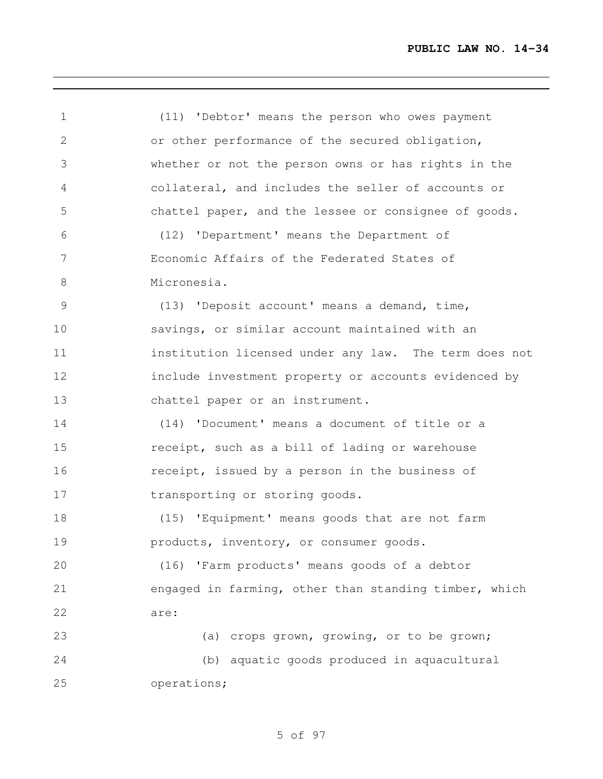(11) 'Debtor' means the person who owes payment or other performance of the secured obligation, whether or not the person owns or has rights in the collateral, and includes the seller of accounts or chattel paper, and the lessee or consignee of goods. (12) 'Department' means the Department of Economic Affairs of the Federated States of Micronesia. (13) 'Deposit account' means a demand, time, savings, or similar account maintained with an institution licensed under any law. The term does not include investment property or accounts evidenced by chattel paper or an instrument. (14) 'Document' means a document of title or a receipt, such as a bill of lading or warehouse receipt, issued by a person in the business of 17 transporting or storing goods. (15) 'Equipment' means goods that are not farm products, inventory, or consumer goods. (16) 'Farm products' means goods of a debtor engaged in farming, other than standing timber, which are: (a) crops grown, growing, or to be grown; (b) aquatic goods produced in aquacultural operations;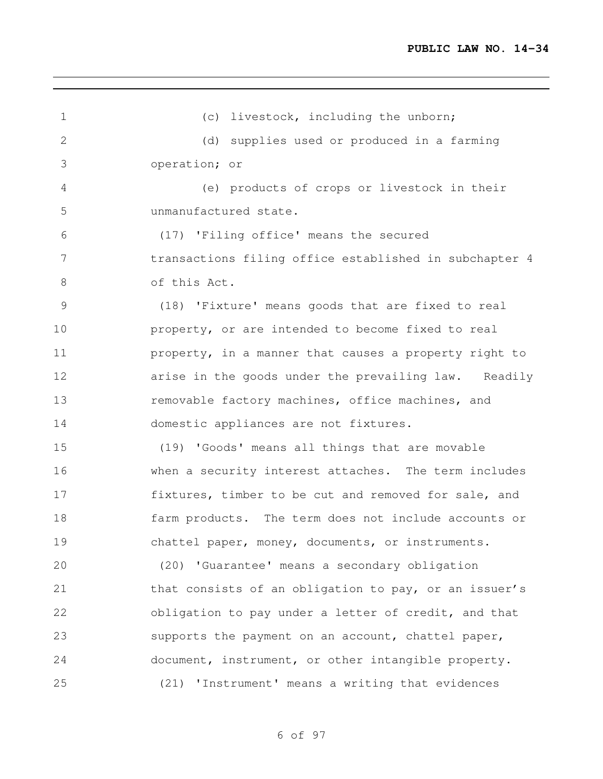1 (c) livestock, including the unborn; (d) supplies used or produced in a farming operation; or (e) products of crops or livestock in their unmanufactured state. (17) 'Filing office' means the secured transactions filing office established in subchapter 4 of this Act. (18) 'Fixture' means goods that are fixed to real property, or are intended to become fixed to real **property, in a manner that causes a property right to arise in the goods under the prevailing law.** Readily 13 removable factory machines, office machines, and domestic appliances are not fixtures. (19) 'Goods' means all things that are movable when a security interest attaches. The term includes fixtures, timber to be cut and removed for sale, and farm products. The term does not include accounts or chattel paper, money, documents, or instruments. (20) 'Guarantee' means a secondary obligation 21 that consists of an obligation to pay, or an issuer's obligation to pay under a letter of credit, and that supports the payment on an account, chattel paper, document, instrument, or other intangible property. (21) 'Instrument' means a writing that evidences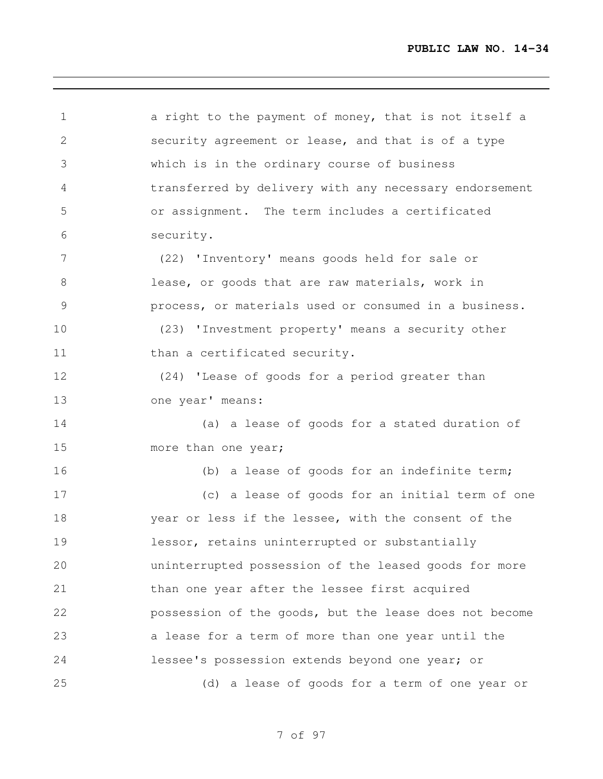1 a right to the payment of money, that is not itself a security agreement or lease, and that is of a type which is in the ordinary course of business transferred by delivery with any necessary endorsement or assignment. The term includes a certificated security. (22) 'Inventory' means goods held for sale or lease, or goods that are raw materials, work in process, or materials used or consumed in a business. (23) 'Investment property' means a security other 11 than a certificated security. (24) 'Lease of goods for a period greater than one year' means: (a) a lease of goods for a stated duration of 15 more than one year; (b) a lease of goods for an indefinite term; (c) a lease of goods for an initial term of one year or less if the lessee, with the consent of the lessor, retains uninterrupted or substantially uninterrupted possession of the leased goods for more than one year after the lessee first acquired possession of the goods, but the lease does not become a lease for a term of more than one year until the lessee's possession extends beyond one year; or (d) a lease of goods for a term of one year or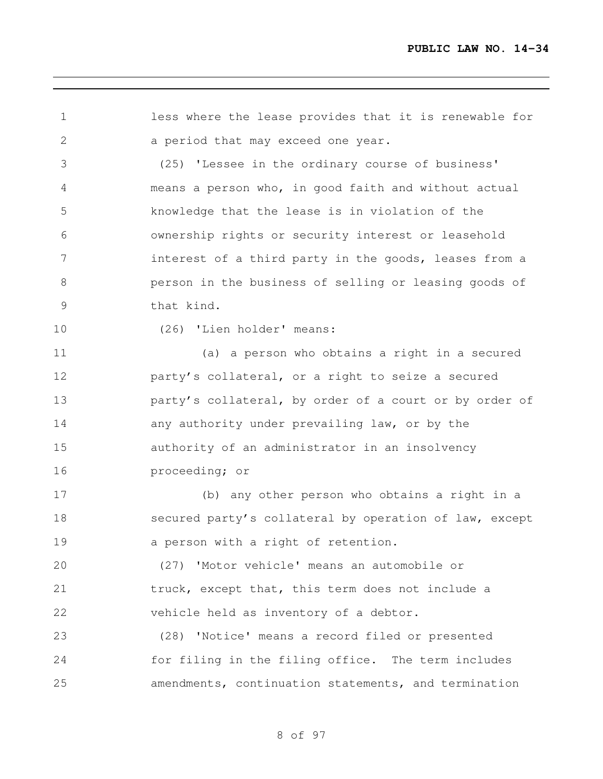less where the lease provides that it is renewable for a period that may exceed one year.

 (25) 'Lessee in the ordinary course of business' means a person who, in good faith and without actual knowledge that the lease is in violation of the ownership rights or security interest or leasehold 7 interest of a third party in the goods, leases from a person in the business of selling or leasing goods of that kind.

(26) 'Lien holder' means:

 (a) a person who obtains a right in a secured party's collateral, or a right to seize a secured **party's collateral, by order of a court or by order of**  any authority under prevailing law, or by the authority of an administrator in an insolvency proceeding; or

 (b) any other person who obtains a right in a secured party's collateral by operation of law, except a person with a right of retention.

 (27) 'Motor vehicle' means an automobile or truck, except that, this term does not include a vehicle held as inventory of a debtor.

 (28) 'Notice' means a record filed or presented for filing in the filing office. The term includes amendments, continuation statements, and termination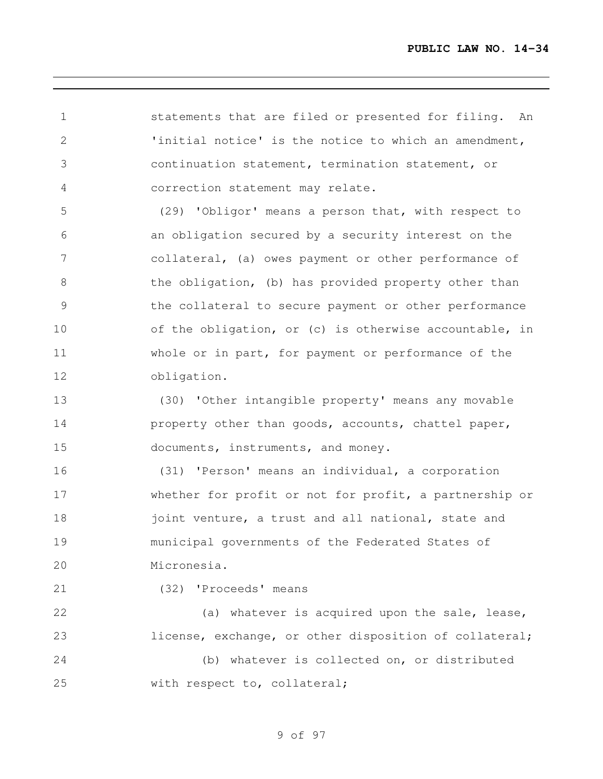statements that are filed or presented for filing. An 'initial notice' is the notice to which an amendment, continuation statement, termination statement, or correction statement may relate.

 (29) 'Obligor' means a person that, with respect to an obligation secured by a security interest on the collateral, (a) owes payment or other performance of 8 the obligation, (b) has provided property other than the collateral to secure payment or other performance 10 of the obligation, or (c) is otherwise accountable, in whole or in part, for payment or performance of the obligation.

 (30) 'Other intangible property' means any movable **property other than goods, accounts, chattel paper,** documents, instruments, and money.

 (31) 'Person' means an individual, a corporation whether for profit or not for profit, a partnership or 18 joint venture, a trust and all national, state and municipal governments of the Federated States of Micronesia.

(32) 'Proceeds' means

22 (a) whatever is acquired upon the sale, lease, 23 license, exchange, or other disposition of collateral; (b) whatever is collected on, or distributed with respect to, collateral;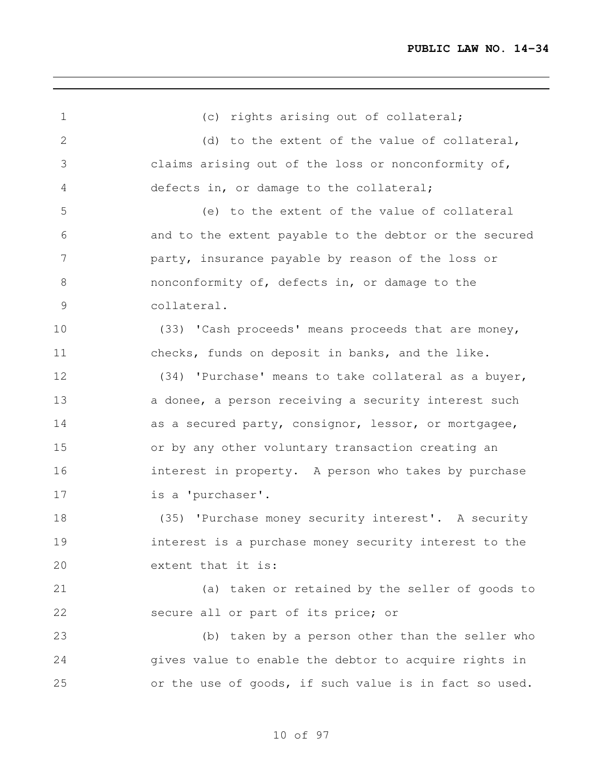| $\mathbf{1}$  | (c) rights arising out of collateral;                  |
|---------------|--------------------------------------------------------|
| $\mathbf{2}$  | (d) to the extent of the value of collateral,          |
| 3             | claims arising out of the loss or nonconformity of,    |
| 4             | defects in, or damage to the collateral;               |
| 5             | (e) to the extent of the value of collateral           |
| 6             | and to the extent payable to the debtor or the secured |
| 7             | party, insurance payable by reason of the loss or      |
| 8             | nonconformity of, defects in, or damage to the         |
| $\mathcal{G}$ | collateral.                                            |
| 10            | (33) 'Cash proceeds' means proceeds that are money,    |
| 11            | checks, funds on deposit in banks, and the like.       |
| 12            | (34) 'Purchase' means to take collateral as a buyer,   |
| 13            | a donee, a person receiving a security interest such   |
| 14            | as a secured party, consignor, lessor, or mortgagee,   |
| 15            | or by any other voluntary transaction creating an      |
| 16            | interest in property. A person who takes by purchase   |
| 17            | is a 'purchaser'.                                      |
| 18            | (35) 'Purchase money security interest'. A security    |
| 19            | interest is a purchase money security interest to the  |
| 20            | extent that it is:                                     |
| 21            | (a) taken or retained by the seller of goods to        |
| 22            | secure all or part of its price; or                    |
| 23            | (b) taken by a person other than the seller who        |
| 24            | gives value to enable the debtor to acquire rights in  |
| 25            | or the use of goods, if such value is in fact so used. |
|               |                                                        |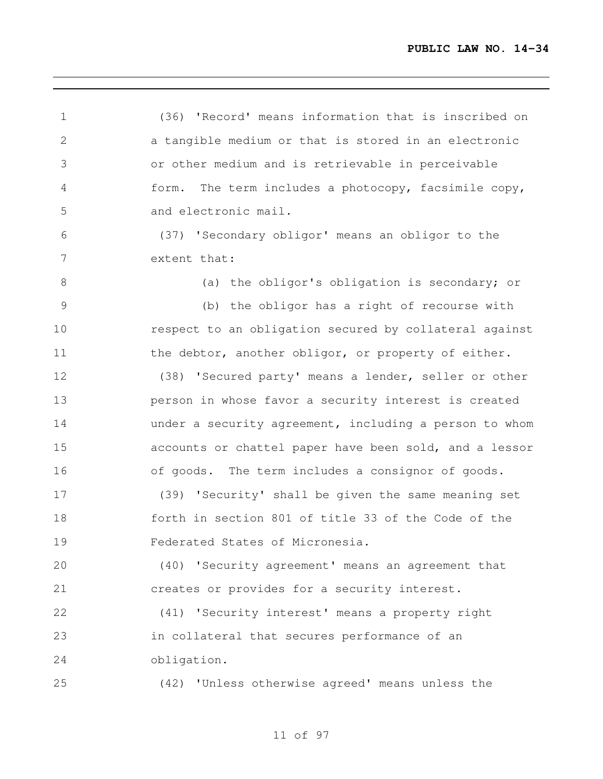(36) 'Record' means information that is inscribed on a tangible medium or that is stored in an electronic or other medium and is retrievable in perceivable form. The term includes a photocopy, facsimile copy, and electronic mail. (37) 'Secondary obligor' means an obligor to the extent that: 8 (a) the obligor's obligation is secondary; or (b) the obligor has a right of recourse with respect to an obligation secured by collateral against 11 the debtor, another obligor, or property of either. (38) 'Secured party' means a lender, seller or other person in whose favor a security interest is created under a security agreement, including a person to whom accounts or chattel paper have been sold, and a lessor of goods. The term includes a consignor of goods. (39) 'Security' shall be given the same meaning set forth in section 801 of title 33 of the Code of the Federated States of Micronesia. (40) 'Security agreement' means an agreement that creates or provides for a security interest. (41) 'Security interest' means a property right in collateral that secures performance of an obligation. (42) 'Unless otherwise agreed' means unless the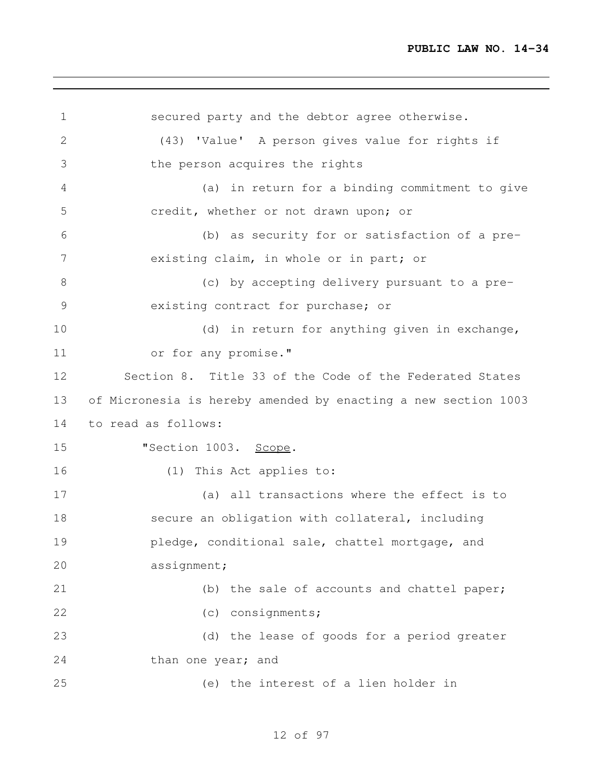```
1 secured party and the debtor agree otherwise.
2 (43) 'Value' A person gives value for rights if
3 the person acquires the rights
4 (a) in return for a binding commitment to give
5 credit, whether or not drawn upon; or
6 (b) as security for or satisfaction of a pre-
7 existing claim, in whole or in part; or
8 (c) by accepting delivery pursuant to a pre-
9 existing contract for purchase; or
10 (d) in return for anything given in exchange,
11 or for any promise."
12 Section 8. Title 33 of the Code of the Federated States
13 of Micronesia is hereby amended by enacting a new section 1003
14 to read as follows:
15 "Section 1003. Scope.
16 (1) This Act applies to:
17 (a) all transactions where the effect is to
18 secure an obligation with collateral, including
19 pledge, conditional sale, chattel mortgage, and
20 assignment;
21 (b) the sale of accounts and chattel paper;
22 (c) consignments;
23 (d) the lease of goods for a period greater
24 than one year; and
25 (e) the interest of a lien holder in
```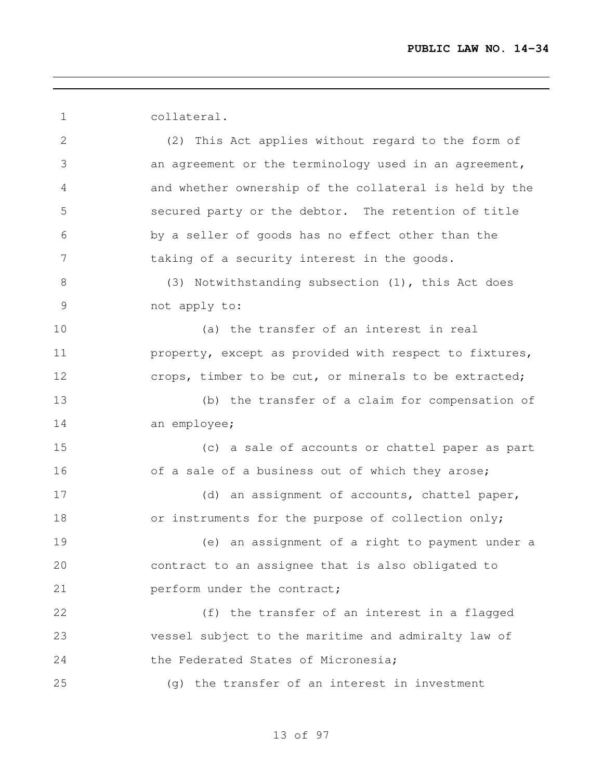collateral. (2) This Act applies without regard to the form of an agreement or the terminology used in an agreement, and whether ownership of the collateral is held by the secured party or the debtor. The retention of title by a seller of goods has no effect other than the taking of a security interest in the goods. (3) Notwithstanding subsection (1), this Act does not apply to: (a) the transfer of an interest in real **property, except as provided with respect to fixtures,** 12 crops, timber to be cut, or minerals to be extracted; (b) the transfer of a claim for compensation of an employee; (c) a sale of accounts or chattel paper as part 16 of a sale of a business out of which they arose; 17 (d) an assignment of accounts, chattel paper, 18 or instruments for the purpose of collection only; (e) an assignment of a right to payment under a contract to an assignee that is also obligated to **perform** under the contract; (f) the transfer of an interest in a flagged vessel subject to the maritime and admiralty law of 24 the Federated States of Micronesia; (g) the transfer of an interest in investment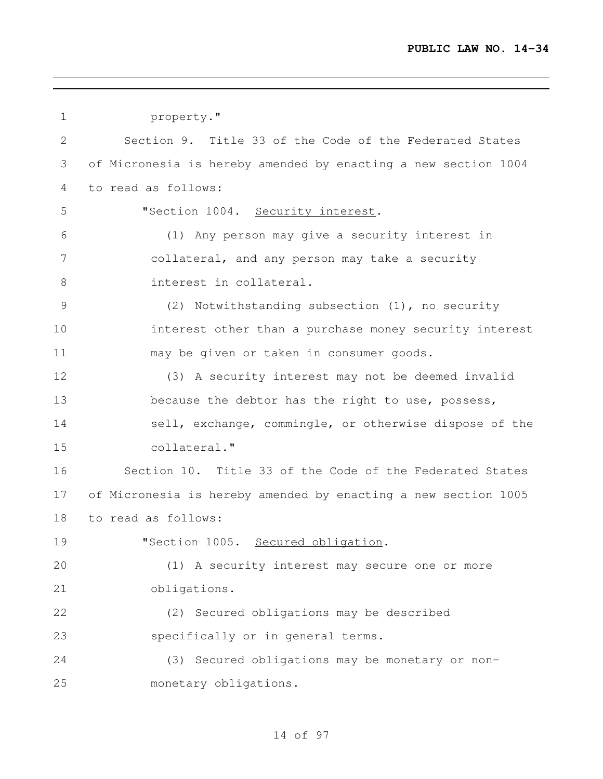```
1 property."
2 Section 9. Title 33 of the Code of the Federated States
3 of Micronesia is hereby amended by enacting a new section 1004
4 to read as follows:
5 "Section 1004. Security interest.
6 (1) Any person may give a security interest in
7 collateral, and any person may take a security
8 interest in collateral.
9 (2) Notwithstanding subsection (1), no security
10 interest other than a purchase money security interest
11 may be given or taken in consumer goods.
12 (3) A security interest may not be deemed invalid
13 because the debtor has the right to use, possess,
14 sell, exchange, commingle, or otherwise dispose of the
15 collateral."
16 Section 10. Title 33 of the Code of the Federated States
17 of Micronesia is hereby amended by enacting a new section 1005
18 to read as follows:
19 "Section 1005. Secured obligation.
20 (1) A security interest may secure one or more
21 obligations.
22 (2) Secured obligations may be described
23 specifically or in general terms.
24 (3) Secured obligations may be monetary or non-
25 monetary obligations.
```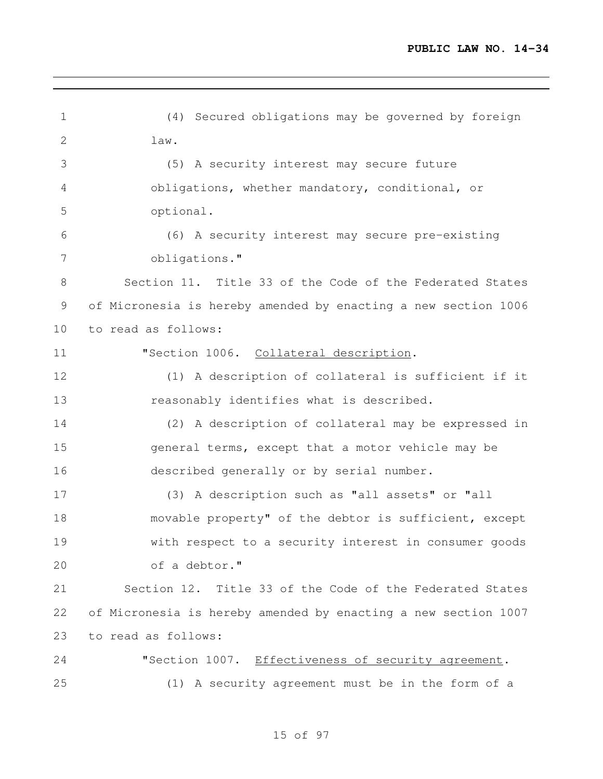| $\mathbf 1$    | (4) Secured obligations may be governed by foreign             |
|----------------|----------------------------------------------------------------|
| 2              | law.                                                           |
| 3              | (5) A security interest may secure future                      |
| 4              | obligations, whether mandatory, conditional, or                |
| 5              | optional.                                                      |
| 6              | (6) A security interest may secure pre-existing                |
| $\overline{7}$ | obligations."                                                  |
| 8              | Section 11. Title 33 of the Code of the Federated States       |
| 9              | of Micronesia is hereby amended by enacting a new section 1006 |
| 10             | to read as follows:                                            |
| 11             | "Section 1006. Collateral description.                         |
| 12             | (1) A description of collateral is sufficient if it            |
| 13             | reasonably identifies what is described.                       |
| 14             | (2) A description of collateral may be expressed in            |
| 15             | general terms, except that a motor vehicle may be              |
| 16             | described generally or by serial number.                       |
| 17             | (3) A description such as "all assets" or "all                 |
| 18             | movable property" of the debtor is sufficient, except          |
| 19             | with respect to a security interest in consumer goods          |
| 20             | of a debtor."                                                  |
| 21             | Section 12. Title 33 of the Code of the Federated States       |
| 22             | of Micronesia is hereby amended by enacting a new section 1007 |
| 23             | to read as follows:                                            |
| 24             | "Section 1007. Effectiveness of security agreement.            |
| 25             | (1) A security agreement must be in the form of a              |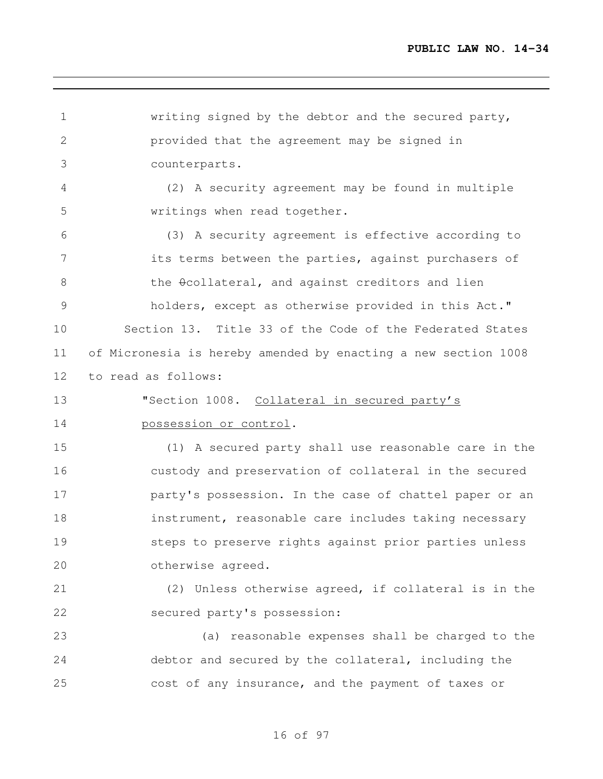writing signed by the debtor and the secured party, provided that the agreement may be signed in counterparts. (2) A security agreement may be found in multiple writings when read together. (3) A security agreement is effective according to its terms between the parties, against purchasers of 8 the  $\theta$ collateral, and against creditors and lien holders, except as otherwise provided in this Act." Section 13. Title 33 of the Code of the Federated States of Micronesia is hereby amended by enacting a new section 1008 to read as follows: **"Section 1008.** Collateral in secured party's possession or control. (1) A secured party shall use reasonable care in the custody and preservation of collateral in the secured party's possession. In the case of chattel paper or an 18 instrument, reasonable care includes taking necessary steps to preserve rights against prior parties unless otherwise agreed. (2) Unless otherwise agreed, if collateral is in the secured party's possession: (a) reasonable expenses shall be charged to the debtor and secured by the collateral, including the cost of any insurance, and the payment of taxes or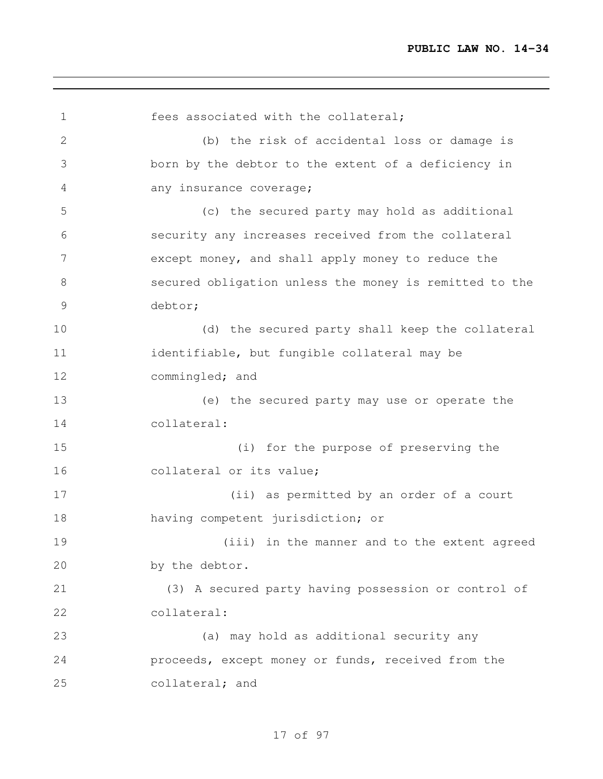fees associated with the collateral; (b) the risk of accidental loss or damage is born by the debtor to the extent of a deficiency in any insurance coverage; (c) the secured party may hold as additional security any increases received from the collateral except money, and shall apply money to reduce the secured obligation unless the money is remitted to the debtor; (d) the secured party shall keep the collateral identifiable, but fungible collateral may be commingled; and (e) the secured party may use or operate the collateral: (i) for the purpose of preserving the 16 collateral or its value; (ii) as permitted by an order of a court having competent jurisdiction; or (iii) in the manner and to the extent agreed by the debtor. (3) A secured party having possession or control of collateral: (a) may hold as additional security any proceeds, except money or funds, received from the collateral; and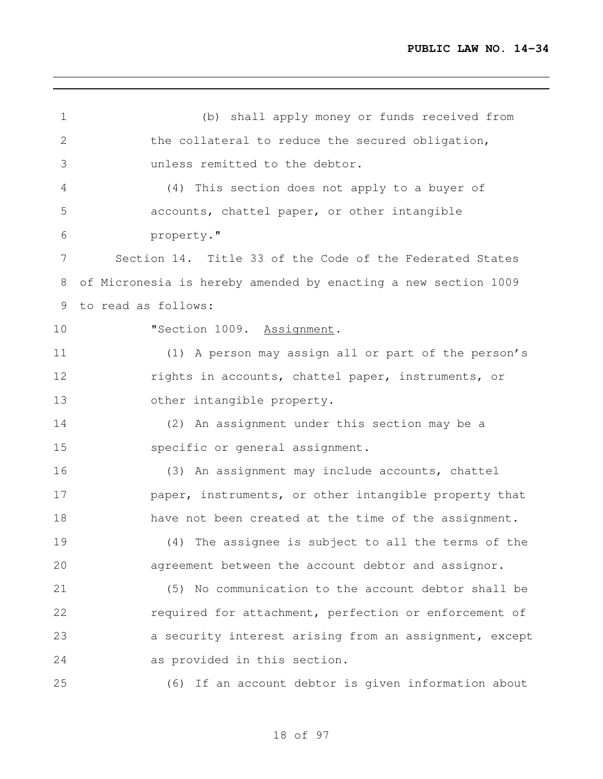(b) shall apply money or funds received from the collateral to reduce the secured obligation, unless remitted to the debtor. (4) This section does not apply to a buyer of accounts, chattel paper, or other intangible property." Section 14. Title 33 of the Code of the Federated States of Micronesia is hereby amended by enacting a new section 1009 to read as follows: 10 "Section 1009. Assignment. (1) A person may assign all or part of the person's rights in accounts, chattel paper, instruments, or other intangible property. (2) An assignment under this section may be a specific or general assignment. (3) An assignment may include accounts, chattel **paper, instruments, or other intangible property that** 18 have not been created at the time of the assignment. (4) The assignee is subject to all the terms of the agreement between the account debtor and assignor. (5) No communication to the account debtor shall be required for attachment, perfection or enforcement of a security interest arising from an assignment, except as provided in this section. (6) If an account debtor is given information about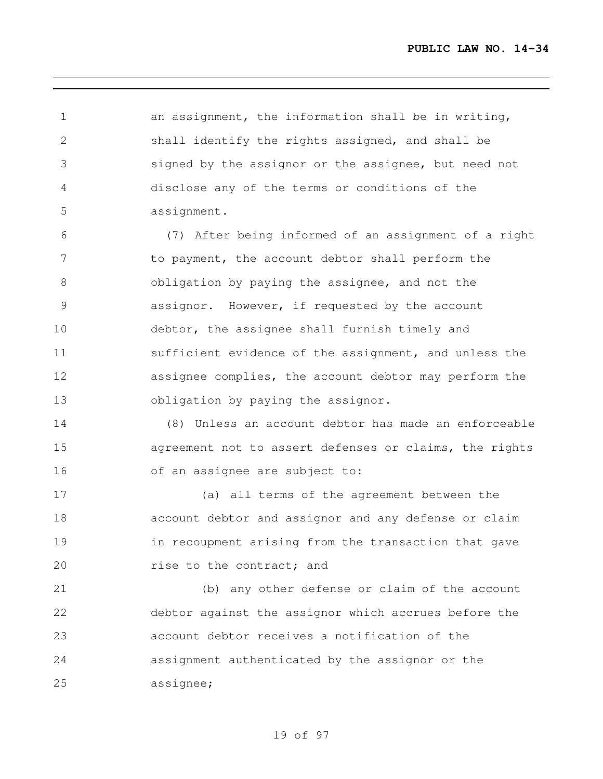an assignment, the information shall be in writing, shall identify the rights assigned, and shall be signed by the assignor or the assignee, but need not disclose any of the terms or conditions of the assignment.

 (7) After being informed of an assignment of a right 7 to payment, the account debtor shall perform the obligation by paying the assignee, and not the assignor. However, if requested by the account debtor, the assignee shall furnish timely and sufficient evidence of the assignment, and unless the assignee complies, the account debtor may perform the 13 obligation by paying the assignor.

 (8) Unless an account debtor has made an enforceable agreement not to assert defenses or claims, the rights of an assignee are subject to:

 (a) all terms of the agreement between the account debtor and assignor and any defense or claim in recoupment arising from the transaction that gave **rise to the contract; and** 

 (b) any other defense or claim of the account debtor against the assignor which accrues before the account debtor receives a notification of the assignment authenticated by the assignor or the assignee;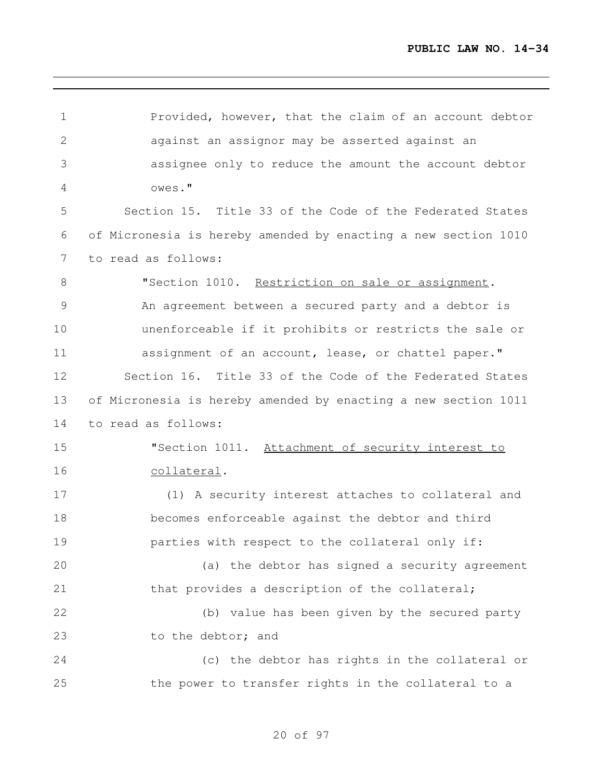| $\mathbf 1$    | Provided, however, that the claim of an account debtor         |
|----------------|----------------------------------------------------------------|
| $\mathbf{2}$   | against an assignor may be asserted against an                 |
| 3              | assignee only to reduce the amount the account debtor          |
| 4              | owes."                                                         |
| 5              | Section 15. Title 33 of the Code of the Federated States       |
| 6              | of Micronesia is hereby amended by enacting a new section 1010 |
| $\overline{7}$ | to read as follows:                                            |
| 8              | "Section 1010. Restriction on sale or assignment.              |
| $\mathcal{G}$  | An agreement between a secured party and a debtor is           |
| 10             | unenforceable if it prohibits or restricts the sale or         |
| 11             | assignment of an account, lease, or chattel paper."            |
| 12             | Section 16. Title 33 of the Code of the Federated States       |
| 13             | of Micronesia is hereby amended by enacting a new section 1011 |
| 14             | to read as follows:                                            |
| 15             | "Section 1011. Attachment of security interest to              |
| 16             | collateral.                                                    |
| 17             | (1) A security interest attaches to collateral and             |
| 18             | becomes enforceable against the debtor and third               |
| 19             | parties with respect to the collateral only if:                |
| 20             | (a) the debtor has signed a security agreement                 |
| 21             | that provides a description of the collateral;                 |
| 22             | (b) value has been given by the secured party                  |
| 23             | to the debtor; and                                             |
| 24             | (c) the debtor has rights in the collateral or                 |
| 25             | the power to transfer rights in the collateral to a            |
|                |                                                                |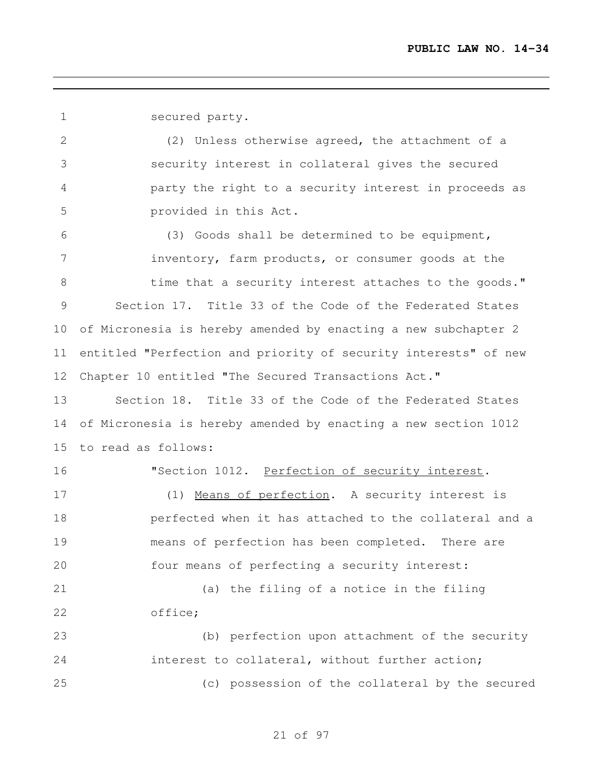secured party.

 (2) Unless otherwise agreed, the attachment of a security interest in collateral gives the secured party the right to a security interest in proceeds as provided in this Act.

 (3) Goods shall be determined to be equipment, inventory, farm products, or consumer goods at the 8 time that a security interest attaches to the goods." Section 17. Title 33 of the Code of the Federated States of Micronesia is hereby amended by enacting a new subchapter 2 entitled "Perfection and priority of security interests" of new Chapter 10 entitled "The Secured Transactions Act."

 Section 18. Title 33 of the Code of the Federated States of Micronesia is hereby amended by enacting a new section 1012 to read as follows:

16 "Section 1012. Perfection of security interest.

17 (1) Means of perfection. A security interest is perfected when it has attached to the collateral and a means of perfection has been completed. There are four means of perfecting a security interest:

 (a) the filing of a notice in the filing office;

 (b) perfection upon attachment of the security interest to collateral, without further action; (c) possession of the collateral by the secured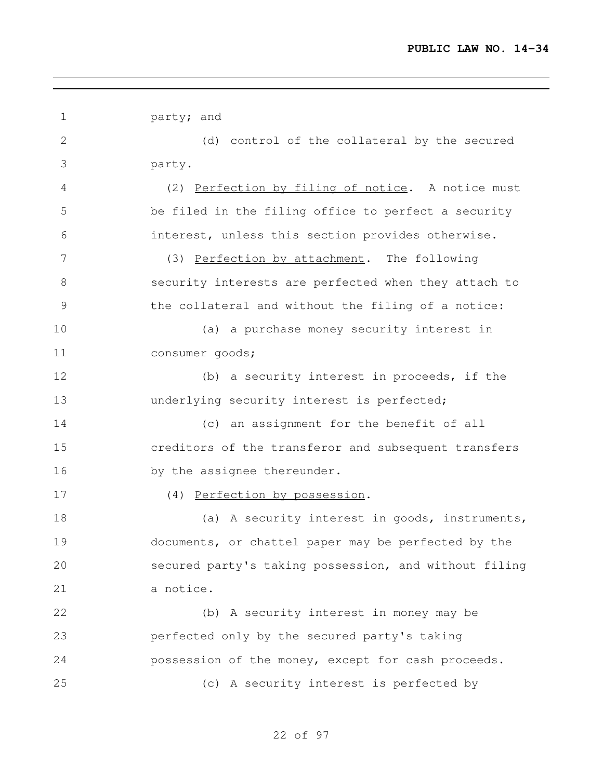1 party; and (d) control of the collateral by the secured party. (2) Perfection by filing of notice. A notice must be filed in the filing office to perfect a security interest, unless this section provides otherwise. (3) Perfection by attachment. The following security interests are perfected when they attach to the collateral and without the filing of a notice: (a) a purchase money security interest in consumer goods; 12 (b) a security interest in proceeds, if the **underlying security interest is perfected;**  (c) an assignment for the benefit of all creditors of the transferor and subsequent transfers 16 by the assignee thereunder. (4) Perfection by possession. 18 (a) A security interest in goods, instruments, documents, or chattel paper may be perfected by the secured party's taking possession, and without filing a notice. (b) A security interest in money may be perfected only by the secured party's taking possession of the money, except for cash proceeds. (c) A security interest is perfected by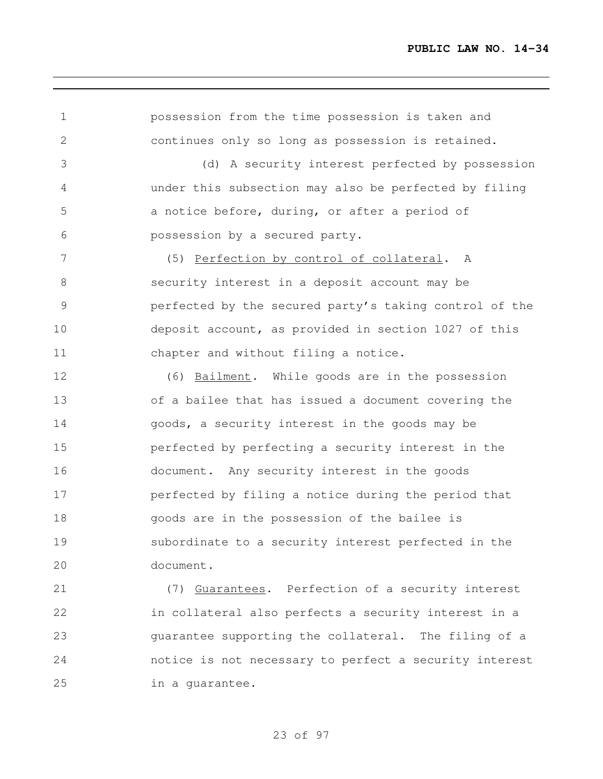| $\mathbf 1$  | possession from the time possession is taken and       |
|--------------|--------------------------------------------------------|
| $\mathbf{2}$ | continues only so long as possession is retained.      |
| 3            | (d) A security interest perfected by possession        |
| 4            | under this subsection may also be perfected by filing  |
| 5            | a notice before, during, or after a period of          |
| 6            | possession by a secured party.                         |
| 7            | (5) Perfection by control of collateral. A             |
| $8\,$        | security interest in a deposit account may be          |
| 9            | perfected by the secured party's taking control of the |
| 10           | deposit account, as provided in section 1027 of this   |
| 11           | chapter and without filing a notice.                   |
| 12           | (6) Bailment. While goods are in the possession        |
| 13           | of a bailee that has issued a document covering the    |
| 14           | goods, a security interest in the goods may be         |
| 15           | perfected by perfecting a security interest in the     |
| 16           | document. Any security interest in the goods           |
| 17           | perfected by filing a notice during the period that    |
| 18           | goods are in the possession of the bailee is           |
| 19           | subordinate to a security interest perfected in the    |
| 20           | document.                                              |
| 21           | Guarantees. Perfection of a security interest<br>(7)   |
| 22           | in collateral also perfects a security interest in a   |
| 23           | quarantee supporting the collateral. The filing of a   |
| 24           | notice is not necessary to perfect a security interest |

# of 97

in a guarantee.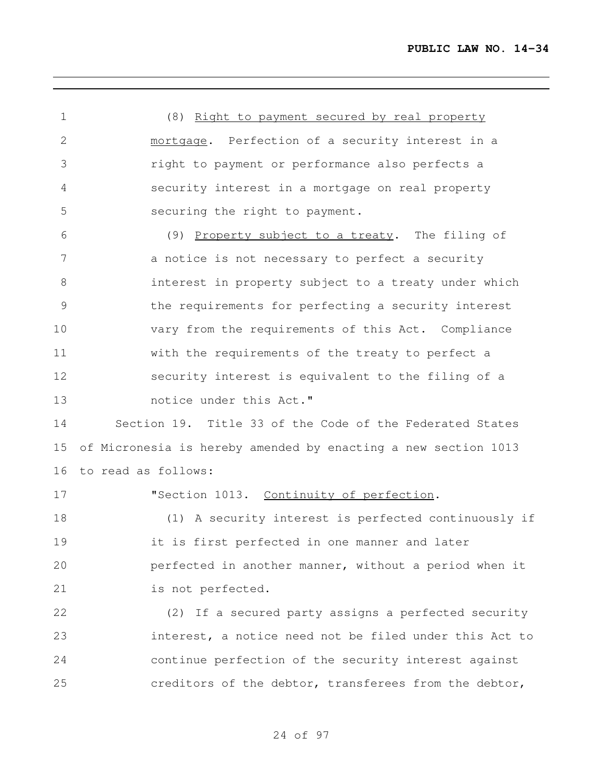(8) Right to payment secured by real property 2 mortgage. Perfection of a security interest in a right to payment or performance also perfects a security interest in a mortgage on real property securing the right to payment. (9) Property subject to a treaty. The filing of 7 a notice is not necessary to perfect a security interest in property subject to a treaty under which the requirements for perfecting a security interest vary from the requirements of this Act. Compliance with the requirements of the treaty to perfect a security interest is equivalent to the filing of a notice under this Act." Section 19. Title 33 of the Code of the Federated States of Micronesia is hereby amended by enacting a new section 1013 to read as follows: **"Section 1013.** Continuity of perfection. (1) A security interest is perfected continuously if it is first perfected in one manner and later perfected in another manner, without a period when it is not perfected. (2) If a secured party assigns a perfected security interest, a notice need not be filed under this Act to continue perfection of the security interest against creditors of the debtor, transferees from the debtor,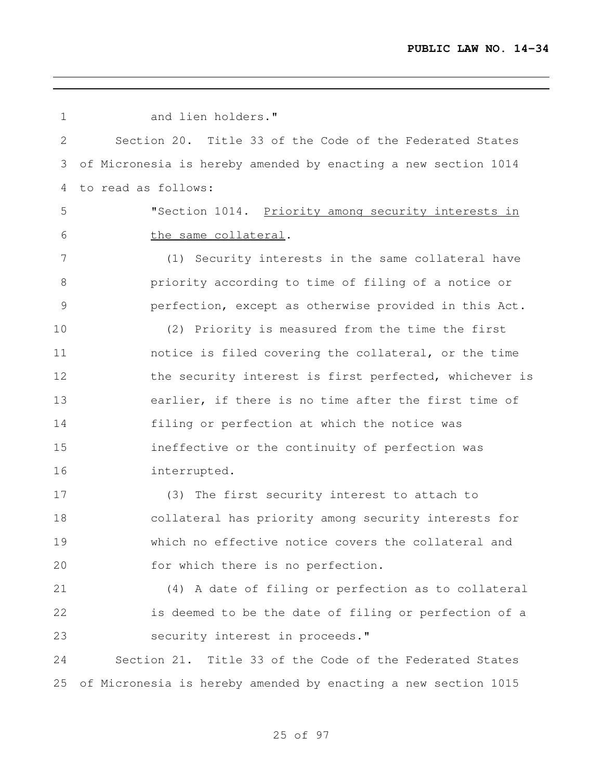| $\mathbf 1$  | and lien holders."                                             |
|--------------|----------------------------------------------------------------|
| $\mathbf{2}$ | Section 20. Title 33 of the Code of the Federated States       |
| 3            | of Micronesia is hereby amended by enacting a new section 1014 |
| 4            | to read as follows:                                            |
| 5            | "Section 1014. Priority among security interests in            |
| 6            | the same collateral.                                           |
| 7            | (1) Security interests in the same collateral have             |
| $8\,$        | priority according to time of filing of a notice or            |
| 9            | perfection, except as otherwise provided in this Act.          |
| 10           | (2) Priority is measured from the time the first               |
| 11           | notice is filed covering the collateral, or the time           |
| 12           | the security interest is first perfected, whichever is         |
| 13           | earlier, if there is no time after the first time of           |
| 14           | filing or perfection at which the notice was                   |
| 15           | ineffective or the continuity of perfection was                |
| 16           | interrupted.                                                   |
| 17           | (3) The first security interest to attach to                   |
| 18           | collateral has priority among security interests for           |
| 19           | which no effective notice covers the collateral and            |
| 20           | for which there is no perfection.                              |
| 21           | (4) A date of filing or perfection as to collateral            |
| 22           | is deemed to be the date of filing or perfection of a          |
| 23           | security interest in proceeds."                                |
| 24           | Section 21. Title 33 of the Code of the Federated States       |
| 25           | of Micronesia is hereby amended by enacting a new section 1015 |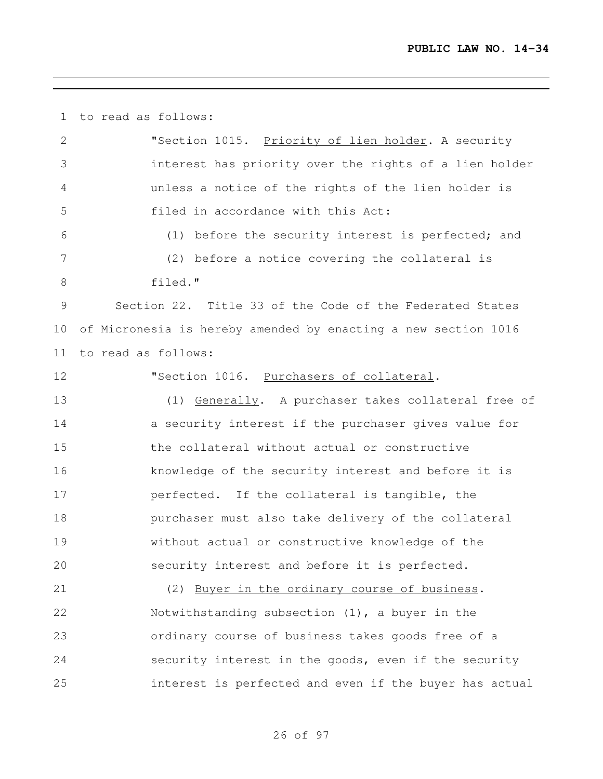to read as follows:

| 2  | "Section 1015. Priority of lien holder. A security             |
|----|----------------------------------------------------------------|
| 3  | interest has priority over the rights of a lien holder         |
| 4  | unless a notice of the rights of the lien holder is            |
| 5  | filed in accordance with this Act:                             |
| 6  | (1) before the security interest is perfected; and             |
| 7  | (2) before a notice covering the collateral is                 |
| 8  | filed."                                                        |
| 9  | Section 22. Title 33 of the Code of the Federated States       |
| 10 | of Micronesia is hereby amended by enacting a new section 1016 |
| 11 | to read as follows:                                            |
| 12 | "Section 1016. Purchasers of collateral.                       |
| 13 | (1) Generally. A purchaser takes collateral free of            |
| 14 | a security interest if the purchaser gives value for           |
| 15 | the collateral without actual or constructive                  |
| 16 | knowledge of the security interest and before it is            |
| 17 | perfected. If the collateral is tangible, the                  |
| 18 | purchaser must also take delivery of the collateral            |
| 19 | without actual or constructive knowledge of the                |
| 20 | security interest and before it is perfected.                  |
| 21 | (2) Buyer in the ordinary course of business.                  |
| 22 | Notwithstanding subsection $(1)$ , a buyer in the              |
| 23 | ordinary course of business takes goods free of a              |
| 24 | security interest in the goods, even if the security           |
| 25 | interest is perfected and even if the buyer has actual         |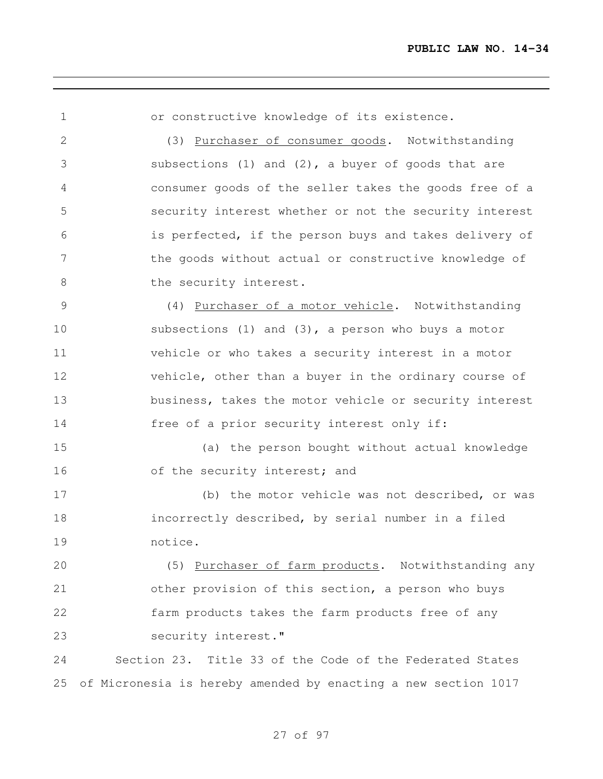or constructive knowledge of its existence. (3) Purchaser of consumer goods. Notwithstanding subsections (1) and (2), a buyer of goods that are consumer goods of the seller takes the goods free of a security interest whether or not the security interest is perfected, if the person buys and takes delivery of the goods without actual or constructive knowledge of 8 the security interest. (4) Purchaser of a motor vehicle. Notwithstanding subsections (1) and (3), a person who buys a motor vehicle or who takes a security interest in a motor vehicle, other than a buyer in the ordinary course of business, takes the motor vehicle or security interest free of a prior security interest only if: (a) the person bought without actual knowledge 16 of the security interest; and (b) the motor vehicle was not described, or was incorrectly described, by serial number in a filed notice. (5) Purchaser of farm products. Notwithstanding any other provision of this section, a person who buys farm products takes the farm products free of any security interest." Section 23. Title 33 of the Code of the Federated States of Micronesia is hereby amended by enacting a new section 1017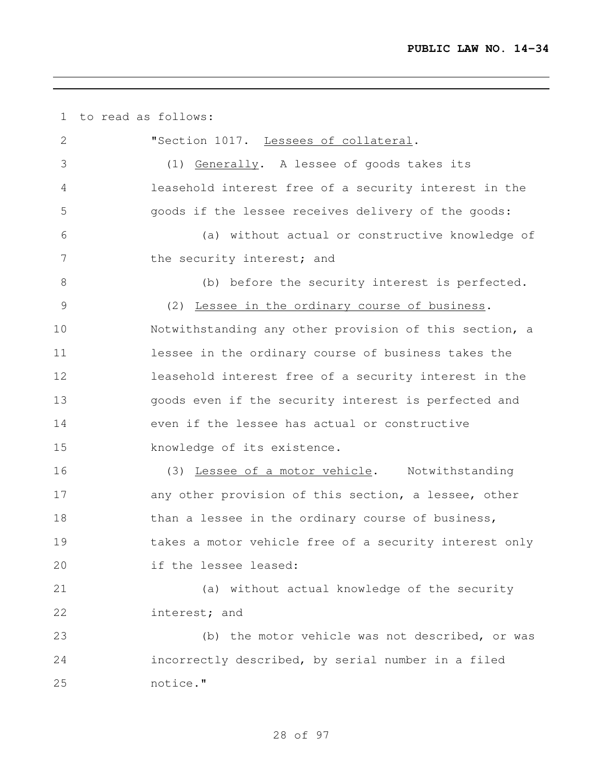to read as follows: "Section 1017. Lessees of collateral. (1) Generally. A lessee of goods takes its leasehold interest free of a security interest in the goods if the lessee receives delivery of the goods: (a) without actual or constructive knowledge of 7 the security interest; and (b) before the security interest is perfected. (2) Lessee in the ordinary course of business. Notwithstanding any other provision of this section, a lessee in the ordinary course of business takes the leasehold interest free of a security interest in the goods even if the security interest is perfected and even if the lessee has actual or constructive knowledge of its existence. (3) Lessee of a motor vehicle. Notwithstanding 17 any other provision of this section, a lessee, other 18 than a lessee in the ordinary course of business, takes a motor vehicle free of a security interest only if the lessee leased: (a) without actual knowledge of the security interest; and (b) the motor vehicle was not described, or was incorrectly described, by serial number in a filed notice."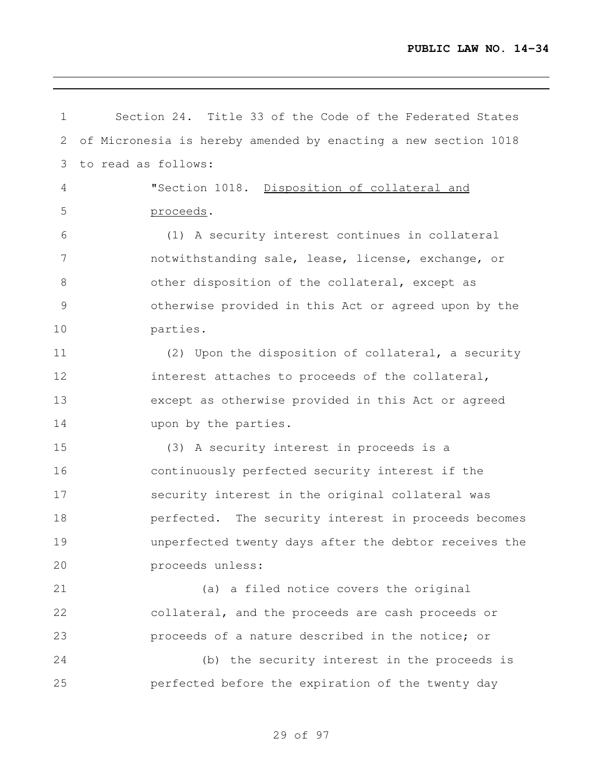| $\mathbf 1$    | Section 24. Title 33 of the Code of the Federated States       |
|----------------|----------------------------------------------------------------|
| 2              | of Micronesia is hereby amended by enacting a new section 1018 |
| 3              | to read as follows:                                            |
| $\overline{4}$ | "Section 1018. Disposition of collateral and                   |
| 5              | proceeds.                                                      |
| 6              | (1) A security interest continues in collateral                |
| 7              | notwithstanding sale, lease, license, exchange, or             |
| $8\,$          | other disposition of the collateral, except as                 |
| $\mathcal{G}$  | otherwise provided in this Act or agreed upon by the           |
| 10             | parties.                                                       |
| 11             | (2) Upon the disposition of collateral, a security             |
| 12             | interest attaches to proceeds of the collateral,               |
| 13             | except as otherwise provided in this Act or agreed             |
| 14             | upon by the parties.                                           |
| 15             | (3) A security interest in proceeds is a                       |
| 16             | continuously perfected security interest if the                |
| 17             | security interest in the original collateral was               |
| 18             | perfected. The security interest in proceeds becomes           |
| 19             | unperfected twenty days after the debtor receives the          |
| 20             | proceeds unless:                                               |
| 21             | (a) a filed notice covers the original                         |
| 22             | collateral, and the proceeds are cash proceeds or              |
| 23             | proceeds of a nature described in the notice; or               |
| 24             | (b) the security interest in the proceeds is                   |
| 25             | perfected before the expiration of the twenty day              |
|                |                                                                |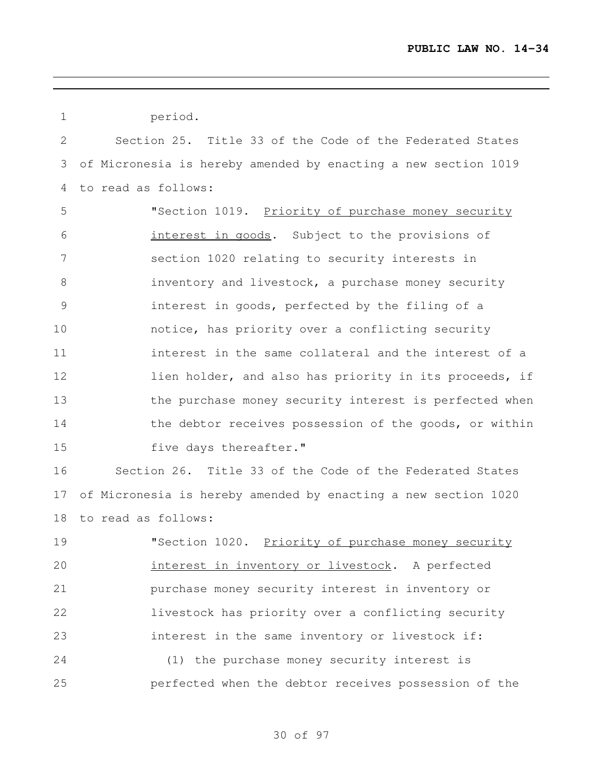| $\mathbf 1$  | period.                                                        |
|--------------|----------------------------------------------------------------|
| $\mathbf{2}$ | Section 25. Title 33 of the Code of the Federated States       |
| 3            | of Micronesia is hereby amended by enacting a new section 1019 |
| 4            | to read as follows:                                            |
| 5            | "Section 1019. Priority of purchase money security             |
| 6            | interest in goods. Subject to the provisions of                |
| 7            | section 1020 relating to security interests in                 |
| $8\,$        | inventory and livestock, a purchase money security             |
| 9            | interest in goods, perfected by the filing of a                |
| 10           | notice, has priority over a conflicting security               |
| 11           | interest in the same collateral and the interest of a          |
| 12           | lien holder, and also has priority in its proceeds, if         |
| 13           | the purchase money security interest is perfected when         |
| 14           | the debtor receives possession of the goods, or within         |
| 15           | five days thereafter."                                         |
| 16           | Section 26. Title 33 of the Code of the Federated States       |
| 17           | of Micronesia is hereby amended by enacting a new section 1020 |
| 18           | to read as follows:                                            |
| 19           | "Section 1020. Priority of purchase money security             |
| 20           | interest in inventory or livestock. A perfected                |
| 21           | purchase money security interest in inventory or               |
| 22           | livestock has priority over a conflicting security             |
| 23           | interest in the same inventory or livestock if:                |
| 24           | (1) the purchase money security interest is                    |
| 25           | perfected when the debtor receives possession of the           |
|              |                                                                |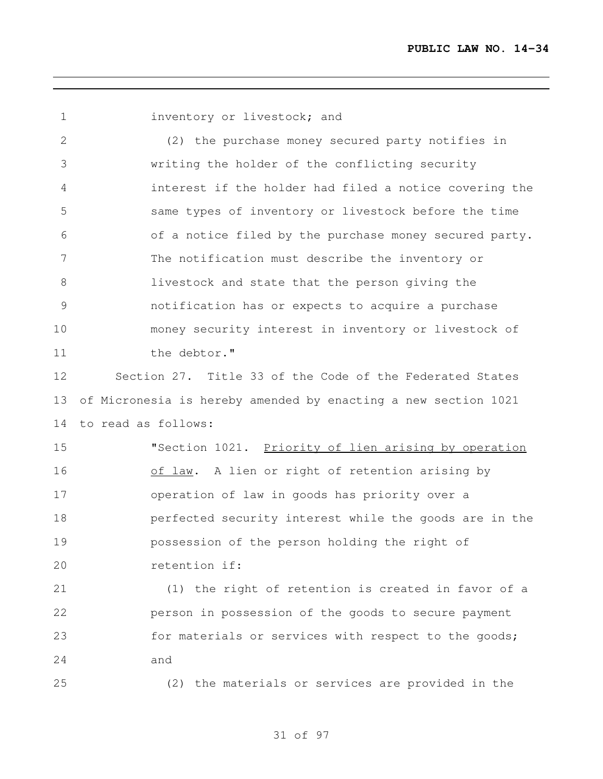**inventory or livestock; and** 

 (2) the purchase money secured party notifies in writing the holder of the conflicting security interest if the holder had filed a notice covering the same types of inventory or livestock before the time of a notice filed by the purchase money secured party. The notification must describe the inventory or livestock and state that the person giving the notification has or expects to acquire a purchase money security interest in inventory or livestock of 11 the debtor."

 Section 27. Title 33 of the Code of the Federated States of Micronesia is hereby amended by enacting a new section 1021 to read as follows:

15 "Section 1021. Priority of lien arising by operation 16 of law. A lien or right of retention arising by operation of law in goods has priority over a perfected security interest while the goods are in the possession of the person holding the right of retention if:

 (1) the right of retention is created in favor of a person in possession of the goods to secure payment 23 for materials or services with respect to the goods; and

(2) the materials or services are provided in the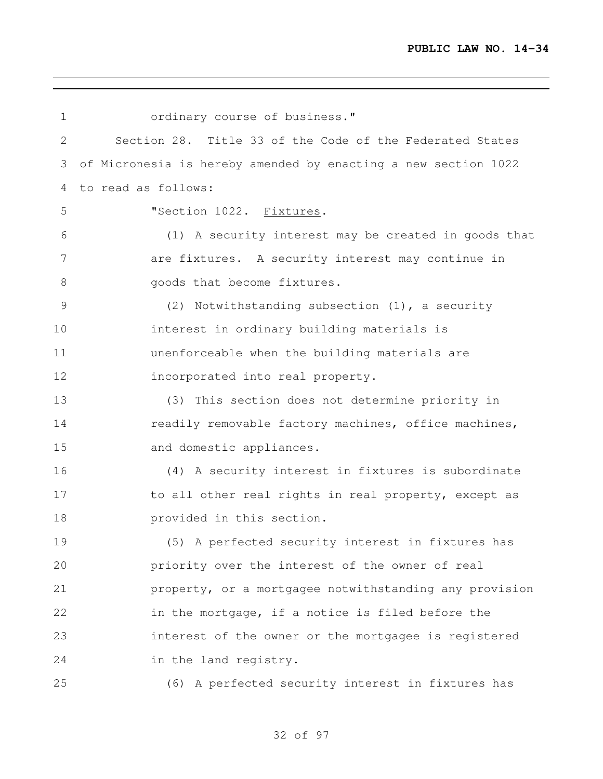| $\mathbf 1$ | ordinary course of business."                                  |
|-------------|----------------------------------------------------------------|
| 2           | Section 28. Title 33 of the Code of the Federated States       |
| 3           | of Micronesia is hereby amended by enacting a new section 1022 |
| 4           | to read as follows:                                            |
| 5           | "Section 1022. Fixtures.                                       |
| 6           | (1) A security interest may be created in goods that           |
| 7           | are fixtures. A security interest may continue in              |
| $8\,$       | goods that become fixtures.                                    |
| 9           | (2) Notwithstanding subsection (1), a security                 |
| 10          | interest in ordinary building materials is                     |
| 11          | unenforceable when the building materials are                  |
| 12          | incorporated into real property.                               |
| 13          | (3) This section does not determine priority in                |
| 14          | readily removable factory machines, office machines,           |
| 15          | and domestic appliances.                                       |
| 16          | (4) A security interest in fixtures is subordinate             |
| 17          | to all other real rights in real property, except as           |
| 18          | provided in this section.                                      |
| 19          | (5) A perfected security interest in fixtures has              |
| 20          | priority over the interest of the owner of real                |
| 21          | property, or a mortgagee notwithstanding any provision         |
| 22          | in the mortgage, if a notice is filed before the               |
| 23          | interest of the owner or the mortgagee is registered           |
| 24          | in the land registry.                                          |
| 25          | (6) A perfected security interest in fixtures has              |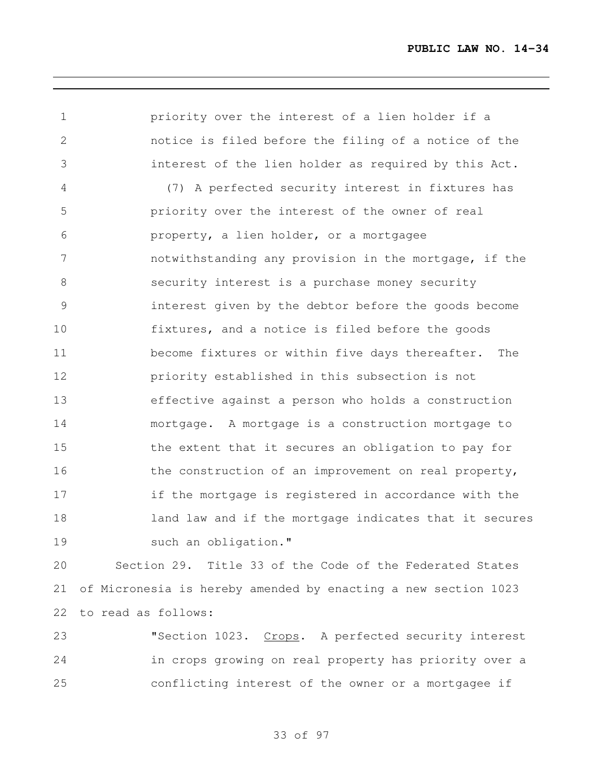priority over the interest of a lien holder if a notice is filed before the filing of a notice of the interest of the lien holder as required by this Act. (7) A perfected security interest in fixtures has priority over the interest of the owner of real property, a lien holder, or a mortgagee notwithstanding any provision in the mortgage, if the security interest is a purchase money security interest given by the debtor before the goods become fixtures, and a notice is filed before the goods become fixtures or within five days thereafter. The priority established in this subsection is not effective against a person who holds a construction mortgage. A mortgage is a construction mortgage to the extent that it secures an obligation to pay for 16 the construction of an improvement on real property, if the mortgage is registered in accordance with the **land law and if the mortgage indicates that it secures** 19 such an obligation."

 Section 29. Title 33 of the Code of the Federated States of Micronesia is hereby amended by enacting a new section 1023 to read as follows:

23 Section 1023. Crops. A perfected security interest in crops growing on real property has priority over a conflicting interest of the owner or a mortgagee if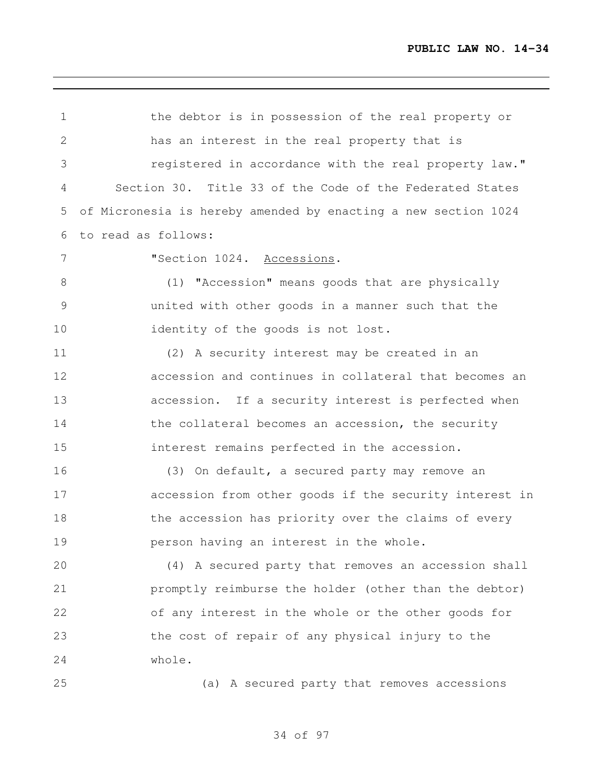| $\mathbf 1$     | the debtor is in possession of the real property or            |
|-----------------|----------------------------------------------------------------|
| $\overline{2}$  | has an interest in the real property that is                   |
| 3               | reqistered in accordance with the real property law."          |
| 4               | Section 30. Title 33 of the Code of the Federated States       |
| 5               | of Micronesia is hereby amended by enacting a new section 1024 |
| 6               | to read as follows:                                            |
| $7\phantom{.0}$ | "Section 1024. Accessions.                                     |
| 8               | (1) "Accession" means goods that are physically                |
| $\mathcal{G}$   | united with other goods in a manner such that the              |
| 10              | identity of the goods is not lost.                             |
| 11              | (2) A security interest may be created in an                   |
| 12              | accession and continues in collateral that becomes an          |
| 13              | accession. If a security interest is perfected when            |
| 14              | the collateral becomes an accession, the security              |
| 15              | interest remains perfected in the accession.                   |
| 16              | (3) On default, a secured party may remove an                  |
| 17              | accession from other goods if the security interest in         |
| 18              | the accession has priority over the claims of every            |
| 19              | person having an interest in the whole.                        |
| 20              | (4) A secured party that removes an accession shall            |
| 21              | promptly reimburse the holder (other than the debtor)          |
| 22              | of any interest in the whole or the other goods for            |
| 23              | the cost of repair of any physical injury to the               |
| 24              | whole.                                                         |
| 25              | (a) A secured party that removes accessions                    |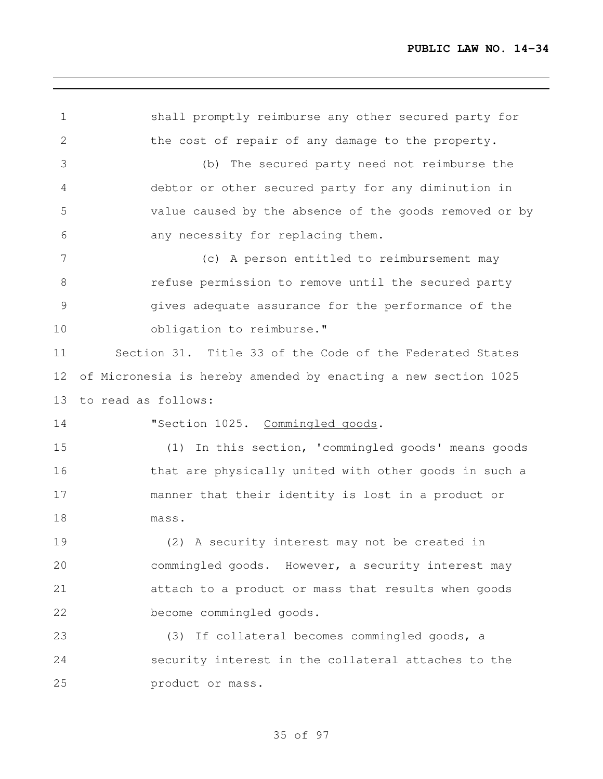shall promptly reimburse any other secured party for 2 the cost of repair of any damage to the property. (b) The secured party need not reimburse the debtor or other secured party for any diminution in value caused by the absence of the goods removed or by any necessity for replacing them. (c) A person entitled to reimbursement may refuse permission to remove until the secured party gives adequate assurance for the performance of the 10 obligation to reimburse." Section 31. Title 33 of the Code of the Federated States of Micronesia is hereby amended by enacting a new section 1025 to read as follows: **"Section 1025.** Commingled goods. (1) In this section, 'commingled goods' means goods 16 that are physically united with other goods in such a manner that their identity is lost in a product or mass. (2) A security interest may not be created in commingled goods. However, a security interest may attach to a product or mass that results when goods become commingled goods. (3) If collateral becomes commingled goods, a security interest in the collateral attaches to the product or mass.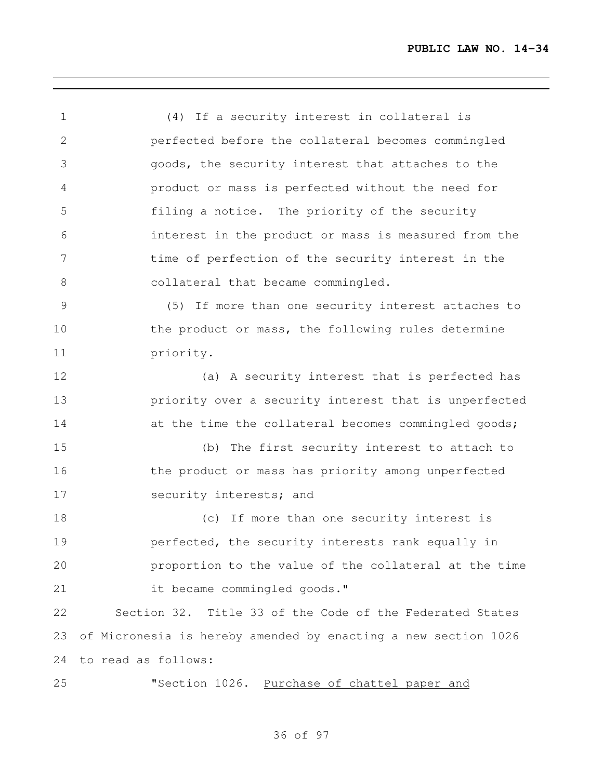(4) If a security interest in collateral is perfected before the collateral becomes commingled goods, the security interest that attaches to the product or mass is perfected without the need for filing a notice. The priority of the security interest in the product or mass is measured from the time of perfection of the security interest in the 8 collateral that became commingled. (5) If more than one security interest attaches to the product or mass, the following rules determine priority. (a) A security interest that is perfected has priority over a security interest that is unperfected 14 at the time the collateral becomes commingled goods; (b) The first security interest to attach to 16 the product or mass has priority among unperfected 17 security interests; and 18 (c) If more than one security interest is perfected, the security interests rank equally in proportion to the value of the collateral at the time it became commingled goods." Section 32. Title 33 of the Code of the Federated States of Micronesia is hereby amended by enacting a new section 1026 to read as follows: 25 "Section 1026. Purchase of chattel paper and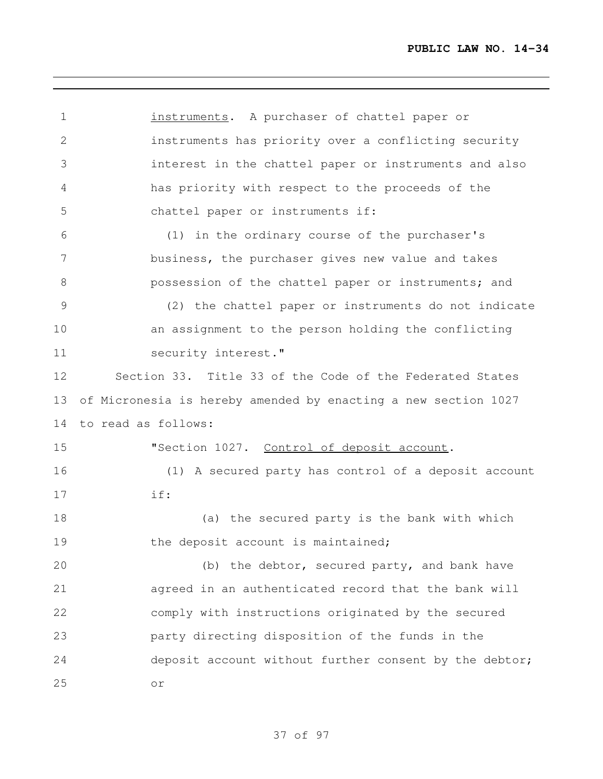instruments. A purchaser of chattel paper or instruments has priority over a conflicting security interest in the chattel paper or instruments and also has priority with respect to the proceeds of the chattel paper or instruments if: (1) in the ordinary course of the purchaser's business, the purchaser gives new value and takes possession of the chattel paper or instruments; and (2) the chattel paper or instruments do not indicate an assignment to the person holding the conflicting 11 security interest." Section 33. Title 33 of the Code of the Federated States of Micronesia is hereby amended by enacting a new section 1027 to read as follows: 15 "Section 1027. Control of deposit account. (1) A secured party has control of a deposit account if: (a) the secured party is the bank with which 19 the deposit account is maintained; (b) the debtor, secured party, and bank have agreed in an authenticated record that the bank will comply with instructions originated by the secured party directing disposition of the funds in the deposit account without further consent by the debtor; or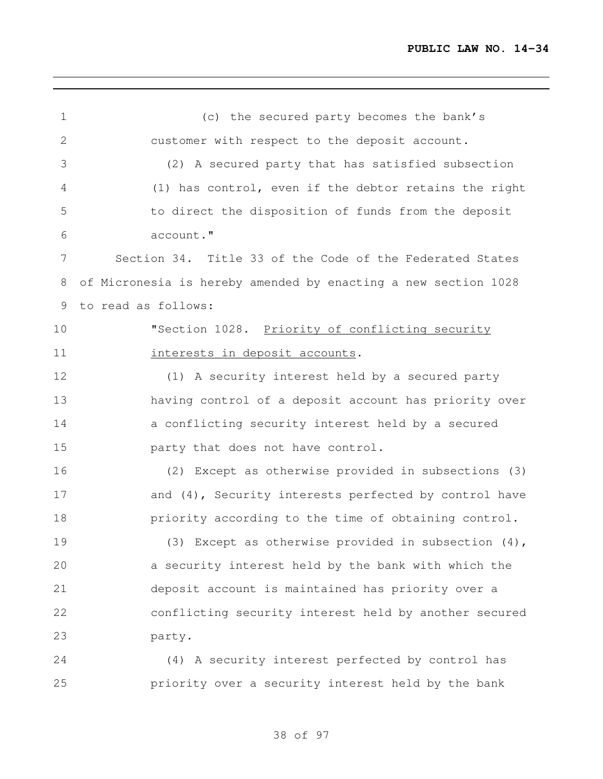(c) the secured party becomes the bank's customer with respect to the deposit account. (2) A secured party that has satisfied subsection (1) has control, even if the debtor retains the right to direct the disposition of funds from the deposit account." Section 34. Title 33 of the Code of the Federated States of Micronesia is hereby amended by enacting a new section 1028 to read as follows: 10 "Section 1028. Priority of conflicting security **interests in deposit accounts.**  (1) A security interest held by a secured party having control of a deposit account has priority over a conflicting security interest held by a secured party that does not have control. (2) Except as otherwise provided in subsections (3) 17 and (4), Security interests perfected by control have **priority** according to the time of obtaining control. (3) Except as otherwise provided in subsection (4), a security interest held by the bank with which the deposit account is maintained has priority over a conflicting security interest held by another secured party. (4) A security interest perfected by control has

of 97

priority over a security interest held by the bank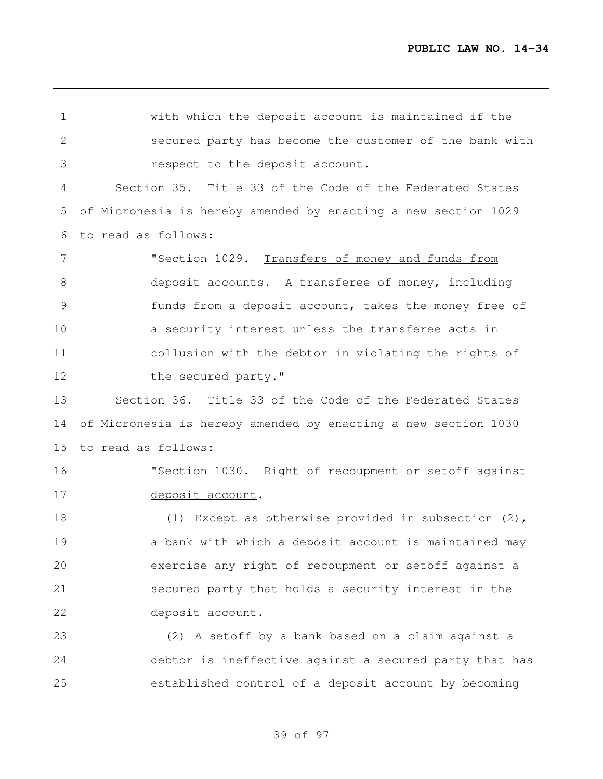| $\mathbf 1$     | with which the deposit account is maintained if the            |
|-----------------|----------------------------------------------------------------|
| $\mathbf{2}$    | secured party has become the customer of the bank with         |
| 3               | respect to the deposit account.                                |
| 4               | Section 35. Title 33 of the Code of the Federated States       |
| 5               | of Micronesia is hereby amended by enacting a new section 1029 |
| 6               | to read as follows:                                            |
| $7\phantom{.0}$ | "Section 1029. Transfers of money and funds from               |
| 8               | deposit accounts. A transferee of money, including             |
| 9               | funds from a deposit account, takes the money free of          |
| 10              | a security interest unless the transferee acts in              |
| 11              | collusion with the debtor in violating the rights of           |
| 12              | the secured party."                                            |
| 13              | Section 36. Title 33 of the Code of the Federated States       |
| 14              | of Micronesia is hereby amended by enacting a new section 1030 |
| 15              | to read as follows:                                            |
| 16              | "Section 1030. Right of recoupment or setoff against           |
| 17              | deposit account.                                               |
| 18              | (1) Except as otherwise provided in subsection $(2)$ ,         |
| 19              | a bank with which a deposit account is maintained may          |
| 20              | exercise any right of recoupment or setoff against a           |
| 21              | secured party that holds a security interest in the            |
| 22              | deposit account.                                               |
| 23              | (2) A setoff by a bank based on a claim against a              |
| 24              | debtor is ineffective against a secured party that has         |
| 25              | established control of a deposit account by becoming           |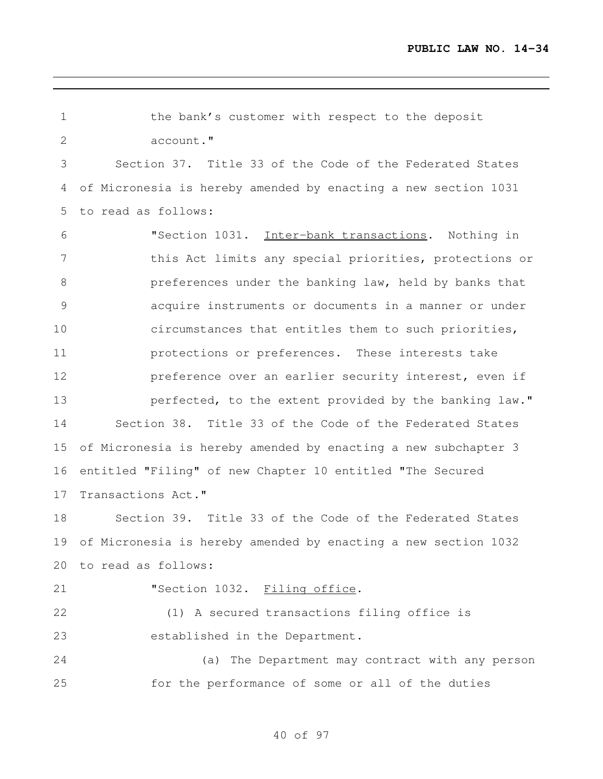| $\mathbf 1$   | the bank's customer with respect to the deposit                |
|---------------|----------------------------------------------------------------|
| $\mathbf{2}$  | account."                                                      |
| 3             | Section 37. Title 33 of the Code of the Federated States       |
| 4             | of Micronesia is hereby amended by enacting a new section 1031 |
| 5             | to read as follows:                                            |
| 6             | "Section 1031. Inter-bank transactions. Nothing in             |
| 7             | this Act limits any special priorities, protections or         |
| $\,8\,$       | preferences under the banking law, held by banks that          |
| $\mathcal{G}$ | acquire instruments or documents in a manner or under          |
| 10            | circumstances that entitles them to such priorities,           |
| 11            | protections or preferences. These interests take               |
| 12            | preference over an earlier security interest, even if          |
| 13            | perfected, to the extent provided by the banking law."         |
| 14            | Section 38. Title 33 of the Code of the Federated States       |
| 15            | of Micronesia is hereby amended by enacting a new subchapter 3 |
| 16            | entitled "Filing" of new Chapter 10 entitled "The Secured      |
| 17            | Transactions Act."                                             |
| 18            | Section 39. Title 33 of the Code of the Federated States       |
| 19            | of Micronesia is hereby amended by enacting a new section 1032 |
| 20            | to read as follows:                                            |
| 21            | "Section 1032. Filing office.                                  |
| 22            | (1) A secured transactions filing office is                    |
| 23            | established in the Department.                                 |
| 24            | (a) The Department may contract with any person                |
| 25            | for the performance of some or all of the duties               |
|               |                                                                |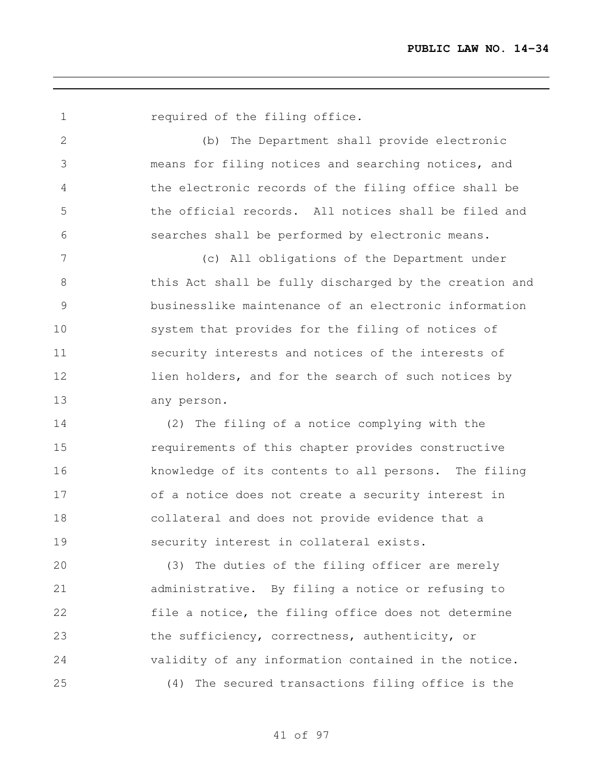(b) The Department shall provide electronic means for filing notices and searching notices, and the electronic records of the filing office shall be the official records. All notices shall be filed and searches shall be performed by electronic means. (c) All obligations of the Department under this Act shall be fully discharged by the creation and businesslike maintenance of an electronic information system that provides for the filing of notices of security interests and notices of the interests of 12 lien holders, and for the search of such notices by any person. (2) The filing of a notice complying with the

**required of the filing office.** 

 requirements of this chapter provides constructive knowledge of its contents to all persons. The filing of a notice does not create a security interest in collateral and does not provide evidence that a security interest in collateral exists.

 (3) The duties of the filing officer are merely administrative. By filing a notice or refusing to file a notice, the filing office does not determine the sufficiency, correctness, authenticity, or validity of any information contained in the notice. (4) The secured transactions filing office is the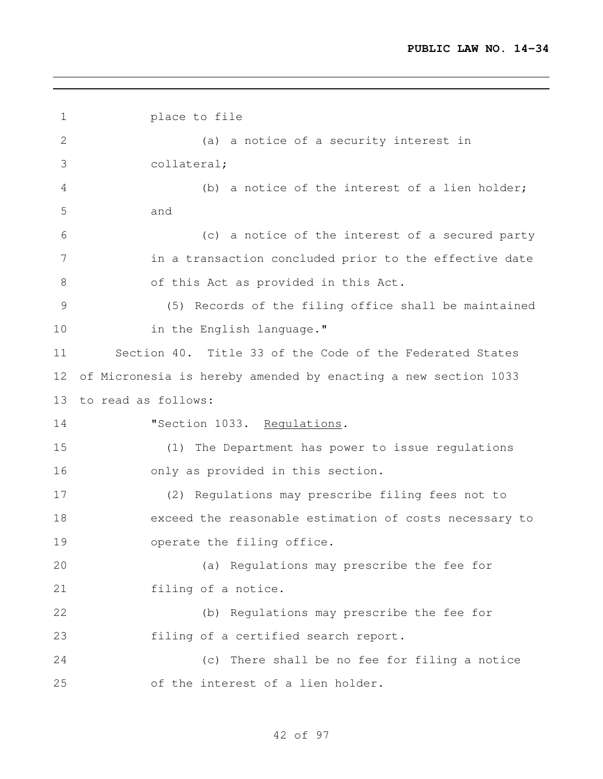```
1 place to file
2 (a) a notice of a security interest in
3 collateral;
4 (b) a notice of the interest of a lien holder;
5 and
6 (c) a notice of the interest of a secured party
7 in a transaction concluded prior to the effective date
8 of this Act as provided in this Act.
9 (5) Records of the filing office shall be maintained
10 in the English language."
11 Section 40. Title 33 of the Code of the Federated States
12 of Micronesia is hereby amended by enacting a new section 1033
13 to read as follows:
14 "Section 1033. Regulations.
15 (1) The Department has power to issue regulations
16 only as provided in this section.
17 (2) Regulations may prescribe filing fees not to
18 exceed the reasonable estimation of costs necessary to
19 operate the filing office.
20 (a) Regulations may prescribe the fee for
21 filing of a notice.
22 (b) Regulations may prescribe the fee for
23 filing of a certified search report.
24 (c) There shall be no fee for filing a notice
25 of the interest of a lien holder.
```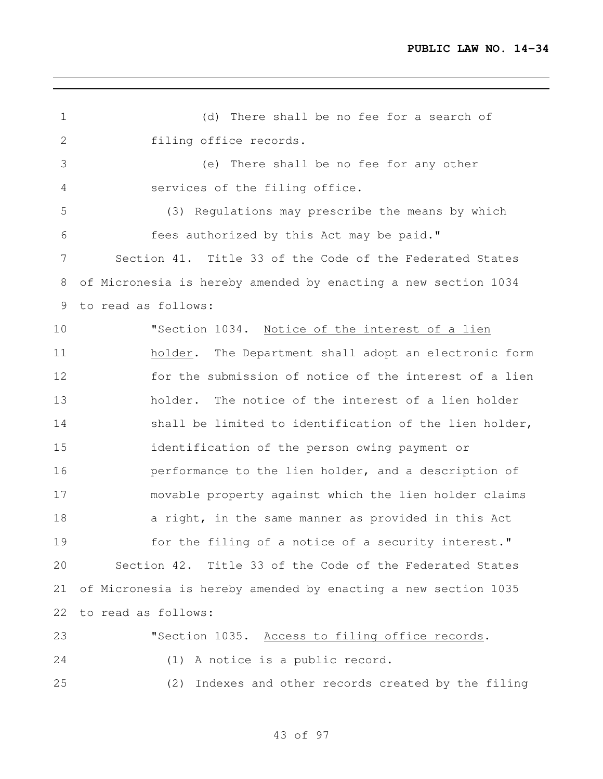(d) There shall be no fee for a search of filing office records. (e) There shall be no fee for any other services of the filing office. (3) Regulations may prescribe the means by which fees authorized by this Act may be paid." Section 41. Title 33 of the Code of the Federated States of Micronesia is hereby amended by enacting a new section 1034 to read as follows: "Section 1034. Notice of the interest of a lien 11 holder. The Department shall adopt an electronic form for the submission of notice of the interest of a lien holder. The notice of the interest of a lien holder 14 shall be limited to identification of the lien holder, identification of the person owing payment or performance to the lien holder, and a description of movable property against which the lien holder claims 18 a right, in the same manner as provided in this Act for the filing of a notice of a security interest." Section 42. Title 33 of the Code of the Federated States of Micronesia is hereby amended by enacting a new section 1035 to read as follows: 23 The U.S. Access to filing office records. (1) A notice is a public record. (2) Indexes and other records created by the filing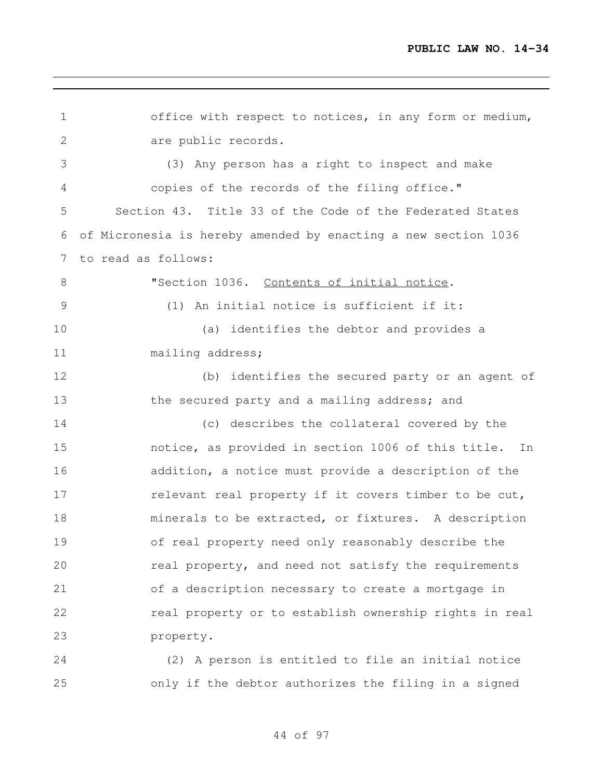| $1\,$         | office with respect to notices, in any form or medium,         |
|---------------|----------------------------------------------------------------|
| $\mathbf{2}$  | are public records.                                            |
| 3             | (3) Any person has a right to inspect and make                 |
| 4             | copies of the records of the filing office."                   |
| 5             | Section 43. Title 33 of the Code of the Federated States       |
| 6             | of Micronesia is hereby amended by enacting a new section 1036 |
| 7             | to read as follows:                                            |
| 8             | "Section 1036. Contents of initial notice.                     |
| $\mathcal{G}$ | (1) An initial notice is sufficient if it:                     |
| 10            | (a) identifies the debtor and provides a                       |
| 11            | mailing address;                                               |
| 12            | (b) identifies the secured party or an agent of                |
| 13            | the secured party and a mailing address; and                   |
| 14            | (c) describes the collateral covered by the                    |
| 15            | notice, as provided in section 1006 of this title. In          |
| 16            | addition, a notice must provide a description of the           |
| 17            | relevant real property if it covers timber to be cut,          |
| 18            | minerals to be extracted, or fixtures. A description           |
| 19            | of real property need only reasonably describe the             |
| 20            | real property, and need not satisfy the requirements           |
| 21            | of a description necessary to create a mortgage in             |
| 22            | real property or to establish ownership rights in real         |
| 23            | property.                                                      |
|               |                                                                |

 (2) A person is entitled to file an initial notice only if the debtor authorizes the filing in a signed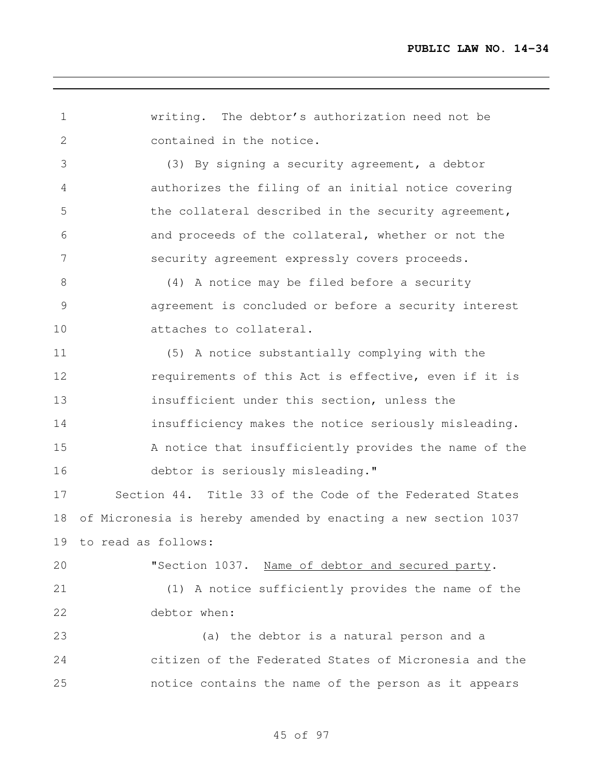writing. The debtor's authorization need not be contained in the notice. (3) By signing a security agreement, a debtor authorizes the filing of an initial notice covering 5 the collateral described in the security agreement, and proceeds of the collateral, whether or not the security agreement expressly covers proceeds. (4) A notice may be filed before a security agreement is concluded or before a security interest attaches to collateral. (5) A notice substantially complying with the requirements of this Act is effective, even if it is insufficient under this section, unless the insufficiency makes the notice seriously misleading. A notice that insufficiently provides the name of the 16 debtor is seriously misleading." Section 44. Title 33 of the Code of the Federated States of Micronesia is hereby amended by enacting a new section 1037 to read as follows: 20 "Section 1037. Name of debtor and secured party. (1) A notice sufficiently provides the name of the debtor when: (a) the debtor is a natural person and a citizen of the Federated States of Micronesia and the notice contains the name of the person as it appears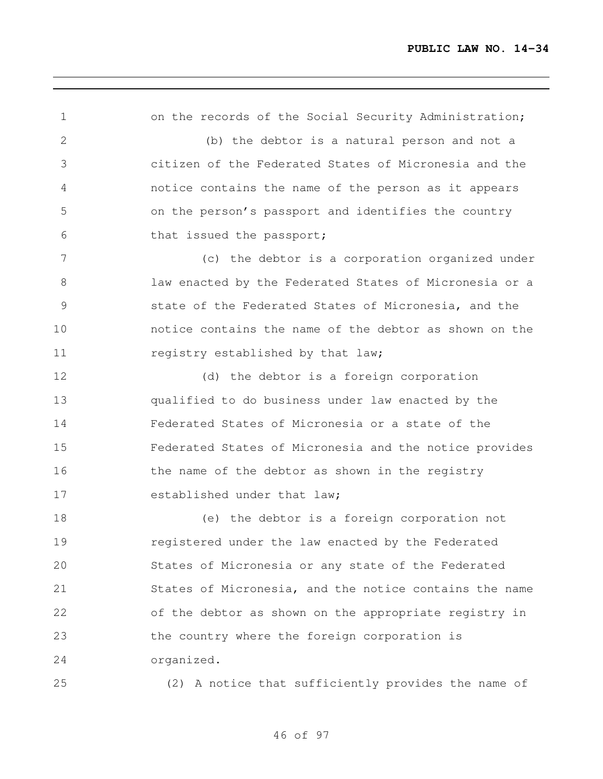1 on the records of the Social Security Administration; (b) the debtor is a natural person and not a citizen of the Federated States of Micronesia and the notice contains the name of the person as it appears on the person's passport and identifies the country that issued the passport; (c) the debtor is a corporation organized under law enacted by the Federated States of Micronesia or a state of the Federated States of Micronesia, and the notice contains the name of the debtor as shown on the 11 registry established by that law; 12 (d) the debtor is a foreign corporation qualified to do business under law enacted by the Federated States of Micronesia or a state of the Federated States of Micronesia and the notice provides 16 the name of the debtor as shown in the registry 17 established under that law; (e) the debtor is a foreign corporation not registered under the law enacted by the Federated States of Micronesia or any state of the Federated States of Micronesia, and the notice contains the name of the debtor as shown on the appropriate registry in the country where the foreign corporation is organized. (2) A notice that sufficiently provides the name of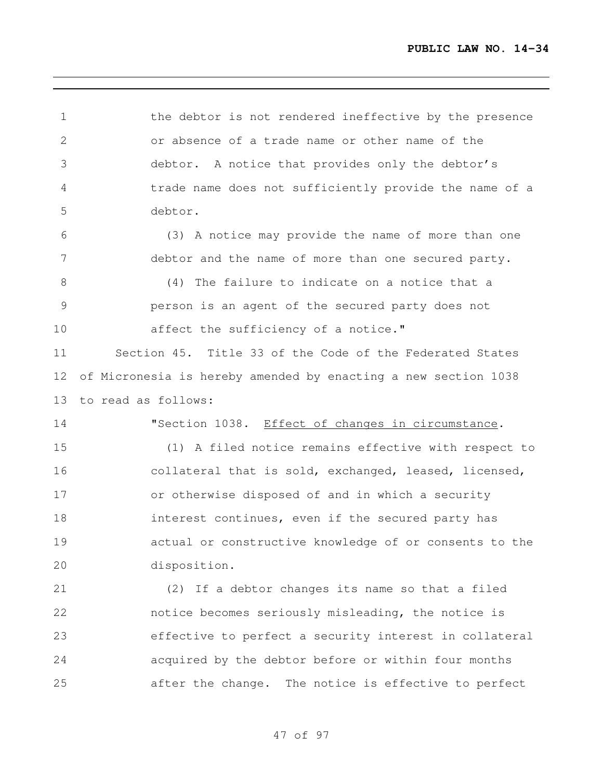1 the debtor is not rendered ineffective by the presence or absence of a trade name or other name of the debtor. A notice that provides only the debtor's trade name does not sufficiently provide the name of a debtor. (3) A notice may provide the name of more than one debtor and the name of more than one secured party. (4) The failure to indicate on a notice that a person is an agent of the secured party does not **affect the sufficiency of a notice."**  Section 45. Title 33 of the Code of the Federated States of Micronesia is hereby amended by enacting a new section 1038 to read as follows: "Section 1038. Effect of changes in circumstance. (1) A filed notice remains effective with respect to collateral that is sold, exchanged, leased, licensed, or otherwise disposed of and in which a security **interest continues, even if the secured party has**  actual or constructive knowledge of or consents to the disposition. (2) If a debtor changes its name so that a filed notice becomes seriously misleading, the notice is effective to perfect a security interest in collateral acquired by the debtor before or within four months after the change. The notice is effective to perfect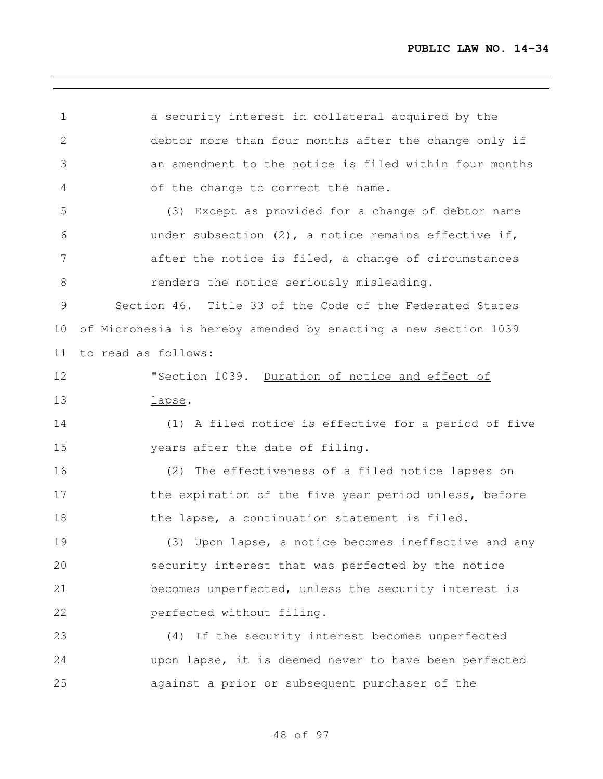a security interest in collateral acquired by the debtor more than four months after the change only if an amendment to the notice is filed within four months of the change to correct the name. (3) Except as provided for a change of debtor name under subsection (2), a notice remains effective if, after the notice is filed, a change of circumstances renders the notice seriously misleading. Section 46. Title 33 of the Code of the Federated States of Micronesia is hereby amended by enacting a new section 1039 to read as follows: **"Section 1039.** Duration of notice and effect of lapse. (1) A filed notice is effective for a period of five years after the date of filing. (2) The effectiveness of a filed notice lapses on 17 the expiration of the five year period unless, before 18 the lapse, a continuation statement is filed. (3) Upon lapse, a notice becomes ineffective and any security interest that was perfected by the notice becomes unperfected, unless the security interest is perfected without filing. (4) If the security interest becomes unperfected upon lapse, it is deemed never to have been perfected against a prior or subsequent purchaser of the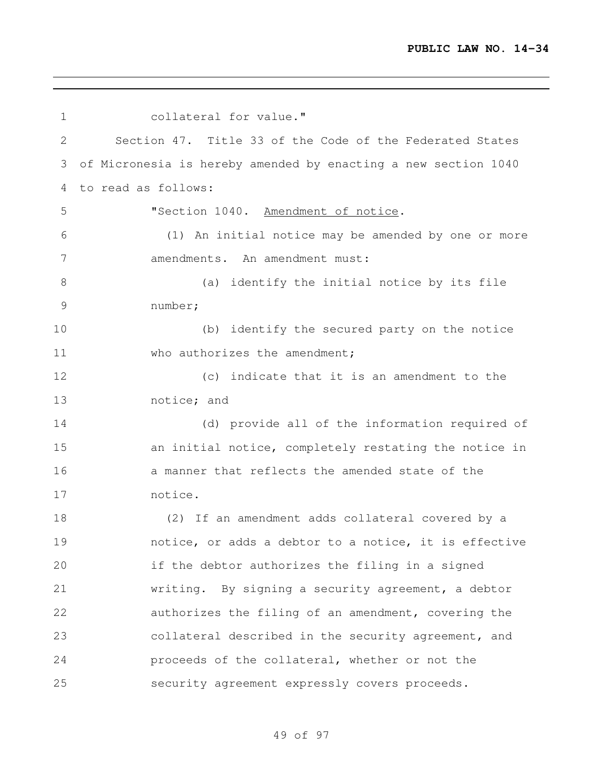collateral for value." Section 47. Title 33 of the Code of the Federated States of Micronesia is hereby amended by enacting a new section 1040 to read as follows: "Section 1040. Amendment of notice. (1) An initial notice may be amended by one or more amendments. An amendment must: (a) identify the initial notice by its file number; (b) identify the secured party on the notice 11 who authorizes the amendment; (c) indicate that it is an amendment to the notice; and (d) provide all of the information required of an initial notice, completely restating the notice in 16 a manner that reflects the amended state of the notice. (2) If an amendment adds collateral covered by a notice, or adds a debtor to a notice, it is effective if the debtor authorizes the filing in a signed writing. By signing a security agreement, a debtor authorizes the filing of an amendment, covering the collateral described in the security agreement, and proceeds of the collateral, whether or not the security agreement expressly covers proceeds.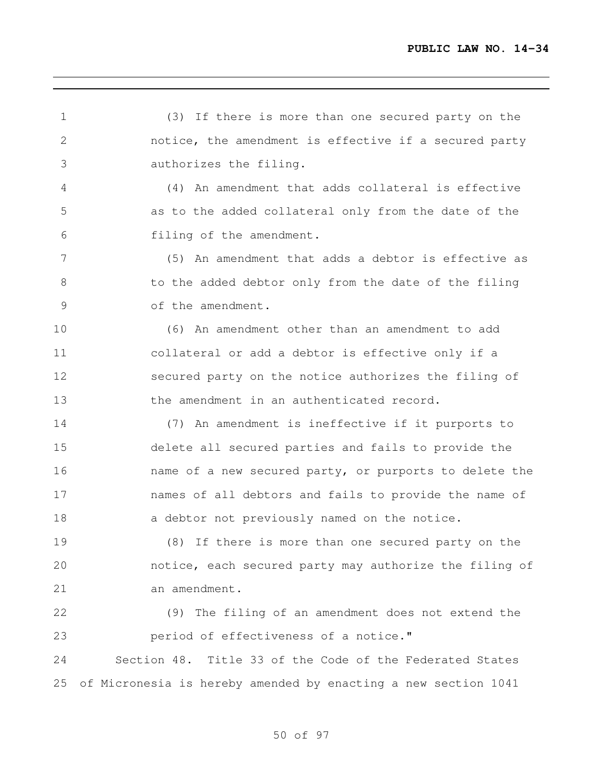(3) If there is more than one secured party on the notice, the amendment is effective if a secured party authorizes the filing. (4) An amendment that adds collateral is effective as to the added collateral only from the date of the filing of the amendment. (5) An amendment that adds a debtor is effective as 8 to the added debtor only from the date of the filing of the amendment. (6) An amendment other than an amendment to add collateral or add a debtor is effective only if a secured party on the notice authorizes the filing of the amendment in an authenticated record. (7) An amendment is ineffective if it purports to delete all secured parties and fails to provide the name of a new secured party, or purports to delete the names of all debtors and fails to provide the name of 18 a debtor not previously named on the notice. (8) If there is more than one secured party on the notice, each secured party may authorize the filing of an amendment. (9) The filing of an amendment does not extend the period of effectiveness of a notice." Section 48. Title 33 of the Code of the Federated States of Micronesia is hereby amended by enacting a new section 1041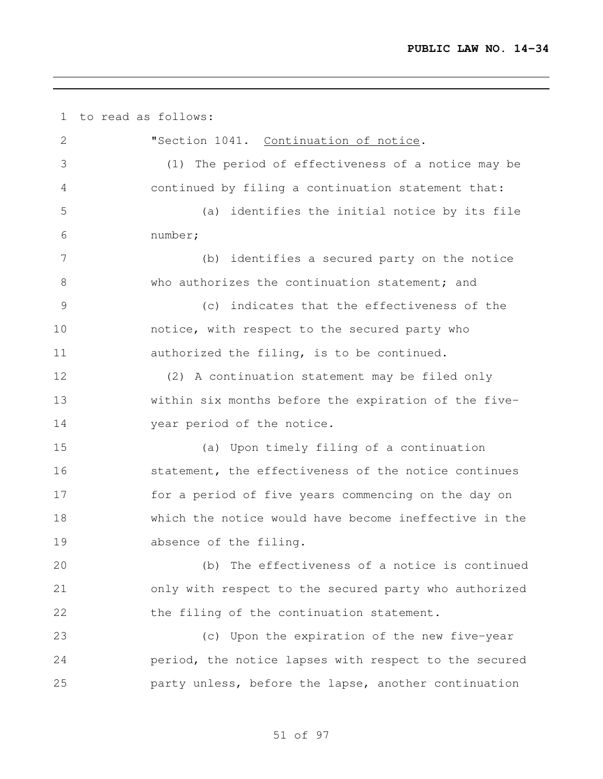to read as follows: "Section 1041. Continuation of notice. (1) The period of effectiveness of a notice may be continued by filing a continuation statement that: (a) identifies the initial notice by its file number; (b) identifies a secured party on the notice 8 who authorizes the continuation statement; and (c) indicates that the effectiveness of the notice, with respect to the secured party who authorized the filing, is to be continued. (2) A continuation statement may be filed only within six months before the expiration of the five-14 vear period of the notice. (a) Upon timely filing of a continuation statement, the effectiveness of the notice continues for a period of five years commencing on the day on which the notice would have become ineffective in the absence of the filing. (b) The effectiveness of a notice is continued only with respect to the secured party who authorized the filing of the continuation statement. (c) Upon the expiration of the new five-year period, the notice lapses with respect to the secured party unless, before the lapse, another continuation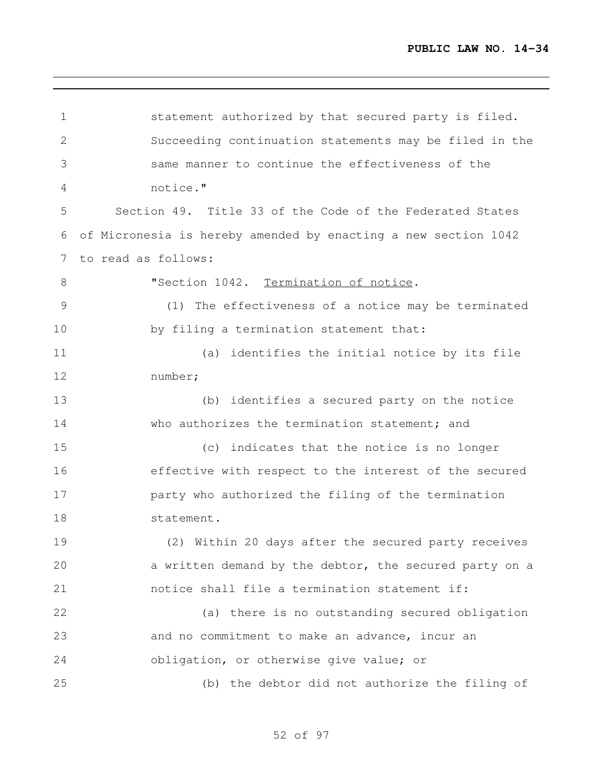| $\mathbf 1$  | statement authorized by that secured party is filed.           |
|--------------|----------------------------------------------------------------|
| $\mathbf{2}$ | Succeeding continuation statements may be filed in the         |
| 3            | same manner to continue the effectiveness of the               |
| 4            | notice."                                                       |
| 5            | Section 49. Title 33 of the Code of the Federated States       |
| 6            | of Micronesia is hereby amended by enacting a new section 1042 |
| 7            | to read as follows:                                            |
| 8            | "Section 1042. Termination of notice.                          |
| 9            | (1) The effectiveness of a notice may be terminated            |
| 10           | by filing a termination statement that:                        |
| 11           | (a) identifies the initial notice by its file                  |
| 12           | number;                                                        |
| 13           | (b) identifies a secured party on the notice                   |
| 14           | who authorizes the termination statement; and                  |
| 15           | (c) indicates that the notice is no longer                     |
| 16           | effective with respect to the interest of the secured          |
| 17           | party who authorized the filing of the termination             |
| 18           | statement.                                                     |
| 19           | (2) Within 20 days after the secured party receives            |
| 20           | a written demand by the debtor, the secured party on a         |
| 21           | notice shall file a termination statement if:                  |
| 22           | (a) there is no outstanding secured obligation                 |
| 23           | and no commitment to make an advance, incur an                 |
| 24           | obligation, or otherwise give value; or                        |
| 25           | (b) the debtor did not authorize the filing of                 |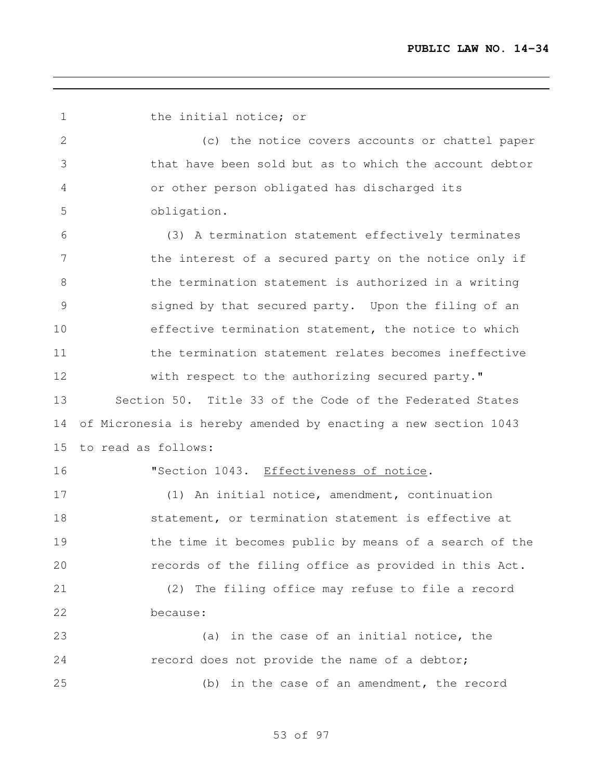1 the initial notice; or (c) the notice covers accounts or chattel paper that have been sold but as to which the account debtor or other person obligated has discharged its obligation. (3) A termination statement effectively terminates 7 the interest of a secured party on the notice only if the termination statement is authorized in a writing signed by that secured party. Upon the filing of an effective termination statement, the notice to which the termination statement relates becomes ineffective with respect to the authorizing secured party." Section 50. Title 33 of the Code of the Federated States of Micronesia is hereby amended by enacting a new section 1043 to read as follows: 16 "Section 1043. Effectiveness of notice. (1) An initial notice, amendment, continuation **statement, or termination statement is effective at**  the time it becomes public by means of a search of the records of the filing office as provided in this Act. (2) The filing office may refuse to file a record because: 23 (a) in the case of an initial notice, the record does not provide the name of a debtor; (b) in the case of an amendment, the record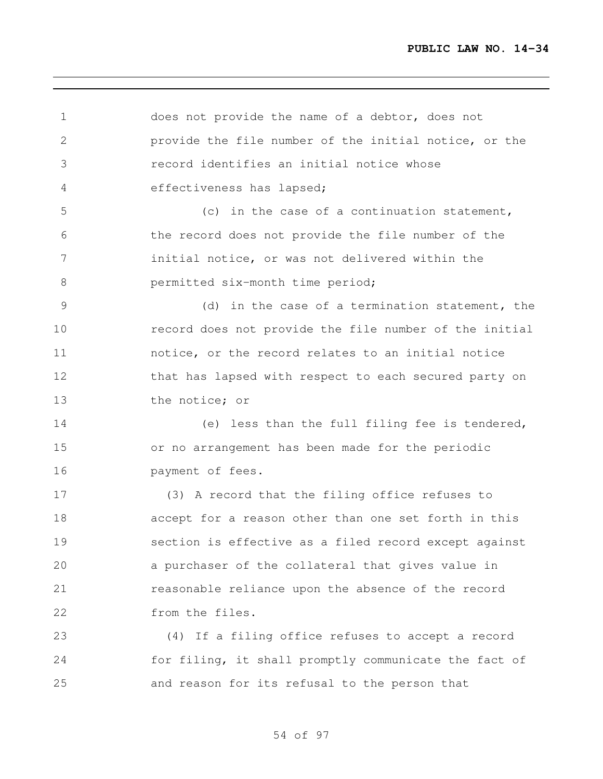does not provide the name of a debtor, does not provide the file number of the initial notice, or the record identifies an initial notice whose effectiveness has lapsed; (c) in the case of a continuation statement, the record does not provide the file number of the initial notice, or was not delivered within the **beamitted** six-month time period; (d) in the case of a termination statement, the record does not provide the file number of the initial notice, or the record relates to an initial notice 12 that has lapsed with respect to each secured party on the notice; or (e) less than the full filing fee is tendered, or no arrangement has been made for the periodic payment of fees. (3) A record that the filing office refuses to accept for a reason other than one set forth in this section is effective as a filed record except against a purchaser of the collateral that gives value in reasonable reliance upon the absence of the record from the files. (4) If a filing office refuses to accept a record for filing, it shall promptly communicate the fact of and reason for its refusal to the person that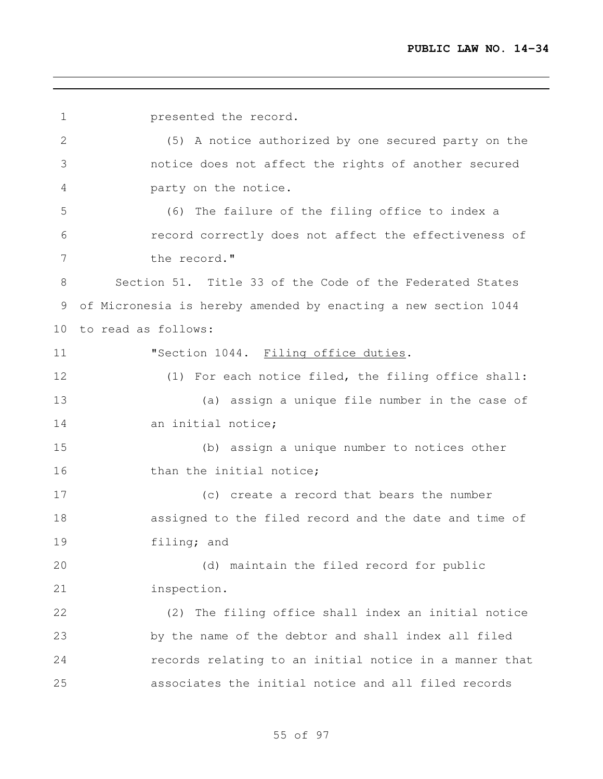presented the record. (5) A notice authorized by one secured party on the notice does not affect the rights of another secured party on the notice. (6) The failure of the filing office to index a record correctly does not affect the effectiveness of the record." Section 51. Title 33 of the Code of the Federated States of Micronesia is hereby amended by enacting a new section 1044 to read as follows: **"Section 1044.** Filing office duties. (1) For each notice filed, the filing office shall: (a) assign a unique file number in the case of 14 an initial notice: (b) assign a unique number to notices other 16 than the initial notice; (c) create a record that bears the number assigned to the filed record and the date and time of filing; and (d) maintain the filed record for public inspection. (2) The filing office shall index an initial notice by the name of the debtor and shall index all filed records relating to an initial notice in a manner that associates the initial notice and all filed records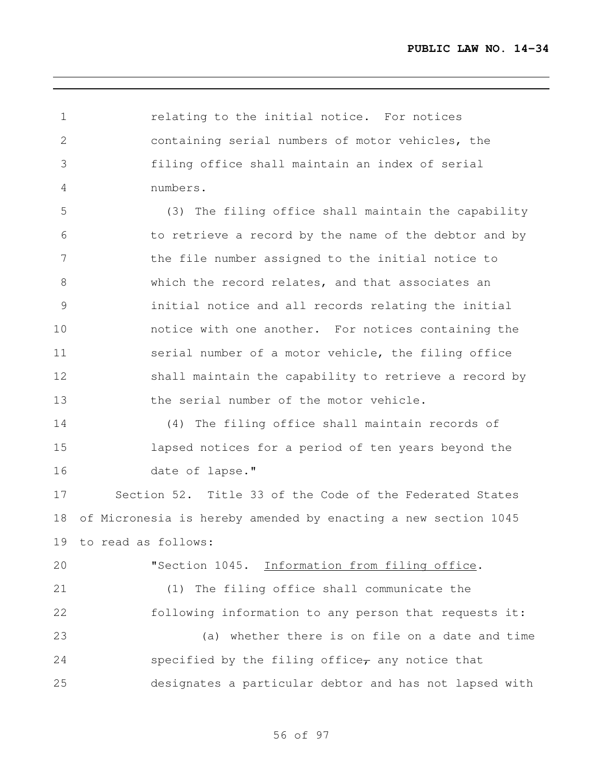relating to the initial notice. For notices containing serial numbers of motor vehicles, the filing office shall maintain an index of serial numbers. (3) The filing office shall maintain the capability

 to retrieve a record by the name of the debtor and by the file number assigned to the initial notice to which the record relates, and that associates an initial notice and all records relating the initial notice with one another. For notices containing the serial number of a motor vehicle, the filing office shall maintain the capability to retrieve a record by the serial number of the motor vehicle.

 (4) The filing office shall maintain records of lapsed notices for a period of ten years beyond the 16 date of lapse."

 Section 52. Title 33 of the Code of the Federated States of Micronesia is hereby amended by enacting a new section 1045 to read as follows:

# "Section 1045. Information from filing office.

 (1) The filing office shall communicate the following information to any person that requests it: (a) whether there is on file on a date and time

24 specified by the filing office $_{\tau}$  any notice that designates a particular debtor and has not lapsed with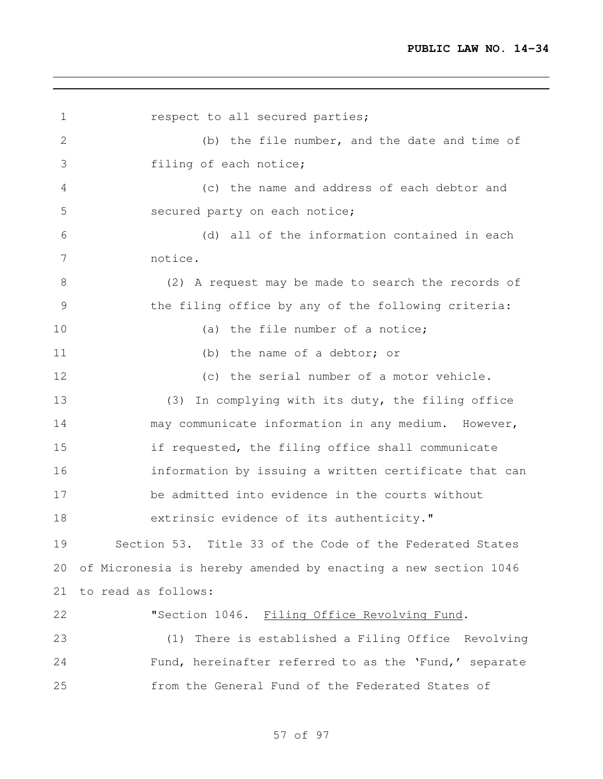**respect to all secured parties;**  (b) the file number, and the date and time of filing of each notice; (c) the name and address of each debtor and secured party on each notice; (d) all of the information contained in each notice. (2) A request may be made to search the records of the filing office by any of the following criteria: 10 (a) the file number of a notice; (b) the name of a debtor; or (c) the serial number of a motor vehicle. (3) In complying with its duty, the filing office may communicate information in any medium. However, if requested, the filing office shall communicate information by issuing a written certificate that can be admitted into evidence in the courts without 18 extrinsic evidence of its authenticity." Section 53. Title 33 of the Code of the Federated States of Micronesia is hereby amended by enacting a new section 1046 to read as follows: "Section 1046. Filing Office Revolving Fund. (1) There is established a Filing Office Revolving Fund, hereinafter referred to as the 'Fund,' separate from the General Fund of the Federated States of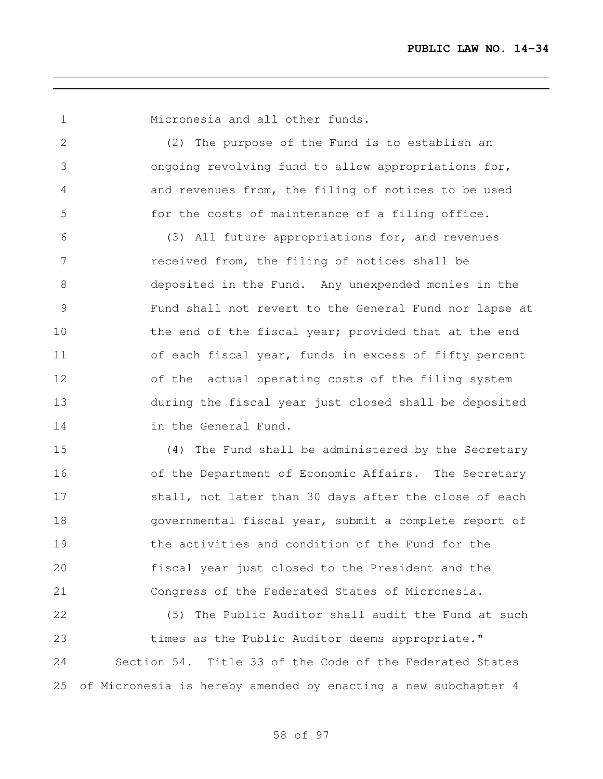Micronesia and all other funds.

 (2) The purpose of the Fund is to establish an ongoing revolving fund to allow appropriations for, and revenues from, the filing of notices to be used for the costs of maintenance of a filing office.

 (3) All future appropriations for, and revenues received from, the filing of notices shall be deposited in the Fund. Any unexpended monies in the Fund shall not revert to the General Fund nor lapse at 10 the end of the fiscal year; provided that at the end of each fiscal year, funds in excess of fifty percent of the actual operating costs of the filing system during the fiscal year just closed shall be deposited in the General Fund.

 (4) The Fund shall be administered by the Secretary 16 of the Department of Economic Affairs. The Secretary 17 shall, not later than 30 days after the close of each governmental fiscal year, submit a complete report of the activities and condition of the Fund for the fiscal year just closed to the President and the Congress of the Federated States of Micronesia.

 (5) The Public Auditor shall audit the Fund at such 23 times as the Public Auditor deems appropriate." Section 54. Title 33 of the Code of the Federated States of Micronesia is hereby amended by enacting a new subchapter 4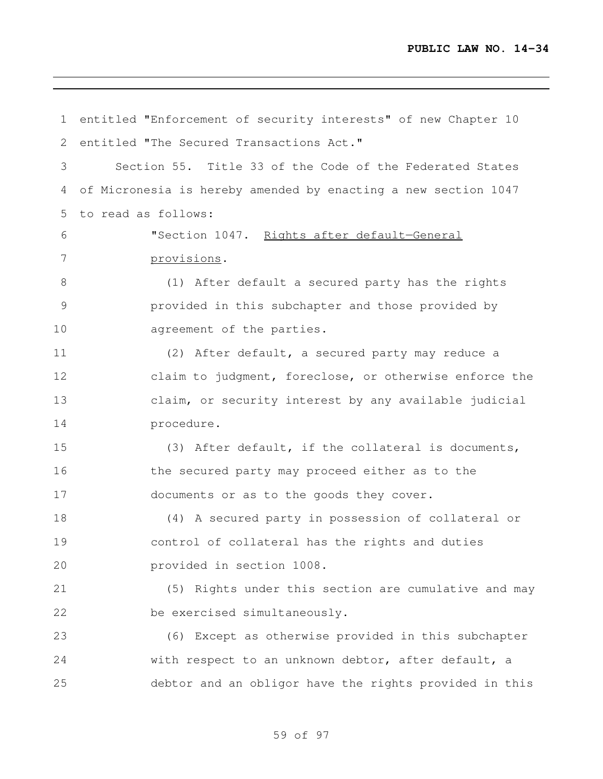entitled "Enforcement of security interests" of new Chapter 10 2 entitled "The Secured Transactions Act." Section 55. Title 33 of the Code of the Federated States of Micronesia is hereby amended by enacting a new section 1047 to read as follows: "Section 1047. Rights after default—General provisions. (1) After default a secured party has the rights provided in this subchapter and those provided by 10 agreement of the parties. (2) After default, a secured party may reduce a claim to judgment, foreclose, or otherwise enforce the claim, or security interest by any available judicial procedure. (3) After default, if the collateral is documents, the secured party may proceed either as to the documents or as to the goods they cover. (4) A secured party in possession of collateral or control of collateral has the rights and duties provided in section 1008. (5) Rights under this section are cumulative and may be exercised simultaneously. (6) Except as otherwise provided in this subchapter with respect to an unknown debtor, after default, a debtor and an obligor have the rights provided in this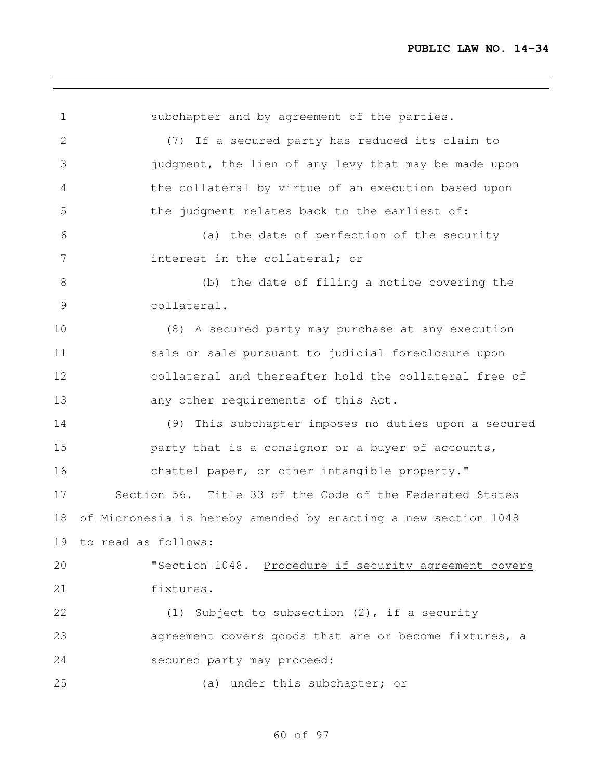| subchapter and by agreement of the parties.                    |
|----------------------------------------------------------------|
| (7) If a secured party has reduced its claim to                |
| judgment, the lien of any levy that may be made upon           |
| the collateral by virtue of an execution based upon            |
| the judgment relates back to the earliest of:                  |
| (a) the date of perfection of the security                     |
| interest in the collateral; or                                 |
| (b) the date of filing a notice covering the                   |
| collateral.                                                    |
| (8) A secured party may purchase at any execution              |
| sale or sale pursuant to judicial foreclosure upon             |
| collateral and thereafter hold the collateral free of          |
| any other requirements of this Act.                            |
| (9) This subchapter imposes no duties upon a secured           |
| party that is a consignor or a buyer of accounts,              |
| chattel paper, or other intangible property."                  |
| Section 56. Title 33 of the Code of the Federated States       |
| of Micronesia is hereby amended by enacting a new section 1048 |
| 19 to read as follows:                                         |
| "Section 1048. Procedure if security agreement covers          |
| fixtures.                                                      |
| (1) Subject to subsection $(2)$ , if a security                |
| agreement covers goods that are or become fixtures, a          |
| secured party may proceed:                                     |
| (a) under this subchapter; or                                  |
|                                                                |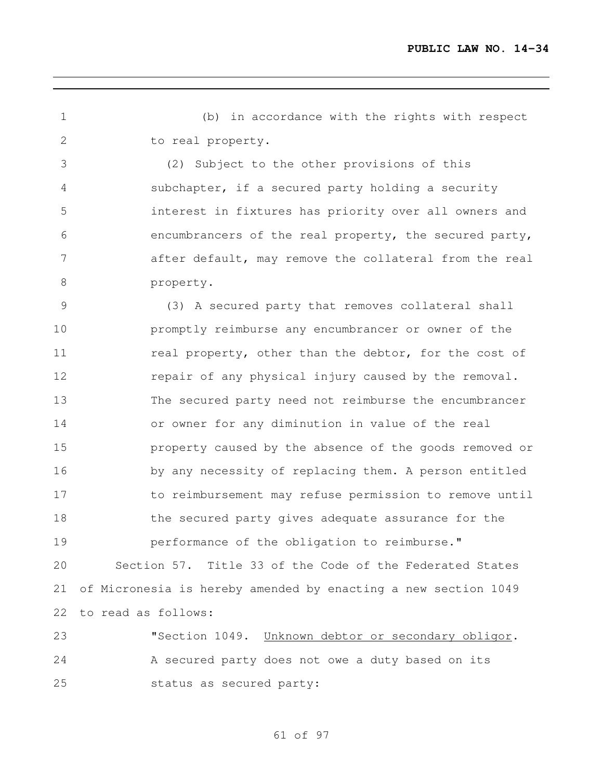(b) in accordance with the rights with respect to real property.

 (2) Subject to the other provisions of this subchapter, if a secured party holding a security interest in fixtures has priority over all owners and encumbrancers of the real property, the secured party, after default, may remove the collateral from the real property.

 (3) A secured party that removes collateral shall promptly reimburse any encumbrancer or owner of the 11 real property, other than the debtor, for the cost of **repair of any physical injury caused by the removal.**  The secured party need not reimburse the encumbrancer or owner for any diminution in value of the real property caused by the absence of the goods removed or by any necessity of replacing them. A person entitled to reimbursement may refuse permission to remove until the secured party gives adequate assurance for the **performance of the obligation to reimburse."** Section 57. Title 33 of the Code of the Federated States

 of Micronesia is hereby amended by enacting a new section 1049 to read as follows:

23 "Section 1049. Unknown debtor or secondary obligor. A secured party does not owe a duty based on its status as secured party: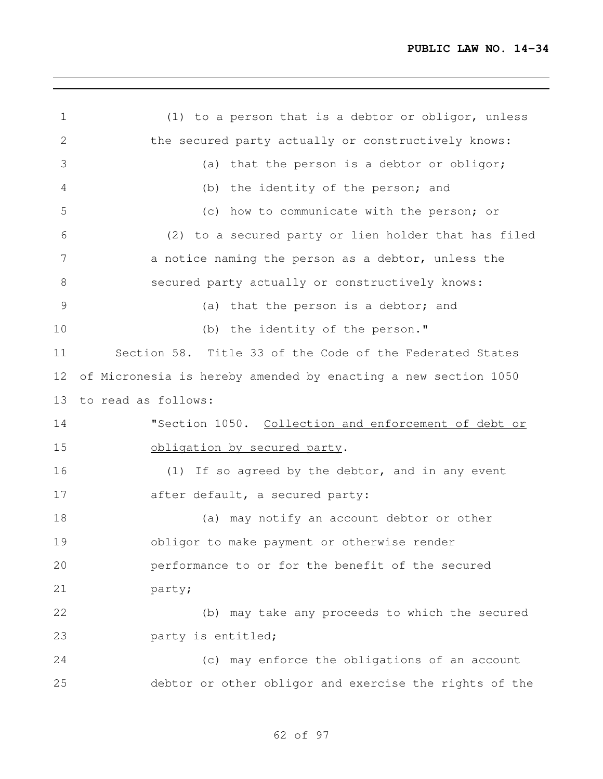| (1) to a person that is a debtor or obligor, unless            |
|----------------------------------------------------------------|
| the secured party actually or constructively knows:            |
| (a) that the person is a debtor or obligor;                    |
| (b) the identity of the person; and                            |
| (c) how to communicate with the person; or                     |
| (2) to a secured party or lien holder that has filed           |
| a notice naming the person as a debtor, unless the             |
| secured party actually or constructively knows:                |
| (a) that the person is a debtor; and                           |
| (b) the identity of the person."                               |
| Section 58. Title 33 of the Code of the Federated States       |
| of Micronesia is hereby amended by enacting a new section 1050 |
| to read as follows:                                            |
| "Section 1050. Collection and enforcement of debt or           |
| obligation by secured party.                                   |
| (1) If so agreed by the debtor, and in any event               |
| after default, a secured party:                                |
| (a) may notify an account debtor or other                      |
| obligor to make payment or otherwise render                    |
| performance to or for the benefit of the secured               |
| party;                                                         |
| (b) may take any proceeds to which the secured                 |
| party is entitled;                                             |
| (c) may enforce the obligations of an account                  |
| debtor or other obligor and exercise the rights of the         |
|                                                                |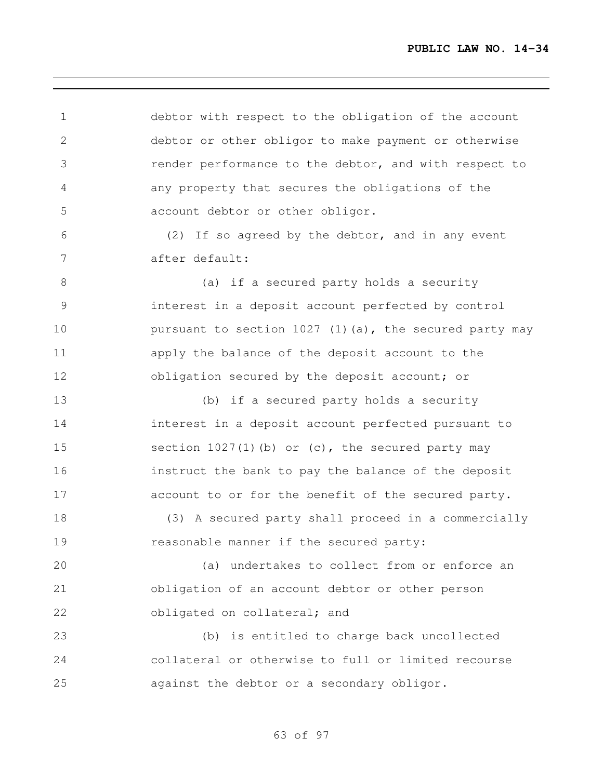| 1            | debtor with respect to the obligation of the account      |
|--------------|-----------------------------------------------------------|
| $\mathbf{2}$ | debtor or other obligor to make payment or otherwise      |
| 3            | render performance to the debtor, and with respect to     |
| 4            | any property that secures the obligations of the          |
| 5            | account debtor or other obligor.                          |
| 6            | (2) If so agreed by the debtor, and in any event          |
| 7            | after default:                                            |
| 8            | (a) if a secured party holds a security                   |
| 9            | interest in a deposit account perfected by control        |
| 10           | pursuant to section $1027$ (1) (a), the secured party may |
| 11           | apply the balance of the deposit account to the           |
| 12           | obligation secured by the deposit account; or             |
| 13           | (b) if a secured party holds a security                   |
| 14           | interest in a deposit account perfected pursuant to       |
| 15           | section $1027(1)$ (b) or (c), the secured party may       |
| 16           | instruct the bank to pay the balance of the deposit       |
| 17           | account to or for the benefit of the secured party.       |
| 18           | (3) A secured party shall proceed in a commercially       |
| 19           | reasonable manner if the secured party:                   |
| 20           | (a) undertakes to collect from or enforce an              |
| 21           | obligation of an account debtor or other person           |
| 22           | obligated on collateral; and                              |
| 23           | (b) is entitled to charge back uncollected                |
| 24           | collateral or otherwise to full or limited recourse       |
| 25           | against the debtor or a secondary obligor.                |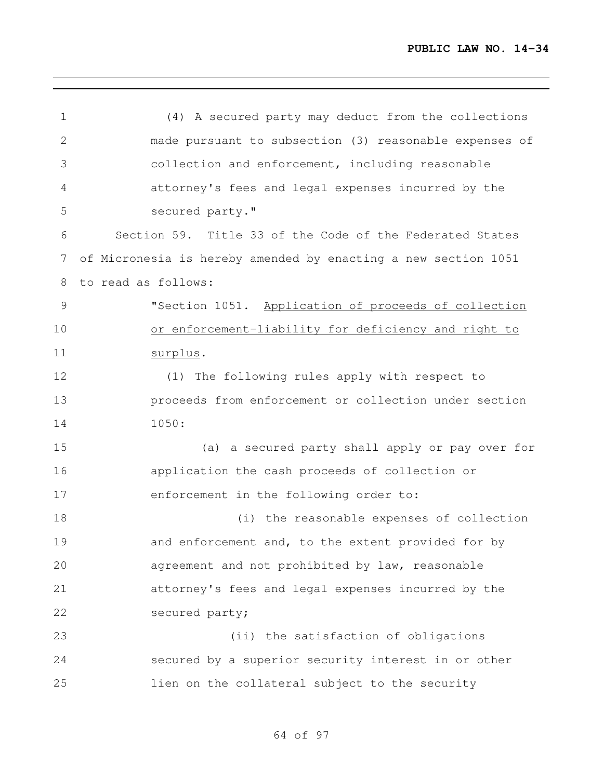| $\mathbf 1$    | (4) A secured party may deduct from the collections            |
|----------------|----------------------------------------------------------------|
| $\mathbf{2}$   | made pursuant to subsection (3) reasonable expenses of         |
| 3              | collection and enforcement, including reasonable               |
| $\overline{4}$ | attorney's fees and legal expenses incurred by the             |
| 5              | secured party."                                                |
| 6              | Section 59. Title 33 of the Code of the Federated States       |
| 7              | of Micronesia is hereby amended by enacting a new section 1051 |
| 8              | to read as follows:                                            |
| $\mathcal{G}$  | "Section 1051. Application of proceeds of collection           |
| 10             | or enforcement-liability for deficiency and right to           |
| 11             | surplus.                                                       |
| 12             | (1) The following rules apply with respect to                  |
| 13             | proceeds from enforcement or collection under section          |
| 14             | 1050:                                                          |
| 15             | (a) a secured party shall apply or pay over for                |
| 16             | application the cash proceeds of collection or                 |
| 17             | enforcement in the following order to:                         |
| 18             | (i) the reasonable expenses of collection                      |
| 19             | and enforcement and, to the extent provided for by             |
| 20             | agreement and not prohibited by law, reasonable                |
| 21             | attorney's fees and legal expenses incurred by the             |
| 22             | secured party;                                                 |
| 23             | (ii) the satisfaction of obligations                           |
| 24             | secured by a superior security interest in or other            |
| 25             | lien on the collateral subject to the security                 |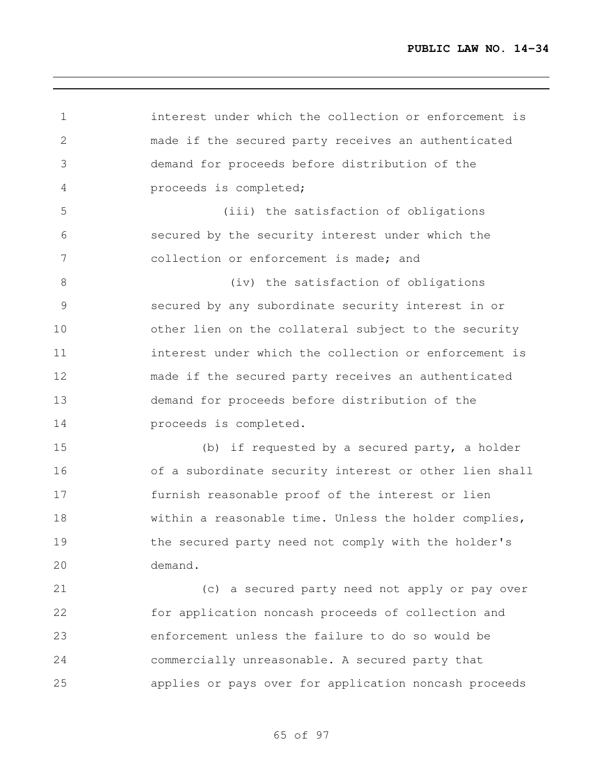interest under which the collection or enforcement is made if the secured party receives an authenticated demand for proceeds before distribution of the proceeds is completed; (iii) the satisfaction of obligations secured by the security interest under which the collection or enforcement is made; and 8 (iv) the satisfaction of obligations secured by any subordinate security interest in or other lien on the collateral subject to the security interest under which the collection or enforcement is made if the secured party receives an authenticated demand for proceeds before distribution of the proceeds is completed. (b) if requested by a secured party, a holder of a subordinate security interest or other lien shall furnish reasonable proof of the interest or lien within a reasonable time. Unless the holder complies, the secured party need not comply with the holder's demand. (c) a secured party need not apply or pay over for application noncash proceeds of collection and enforcement unless the failure to do so would be commercially unreasonable. A secured party that

applies or pays over for application noncash proceeds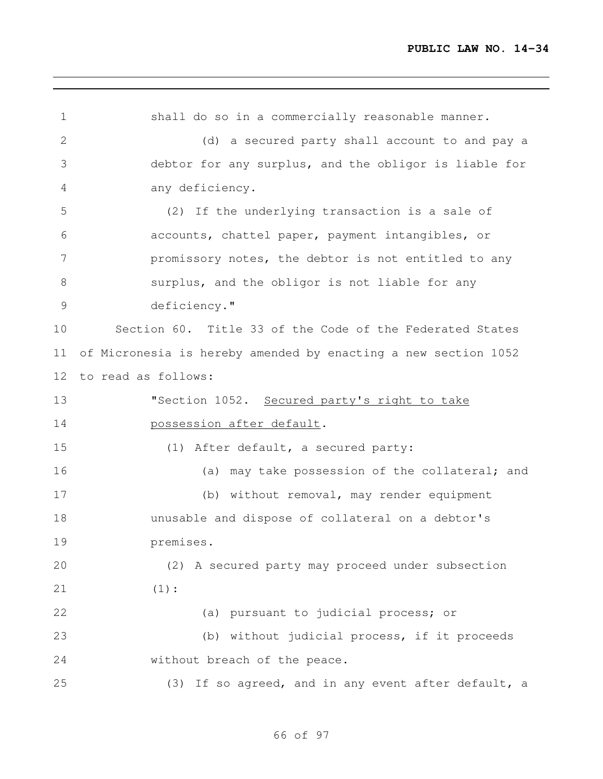shall do so in a commercially reasonable manner. (d) a secured party shall account to and pay a debtor for any surplus, and the obligor is liable for any deficiency. (2) If the underlying transaction is a sale of accounts, chattel paper, payment intangibles, or promissory notes, the debtor is not entitled to any surplus, and the obligor is not liable for any deficiency." Section 60. Title 33 of the Code of the Federated States of Micronesia is hereby amended by enacting a new section 1052 to read as follows: 13 "Section 1052. Secured party's right to take **possession after default.**  (1) After default, a secured party: (a) may take possession of the collateral; and (b) without removal, may render equipment unusable and dispose of collateral on a debtor's premises. (2) A secured party may proceed under subsection (1): (a) pursuant to judicial process; or (b) without judicial process, if it proceeds 24 without breach of the peace. (3) If so agreed, and in any event after default, a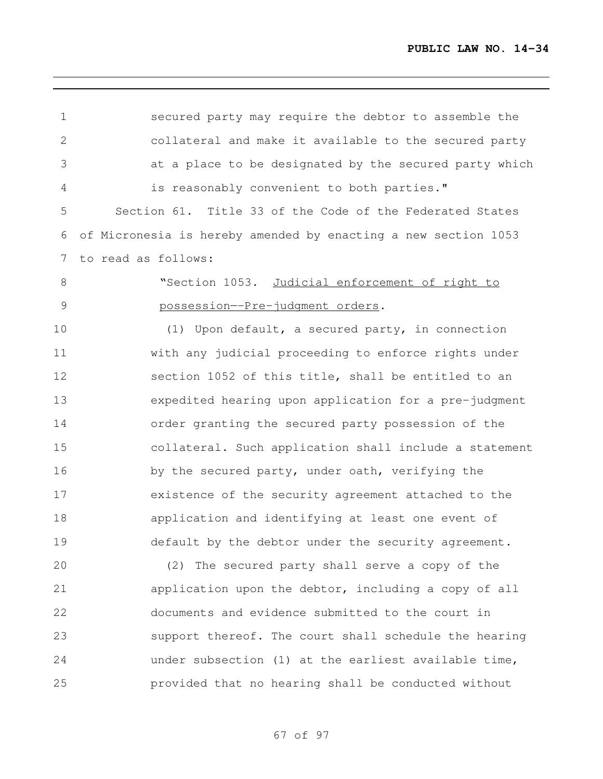| $\mathbf 1$     | secured party may require the debtor to assemble the           |
|-----------------|----------------------------------------------------------------|
| 2               | collateral and make it available to the secured party          |
| 3               | at a place to be designated by the secured party which         |
| 4               | is reasonably convenient to both parties."                     |
| 5               | Section 61. Title 33 of the Code of the Federated States       |
| 6               | of Micronesia is hereby amended by enacting a new section 1053 |
| $7\phantom{.0}$ | to read as follows:                                            |
| $8\,$           | "Section 1053. Judicial enforcement of right to                |
| $\mathcal{G}$   | possession--Pre-judgment orders.                               |
| 10              | (1) Upon default, a secured party, in connection               |
| 11              | with any judicial proceeding to enforce rights under           |
| 12              | section 1052 of this title, shall be entitled to an            |
| 13              | expedited hearing upon application for a pre-judgment          |
| 14              | order granting the secured party possession of the             |
| 15              | collateral. Such application shall include a statement         |
| 16              | by the secured party, under oath, verifying the                |
| 17              | existence of the security agreement attached to the            |
| 18              | application and identifying at least one event of              |
| 19              | default by the debtor under the security agreement.            |
| 20              | (2) The secured party shall serve a copy of the                |
| 21              | application upon the debtor, including a copy of all           |
| 22              | documents and evidence submitted to the court in               |
| 23              | support thereof. The court shall schedule the hearing          |
| 24              | under subsection (1) at the earliest available time,           |
| 25              | provided that no hearing shall be conducted without            |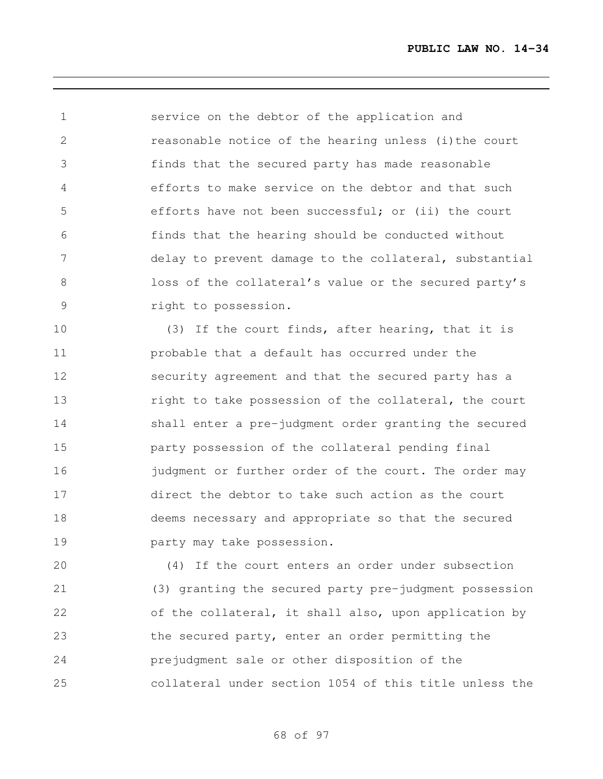service on the debtor of the application and reasonable notice of the hearing unless (i)the court finds that the secured party has made reasonable efforts to make service on the debtor and that such efforts have not been successful; or (ii) the court finds that the hearing should be conducted without delay to prevent damage to the collateral, substantial loss of the collateral's value or the secured party's right to possession.

 (3) If the court finds, after hearing, that it is probable that a default has occurred under the security agreement and that the secured party has a 13 right to take possession of the collateral, the court shall enter a pre-judgment order granting the secured party possession of the collateral pending final 16 judgment or further order of the court. The order may direct the debtor to take such action as the court deems necessary and appropriate so that the secured party may take possession.

 (4) If the court enters an order under subsection (3) granting the secured party pre-judgment possession 22 of the collateral, it shall also, upon application by the secured party, enter an order permitting the prejudgment sale or other disposition of the collateral under section 1054 of this title unless the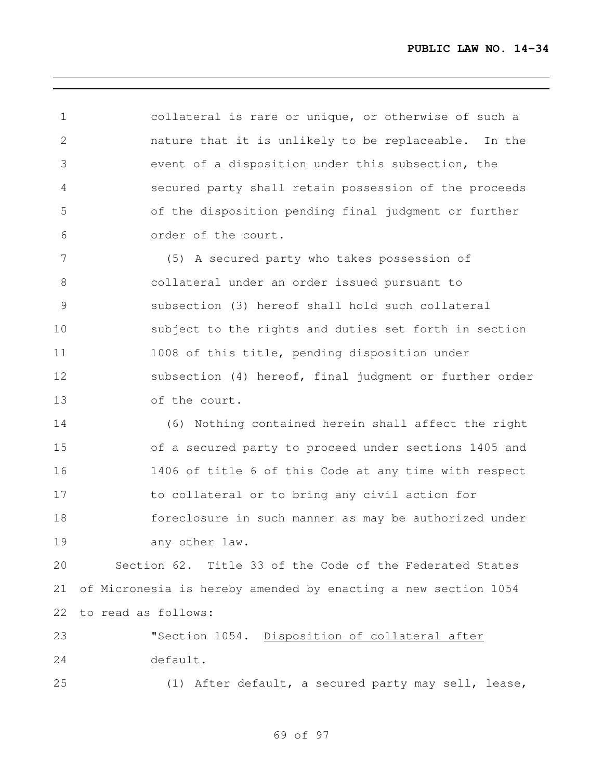collateral is rare or unique, or otherwise of such a nature that it is unlikely to be replaceable. In the event of a disposition under this subsection, the secured party shall retain possession of the proceeds of the disposition pending final judgment or further order of the court.

 (5) A secured party who takes possession of collateral under an order issued pursuant to subsection (3) hereof shall hold such collateral subject to the rights and duties set forth in section 11 1008 of this title, pending disposition under subsection (4) hereof, final judgment or further order of the court.

 (6) Nothing contained herein shall affect the right of a secured party to proceed under sections 1405 and 1406 of title 6 of this Code at any time with respect to collateral or to bring any civil action for foreclosure in such manner as may be authorized under 19 any other law.

 Section 62. Title 33 of the Code of the Federated States of Micronesia is hereby amended by enacting a new section 1054 to read as follows:

 "Section 1054. Disposition of collateral after 24 default. (1) After default, a secured party may sell, lease,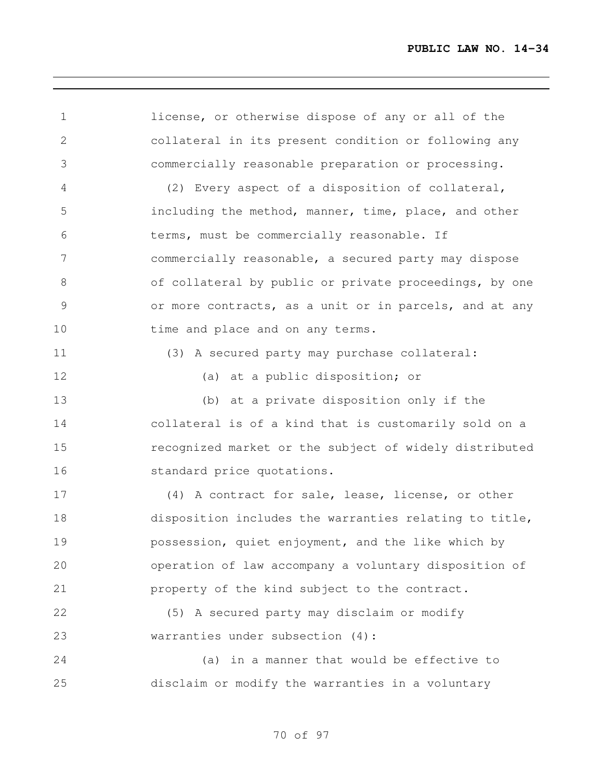license, or otherwise dispose of any or all of the collateral in its present condition or following any commercially reasonable preparation or processing. (2) Every aspect of a disposition of collateral, including the method, manner, time, place, and other terms, must be commercially reasonable. If commercially reasonable, a secured party may dispose of collateral by public or private proceedings, by one or more contracts, as a unit or in parcels, and at any 10 time and place and on any terms. (3) A secured party may purchase collateral: (a) at a public disposition; or (b) at a private disposition only if the collateral is of a kind that is customarily sold on a recognized market or the subject of widely distributed standard price quotations. (4) A contract for sale, lease, license, or other disposition includes the warranties relating to title, possession, quiet enjoyment, and the like which by operation of law accompany a voluntary disposition of property of the kind subject to the contract. (5) A secured party may disclaim or modify warranties under subsection (4): (a) in a manner that would be effective to disclaim or modify the warranties in a voluntary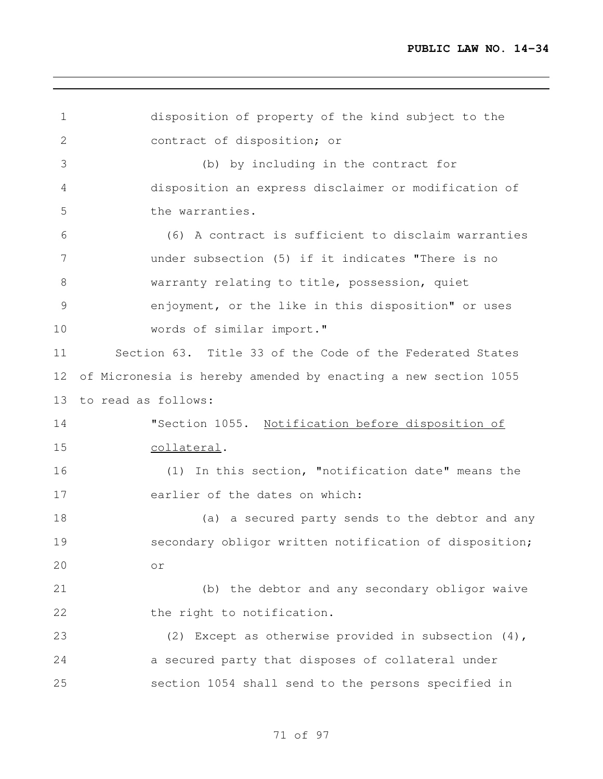| $\mathbf 1$     | disposition of property of the kind subject to the             |
|-----------------|----------------------------------------------------------------|
| $\mathbf{2}$    | contract of disposition; or                                    |
| 3               | (b) by including in the contract for                           |
| $\overline{4}$  | disposition an express disclaimer or modification of           |
| 5               | the warranties.                                                |
| 6               | (6) A contract is sufficient to disclaim warranties            |
| $7\phantom{.0}$ | under subsection (5) if it indicates "There is no              |
| $8\,$           | warranty relating to title, possession, quiet                  |
| 9               | enjoyment, or the like in this disposition" or uses            |
| 10              | words of similar import."                                      |
| 11              | Section 63. Title 33 of the Code of the Federated States       |
| 12              | of Micronesia is hereby amended by enacting a new section 1055 |
| 13              | to read as follows:                                            |
| 14              | "Section 1055. Notification before disposition of              |
| 15              | collateral.                                                    |
| 16              | (1) In this section, "notification date" means the             |
| 17              | earlier of the dates on which:                                 |
| 18              | (a) a secured party sends to the debtor and any                |
| 19              | secondary obligor written notification of disposition;         |
| 20              | or                                                             |
| 21              | (b) the debtor and any secondary obligor waive                 |
| 22              | the right to notification.                                     |
| 23              | (2) Except as otherwise provided in subsection (4),            |
| 24              | a secured party that disposes of collateral under              |
| 25              | section 1054 shall send to the persons specified in            |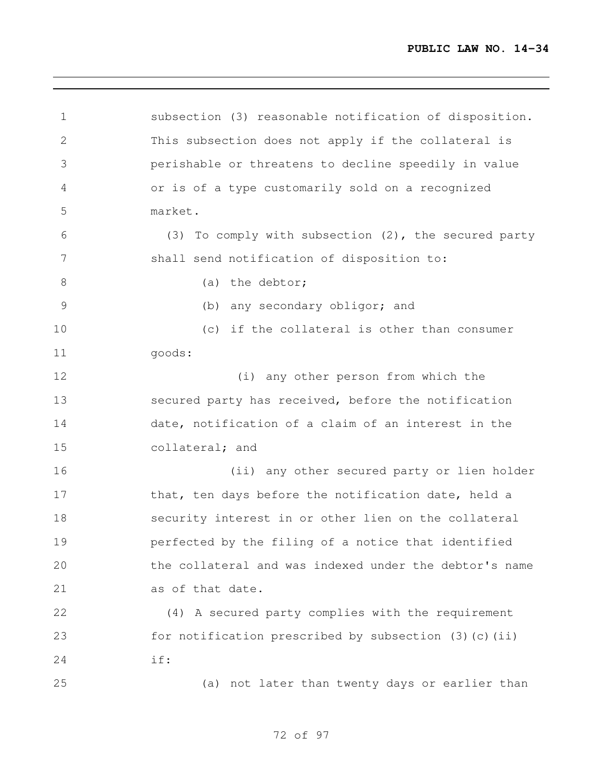subsection (3) reasonable notification of disposition. This subsection does not apply if the collateral is perishable or threatens to decline speedily in value or is of a type customarily sold on a recognized market. (3) To comply with subsection (2), the secured party shall send notification of disposition to: 8 (a) the debtor; (b) any secondary obligor; and (c) if the collateral is other than consumer goods: (i) any other person from which the secured party has received, before the notification date, notification of a claim of an interest in the collateral; and (ii) any other secured party or lien holder 17 that, ten days before the notification date, held a security interest in or other lien on the collateral perfected by the filing of a notice that identified the collateral and was indexed under the debtor's name as of that date. (4) A secured party complies with the requirement for notification prescribed by subsection (3)(c)(ii) if: (a) not later than twenty days or earlier than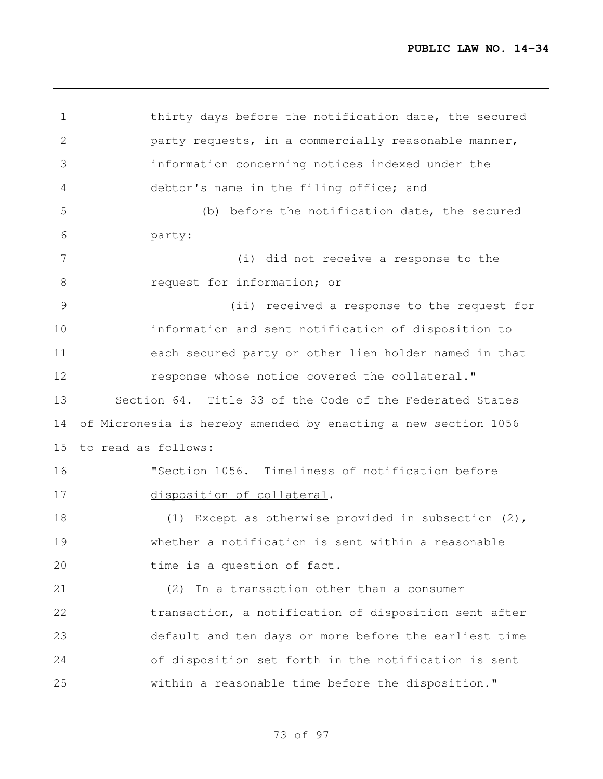thirty days before the notification date, the secured party requests, in a commercially reasonable manner, information concerning notices indexed under the debtor's name in the filing office; and (b) before the notification date, the secured party: (i) did not receive a response to the 8 request for information; or (ii) received a response to the request for information and sent notification of disposition to each secured party or other lien holder named in that response whose notice covered the collateral." Section 64. Title 33 of the Code of the Federated States of Micronesia is hereby amended by enacting a new section 1056 to read as follows: "Section 1056. Timeliness of notification before disposition of collateral. (1) Except as otherwise provided in subsection (2), whether a notification is sent within a reasonable 20 time is a question of fact. (2) In a transaction other than a consumer transaction, a notification of disposition sent after default and ten days or more before the earliest time of disposition set forth in the notification is sent within a reasonable time before the disposition."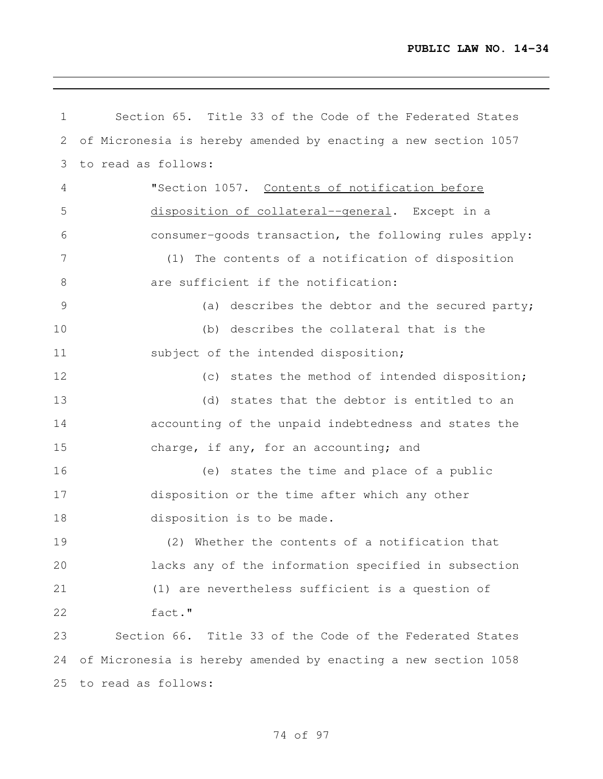| 1              | Section 65. Title 33 of the Code of the Federated States       |
|----------------|----------------------------------------------------------------|
| 2              | of Micronesia is hereby amended by enacting a new section 1057 |
| 3              | to read as follows:                                            |
| $\overline{4}$ | "Section 1057. Contents of notification before                 |
| 5              | disposition of collateral--general. Except in a                |
| 6              | consumer-goods transaction, the following rules apply:         |
| $7\phantom{.}$ | (1) The contents of a notification of disposition              |
| $8\,$          | are sufficient if the notification:                            |
| 9              | (a) describes the debtor and the secured party;                |
| 10             | (b) describes the collateral that is the                       |
| 11             | subject of the intended disposition;                           |
| 12             | (c) states the method of intended disposition;                 |
| 13             | (d) states that the debtor is entitled to an                   |
| 14             | accounting of the unpaid indebtedness and states the           |
| 15             | charge, if any, for an accounting; and                         |
| 16             | (e) states the time and place of a public                      |
| 17             | disposition or the time after which any other                  |
| 18             | disposition is to be made.                                     |
| 19             | (2) Whether the contents of a notification that                |
| 20             | lacks any of the information specified in subsection           |
| 21             | (1) are nevertheless sufficient is a question of               |
| 22             | fact."                                                         |
| 23             | Section 66. Title 33 of the Code of the Federated States       |
| 24             | of Micronesia is hereby amended by enacting a new section 1058 |
| 25             | to read as follows:                                            |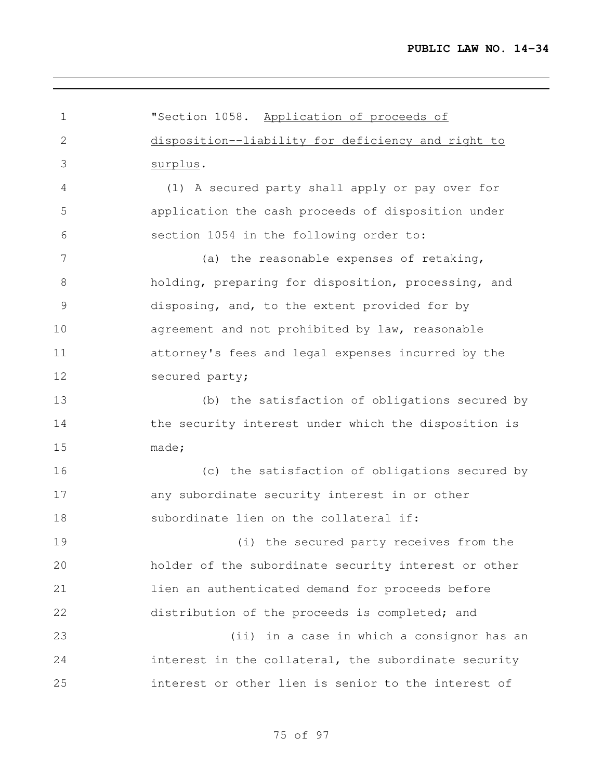| $\mathbf 1$    | "Section 1058. Application of proceeds of            |
|----------------|------------------------------------------------------|
| $\mathbf{2}$   | disposition--liability for deficiency and right to   |
| 3              | surplus.                                             |
| 4              | (1) A secured party shall apply or pay over for      |
| 5              | application the cash proceeds of disposition under   |
| 6              | section 1054 in the following order to:              |
| $7\phantom{.}$ | (a) the reasonable expenses of retaking,             |
| 8              | holding, preparing for disposition, processing, and  |
| 9              | disposing, and, to the extent provided for by        |
| 10             | agreement and not prohibited by law, reasonable      |
| 11             | attorney's fees and legal expenses incurred by the   |
| 12             | secured party;                                       |
| 13             | (b) the satisfaction of obligations secured by       |
| 14             | the security interest under which the disposition is |
| 15             | made;                                                |
| 16             | (c) the satisfaction of obligations secured by       |
| 17             | any subordinate security interest in or other        |
| 18             | subordinate lien on the collateral if:               |
| 19             | (i) the secured party receives from the              |
| 20             | holder of the subordinate security interest or other |
| 21             | lien an authenticated demand for proceeds before     |
| 22             | distribution of the proceeds is completed; and       |
| 23             | (ii) in a case in which a consignor has an           |
| 24             | interest in the collateral, the subordinate security |
| 25             | interest or other lien is senior to the interest of  |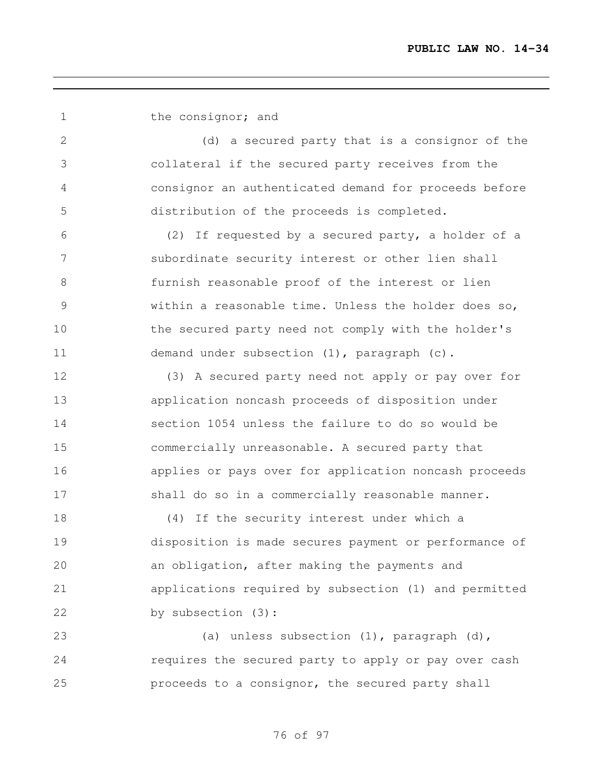| 1               | the consignor; and                                    |
|-----------------|-------------------------------------------------------|
| 2               | (d) a secured party that is a consignor of the        |
| 3               | collateral if the secured party receives from the     |
| 4               | consignor an authenticated demand for proceeds before |
| 5               | distribution of the proceeds is completed.            |
| 6               | (2) If requested by a secured party, a holder of a    |
| $7\phantom{.0}$ | subordinate security interest or other lien shall     |
| $8\,$           | furnish reasonable proof of the interest or lien      |
| $\mathcal{G}$   | within a reasonable time. Unless the holder does so,  |
| 10              | the secured party need not comply with the holder's   |
| 11              | demand under subsection (1), paragraph (c).           |
| 12              | (3) A secured party need not apply or pay over for    |
| 13              | application noncash proceeds of disposition under     |
| 14              | section 1054 unless the failure to do so would be     |
| 15              | commercially unreasonable. A secured party that       |
| 16              | applies or pays over for application noncash proceeds |
| 17              | shall do so in a commercially reasonable manner.      |
| 18              | (4) If the security interest under which a            |
| 19              | disposition is made secures payment or performance of |
| 20              | an obligation, after making the payments and          |
| 21              | applications required by subsection (1) and permitted |
| 22              | by subsection (3):                                    |
| 23              | (a) unless subsection (1), paragraph (d),             |
| 24              | requires the secured party to apply or pay over cash  |
| 25              | proceeds to a consignor, the secured party shall      |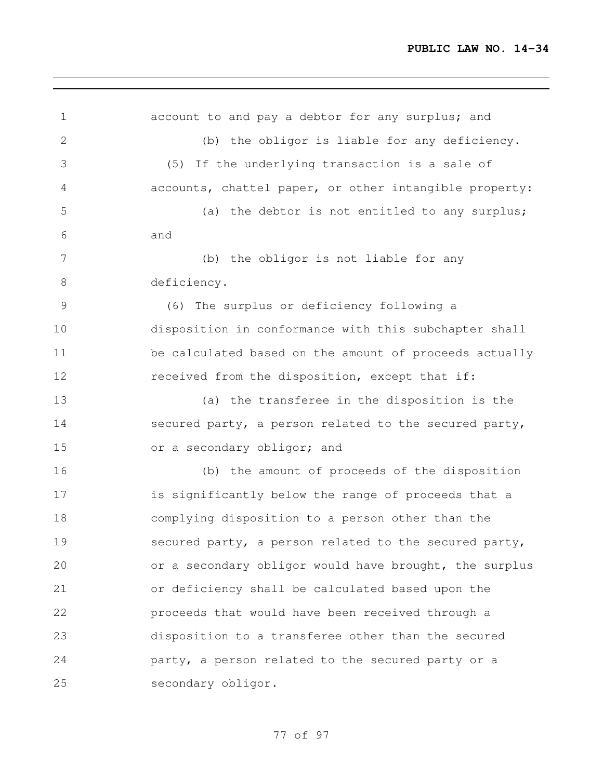| $\mathbf 1$    | account to and pay a debtor for any surplus; and       |
|----------------|--------------------------------------------------------|
| 2              | (b) the obligor is liable for any deficiency.          |
| 3              | (5) If the underlying transaction is a sale of         |
| 4              | accounts, chattel paper, or other intangible property: |
| 5              | (a) the debtor is not entitled to any surplus;         |
| 6              | and                                                    |
| $7\phantom{.}$ | (b) the obligor is not liable for any                  |
| $\,8\,$        | deficiency.                                            |
| $\mathcal{G}$  | (6) The surplus or deficiency following a              |
| 10             | disposition in conformance with this subchapter shall  |
| 11             | be calculated based on the amount of proceeds actually |
| 12             | received from the disposition, except that if:         |
| 13             | (a) the transferee in the disposition is the           |
| 14             | secured party, a person related to the secured party,  |
| 15             | or a secondary obligor; and                            |
| 16             | (b) the amount of proceeds of the disposition          |
| 17             | is significantly below the range of proceeds that a    |
| 18             | complying disposition to a person other than the       |
| 19             | secured party, a person related to the secured party,  |
| 20             | or a secondary obligor would have brought, the surplus |
| 21             | or deficiency shall be calculated based upon the       |
| 22             | proceeds that would have been received through a       |
| 23             | disposition to a transferee other than the secured     |
| 24             | party, a person related to the secured party or a      |
| 25             | secondary obligor.                                     |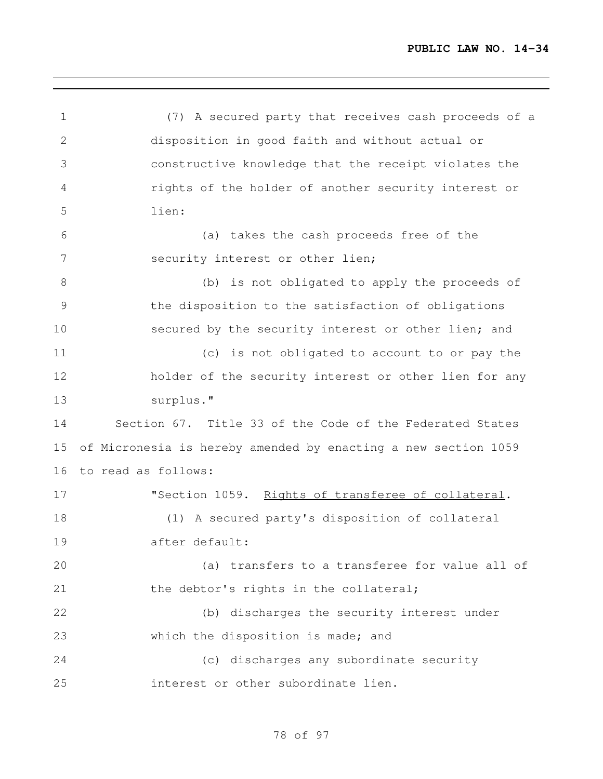(7) A secured party that receives cash proceeds of a disposition in good faith and without actual or constructive knowledge that the receipt violates the rights of the holder of another security interest or lien: (a) takes the cash proceeds free of the 7 security interest or other lien; (b) is not obligated to apply the proceeds of the disposition to the satisfaction of obligations 10 secured by the security interest or other lien; and (c) is not obligated to account to or pay the holder of the security interest or other lien for any surplus." Section 67. Title 33 of the Code of the Federated States of Micronesia is hereby amended by enacting a new section 1059 to read as follows: "Section 1059. Rights of transferee of collateral. (1) A secured party's disposition of collateral after default: (a) transfers to a transferee for value all of 21 the debtor's rights in the collateral; (b) discharges the security interest under which the disposition is made; and (c) discharges any subordinate security interest or other subordinate lien.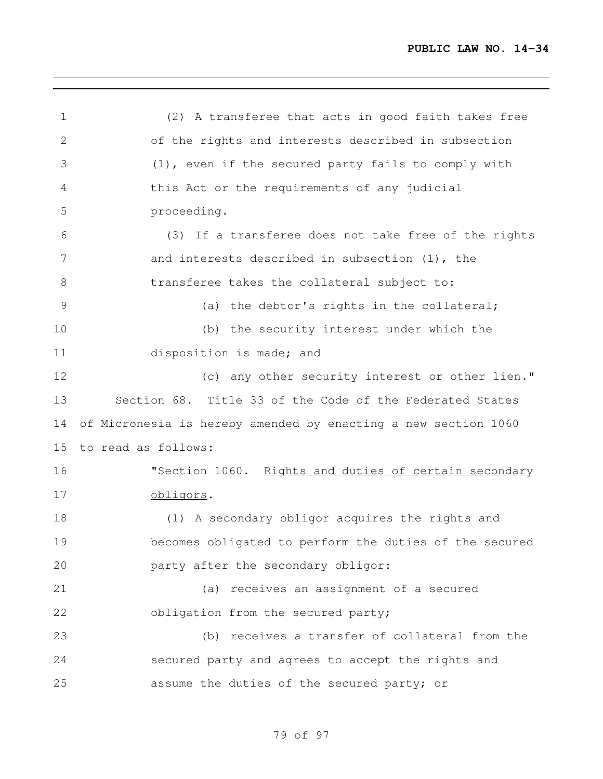(2) A transferee that acts in good faith takes free of the rights and interests described in subsection (1), even if the secured party fails to comply with this Act or the requirements of any judicial proceeding. (3) If a transferee does not take free of the rights 7 and interests described in subsection (1), the 8 transferee takes the collateral subject to: (a) the debtor's rights in the collateral; (b) the security interest under which the disposition is made; and (c) any other security interest or other lien." Section 68. Title 33 of the Code of the Federated States of Micronesia is hereby amended by enacting a new section 1060 to read as follows: 16 "Section 1060. Rights and duties of certain secondary obligors. (1) A secondary obligor acquires the rights and becomes obligated to perform the duties of the secured party after the secondary obligor: (a) receives an assignment of a secured 22 obligation from the secured party; (b) receives a transfer of collateral from the secured party and agrees to accept the rights and assume the duties of the secured party; or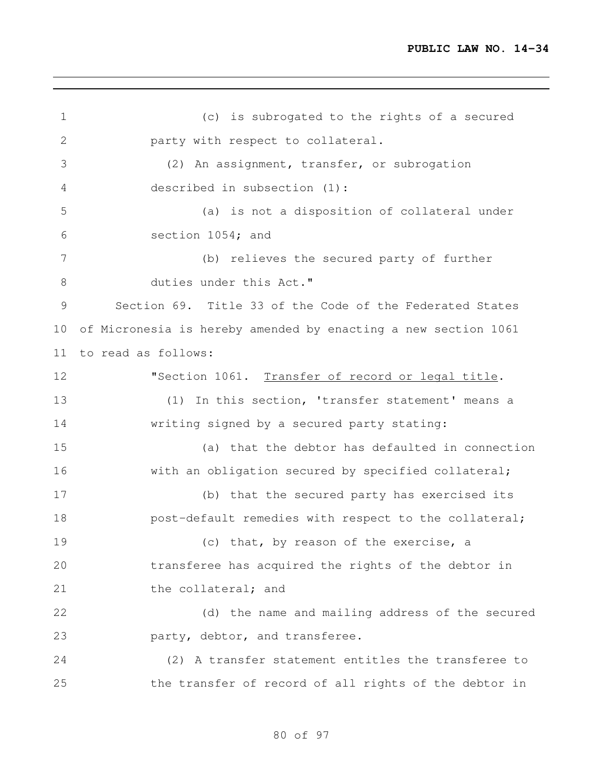(c) is subrogated to the rights of a secured party with respect to collateral. (2) An assignment, transfer, or subrogation described in subsection (1): (a) is not a disposition of collateral under section 1054; and (b) relieves the secured party of further duties under this Act." Section 69. Title 33 of the Code of the Federated States of Micronesia is hereby amended by enacting a new section 1061 to read as follows: 12 "Section 1061. Transfer of record or legal title. (1) In this section, 'transfer statement' means a writing signed by a secured party stating: (a) that the debtor has defaulted in connection 16 with an obligation secured by specified collateral; (b) that the secured party has exercised its **post-default remedies with respect to the collateral;** 19 (c) that, by reason of the exercise, a transferee has acquired the rights of the debtor in 21 the collateral; and (d) the name and mailing address of the secured party, debtor, and transferee. (2) A transfer statement entitles the transferee to the transfer of record of all rights of the debtor in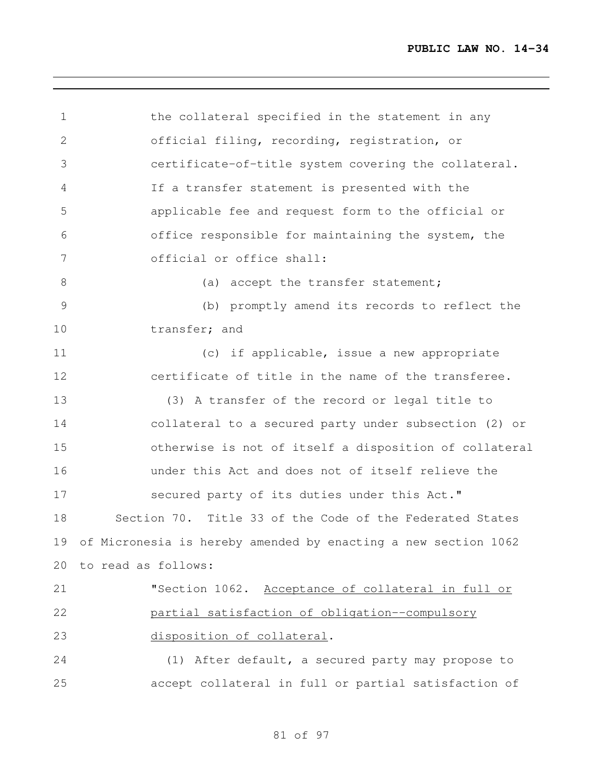| $\mathbf 1$    | the collateral specified in the statement in any               |
|----------------|----------------------------------------------------------------|
| $\mathbf{2}$   | official filing, recording, registration, or                   |
| 3              | certificate-of-title system covering the collateral.           |
| $\overline{4}$ | If a transfer statement is presented with the                  |
| 5              | applicable fee and request form to the official or             |
| 6              | office responsible for maintaining the system, the             |
| 7              | official or office shall:                                      |
| $8\,$          | (a) accept the transfer statement;                             |
| $\mathcal{G}$  | (b) promptly amend its records to reflect the                  |
| 10             | transfer; and                                                  |
| 11             | (c) if applicable, issue a new appropriate                     |
| 12             | certificate of title in the name of the transferee.            |
| 13             | (3) A transfer of the record or legal title to                 |
| 14             | collateral to a secured party under subsection (2) or          |
| 15             | otherwise is not of itself a disposition of collateral         |
| 16             | under this Act and does not of itself relieve the              |
| 17             | secured party of its duties under this Act."                   |
| 18             | Section 70. Title 33 of the Code of the Federated States       |
| 19             | of Micronesia is hereby amended by enacting a new section 1062 |
| 20             | to read as follows:                                            |
| 21             | "Section 1062. Acceptance of collateral in full or             |
| 22             | partial satisfaction of obligation--compulsory                 |
| 23             | disposition of collateral.                                     |
| 24             | (1) After default, a secured party may propose to              |
| 25             | accept collateral in full or partial satisfaction of           |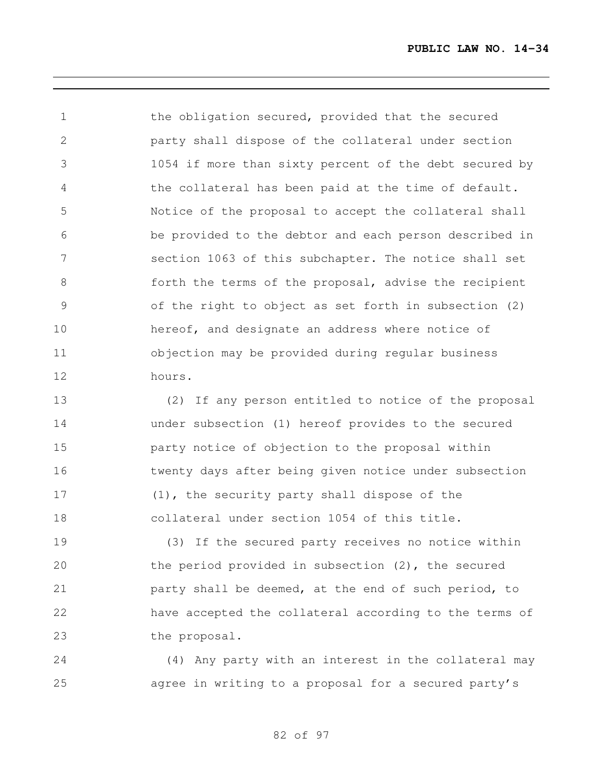the obligation secured, provided that the secured party shall dispose of the collateral under section 1054 if more than sixty percent of the debt secured by the collateral has been paid at the time of default. Notice of the proposal to accept the collateral shall be provided to the debtor and each person described in section 1063 of this subchapter. The notice shall set forth the terms of the proposal, advise the recipient of the right to object as set forth in subsection (2) hereof, and designate an address where notice of objection may be provided during regular business hours.

 (2) If any person entitled to notice of the proposal under subsection (1) hereof provides to the secured party notice of objection to the proposal within twenty days after being given notice under subsection (1), the security party shall dispose of the collateral under section 1054 of this title.

 (3) If the secured party receives no notice within the period provided in subsection (2), the secured **party shall be deemed, at the end of such period, to**  have accepted the collateral according to the terms of the proposal.

 (4) Any party with an interest in the collateral may agree in writing to a proposal for a secured party's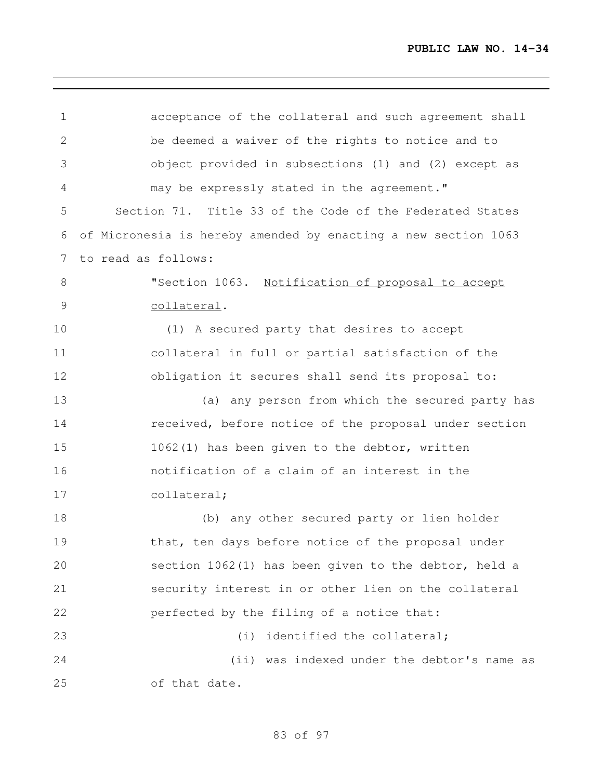acceptance of the collateral and such agreement shall be deemed a waiver of the rights to notice and to object provided in subsections (1) and (2) except as may be expressly stated in the agreement." Section 71. Title 33 of the Code of the Federated States of Micronesia is hereby amended by enacting a new section 1063 to read as follows: "Section 1063. Notification of proposal to accept collateral. (1) A secured party that desires to accept collateral in full or partial satisfaction of the obligation it secures shall send its proposal to: (a) any person from which the secured party has **received, before notice of the proposal under section**  1062(1) has been given to the debtor, written notification of a claim of an interest in the collateral; (b) any other secured party or lien holder that, ten days before notice of the proposal under section 1062(1) has been given to the debtor, held a security interest in or other lien on the collateral perfected by the filing of a notice that: 23 (i) identified the collateral; (ii) was indexed under the debtor's name as of that date.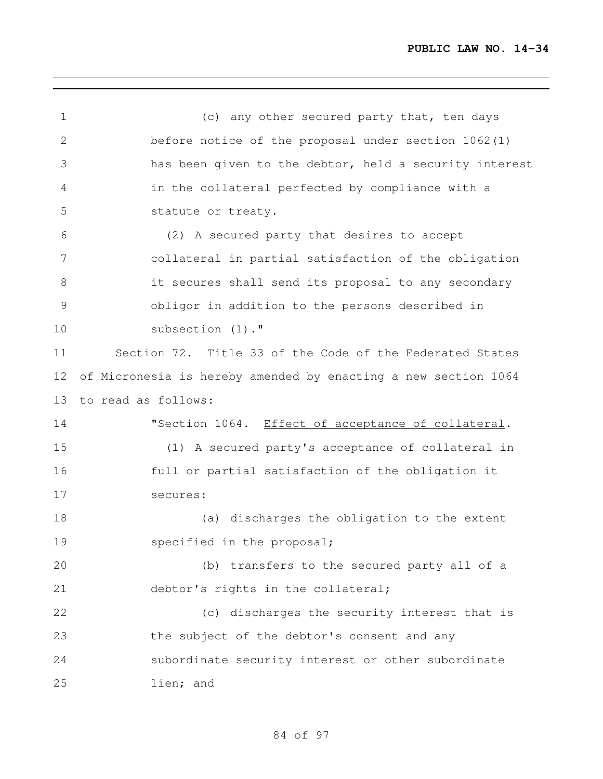1 (c) any other secured party that, ten days before notice of the proposal under section 1062(1) has been given to the debtor, held a security interest in the collateral perfected by compliance with a statute or treaty. (2) A secured party that desires to accept collateral in partial satisfaction of the obligation it secures shall send its proposal to any secondary obligor in addition to the persons described in subsection (1)." Section 72. Title 33 of the Code of the Federated States of Micronesia is hereby amended by enacting a new section 1064 to read as follows: 14 "Section 1064. Effect of acceptance of collateral. (1) A secured party's acceptance of collateral in full or partial satisfaction of the obligation it secures: (a) discharges the obligation to the extent 19 specified in the proposal; (b) transfers to the secured party all of a 21 debtor's rights in the collateral; 22 (c) discharges the security interest that is the subject of the debtor's consent and any subordinate security interest or other subordinate lien; and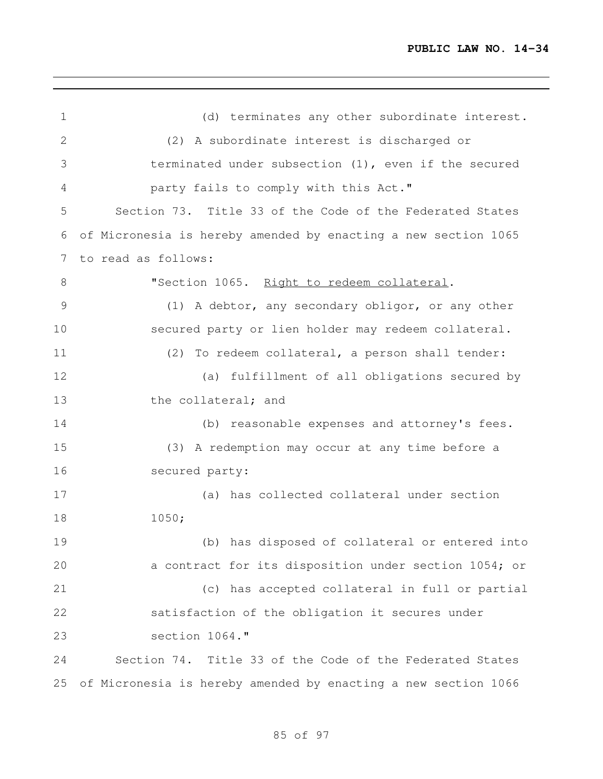| $\mathbf 1$ | (d) terminates any other subordinate interest.                 |
|-------------|----------------------------------------------------------------|
| $\mathbf 2$ | (2) A subordinate interest is discharged or                    |
| 3           | terminated under subsection (1), even if the secured           |
| 4           | party fails to comply with this Act."                          |
| 5           | Section 73. Title 33 of the Code of the Federated States       |
| 6           | of Micronesia is hereby amended by enacting a new section 1065 |
| 7           | to read as follows:                                            |
| $8\,$       | "Section 1065. Right to redeem collateral.                     |
| 9           | (1) A debtor, any secondary obligor, or any other              |
| 10          | secured party or lien holder may redeem collateral.            |
| 11          | (2) To redeem collateral, a person shall tender:               |
| 12          | (a) fulfillment of all obligations secured by                  |
| 13          | the collateral; and                                            |
| 14          | (b) reasonable expenses and attorney's fees.                   |
| 15          | (3) A redemption may occur at any time before a                |
| 16          | secured party:                                                 |
| 17          | (a) has collected collateral under section                     |
| 18          | 1050;                                                          |
| 19          | (b) has disposed of collateral or entered into                 |
| 20          | a contract for its disposition under section 1054; or          |
| 21          | (c) has accepted collateral in full or partial                 |
| 22          | satisfaction of the obligation it secures under                |
| 23          | section 1064."                                                 |
| 24          | Section 74. Title 33 of the Code of the Federated States       |
| 25          | of Micronesia is hereby amended by enacting a new section 1066 |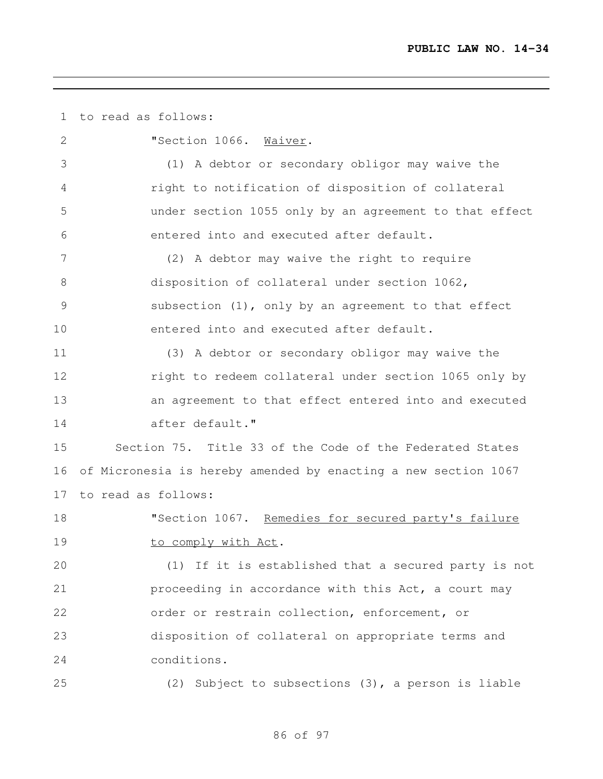to read as follows:

 "Section 1066. Waiver. (1) A debtor or secondary obligor may waive the right to notification of disposition of collateral under section 1055 only by an agreement to that effect entered into and executed after default. (2) A debtor may waive the right to require disposition of collateral under section 1062, subsection (1), only by an agreement to that effect entered into and executed after default. (3) A debtor or secondary obligor may waive the right to redeem collateral under section 1065 only by an agreement to that effect entered into and executed after default." Section 75. Title 33 of the Code of the Federated States of Micronesia is hereby amended by enacting a new section 1067 to read as follows: 18 "Section 1067. Remedies for secured party's failure 19 to comply with Act. (1) If it is established that a secured party is not **proceeding in accordance with this Act, a court may**  order or restrain collection, enforcement, or disposition of collateral on appropriate terms and conditions. (2) Subject to subsections (3), a person is liable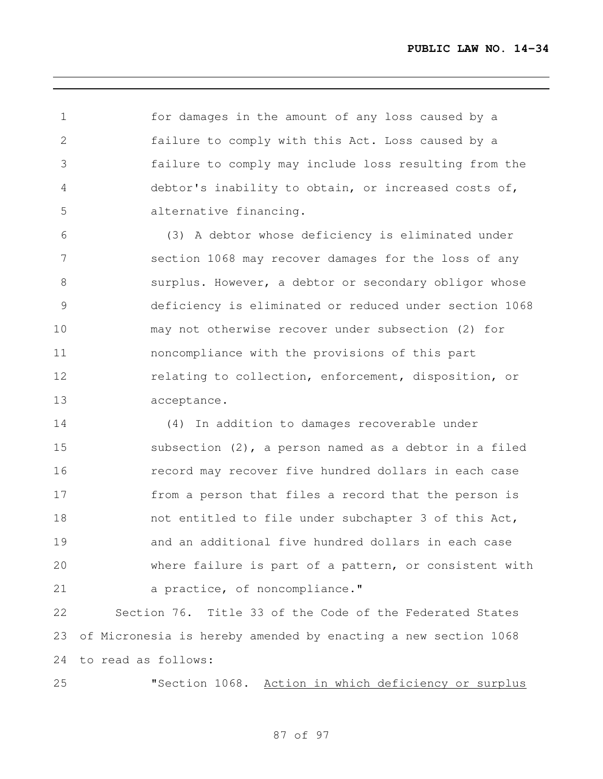for damages in the amount of any loss caused by a failure to comply with this Act. Loss caused by a failure to comply may include loss resulting from the debtor's inability to obtain, or increased costs of, alternative financing.

 (3) A debtor whose deficiency is eliminated under section 1068 may recover damages for the loss of any surplus. However, a debtor or secondary obligor whose deficiency is eliminated or reduced under section 1068 may not otherwise recover under subsection (2) for noncompliance with the provisions of this part relating to collection, enforcement, disposition, or acceptance.

 (4) In addition to damages recoverable under subsection (2), a person named as a debtor in a filed record may recover five hundred dollars in each case from a person that files a record that the person is 18 not entitled to file under subchapter 3 of this Act, and an additional five hundred dollars in each case where failure is part of a pattern, or consistent with 21 a practice, of noncompliance."

 Section 76. Title 33 of the Code of the Federated States of Micronesia is hereby amended by enacting a new section 1068 to read as follows:

"Section 1068. Action in which deficiency or surplus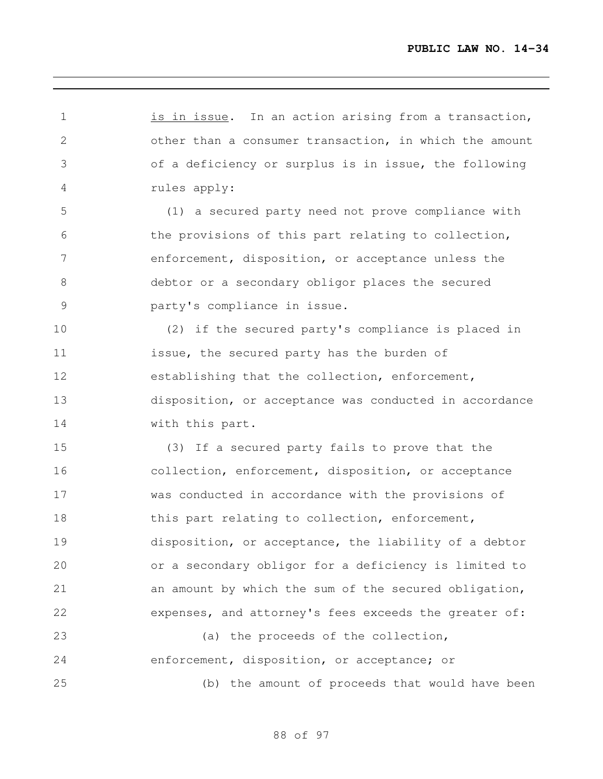1 is in issue. In an action arising from a transaction, other than a consumer transaction, in which the amount of a deficiency or surplus is in issue, the following rules apply: (1) a secured party need not prove compliance with the provisions of this part relating to collection, enforcement, disposition, or acceptance unless the debtor or a secondary obligor places the secured party's compliance in issue. (2) if the secured party's compliance is placed in issue, the secured party has the burden of establishing that the collection, enforcement, disposition, or acceptance was conducted in accordance 14 with this part. (3) If a secured party fails to prove that the collection, enforcement, disposition, or acceptance was conducted in accordance with the provisions of 18 this part relating to collection, enforcement, disposition, or acceptance, the liability of a debtor or a secondary obligor for a deficiency is limited to an amount by which the sum of the secured obligation, expenses, and attorney's fees exceeds the greater of: 23 (a) the proceeds of the collection, enforcement, disposition, or acceptance; or (b) the amount of proceeds that would have been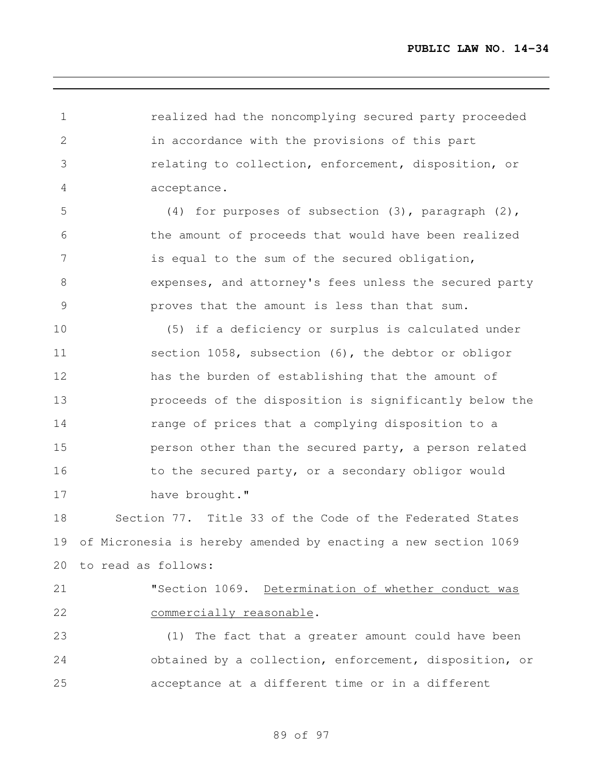realized had the noncomplying secured party proceeded in accordance with the provisions of this part relating to collection, enforcement, disposition, or acceptance.

 (4) for purposes of subsection (3), paragraph (2), the amount of proceeds that would have been realized is equal to the sum of the secured obligation, expenses, and attorney's fees unless the secured party proves that the amount is less than that sum.

 (5) if a deficiency or surplus is calculated under section 1058, subsection (6), the debtor or obligor has the burden of establishing that the amount of proceeds of the disposition is significantly below the range of prices that a complying disposition to a **person other than the secured party, a person related** 16 to the secured party, or a secondary obligor would 17 have brought."

 Section 77. Title 33 of the Code of the Federated States of Micronesia is hereby amended by enacting a new section 1069 to read as follows:

 "Section 1069. Determination of whether conduct was commercially reasonable.

 (1) The fact that a greater amount could have been obtained by a collection, enforcement, disposition, or acceptance at a different time or in a different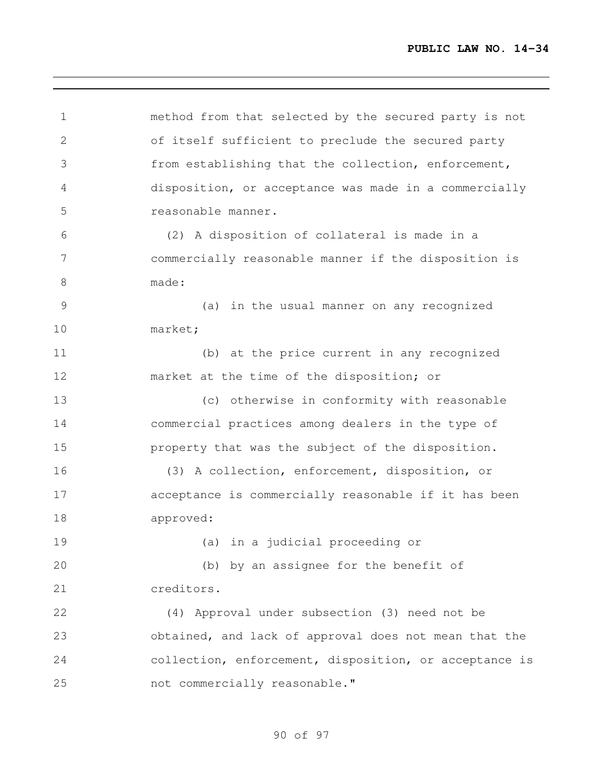method from that selected by the secured party is not of itself sufficient to preclude the secured party from establishing that the collection, enforcement, disposition, or acceptance was made in a commercially reasonable manner. (2) A disposition of collateral is made in a commercially reasonable manner if the disposition is made: (a) in the usual manner on any recognized market; (b) at the price current in any recognized market at the time of the disposition; or (c) otherwise in conformity with reasonable commercial practices among dealers in the type of property that was the subject of the disposition. (3) A collection, enforcement, disposition, or acceptance is commercially reasonable if it has been approved: (a) in a judicial proceeding or (b) by an assignee for the benefit of creditors. (4) Approval under subsection (3) need not be obtained, and lack of approval does not mean that the collection, enforcement, disposition, or acceptance is not commercially reasonable."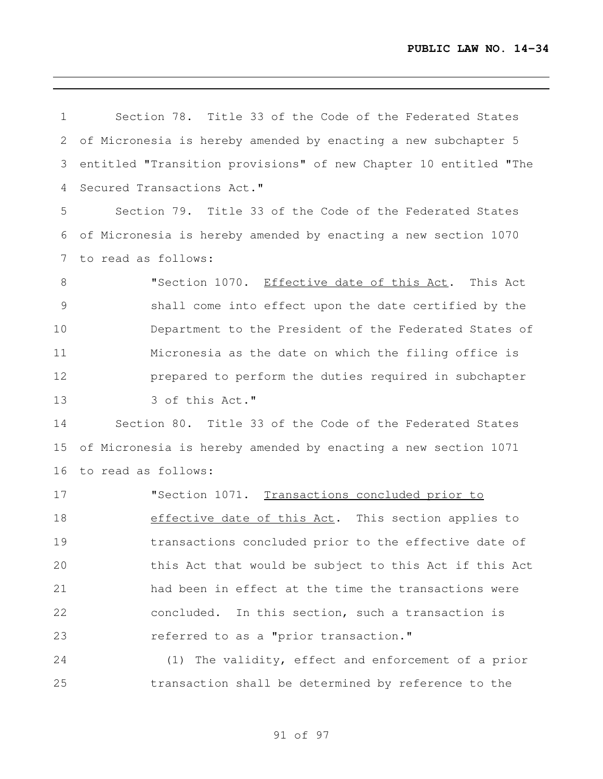Section 78. Title 33 of the Code of the Federated States of Micronesia is hereby amended by enacting a new subchapter 5 entitled "Transition provisions" of new Chapter 10 entitled "The Secured Transactions Act." Section 79. Title 33 of the Code of the Federated States of Micronesia is hereby amended by enacting a new section 1070 to read as follows: "Section 1070. Effective date of this Act. This Act shall come into effect upon the date certified by the Department to the President of the Federated States of Micronesia as the date on which the filing office is prepared to perform the duties required in subchapter 13 3 of this Act." Section 80. Title 33 of the Code of the Federated States of Micronesia is hereby amended by enacting a new section 1071 to read as follows: 17 TSection 1071. Transactions concluded prior to 18 effective date of this Act. This section applies to transactions concluded prior to the effective date of this Act that would be subject to this Act if this Act had been in effect at the time the transactions were concluded. In this section, such a transaction is referred to as a "prior transaction." (1) The validity, effect and enforcement of a prior transaction shall be determined by reference to the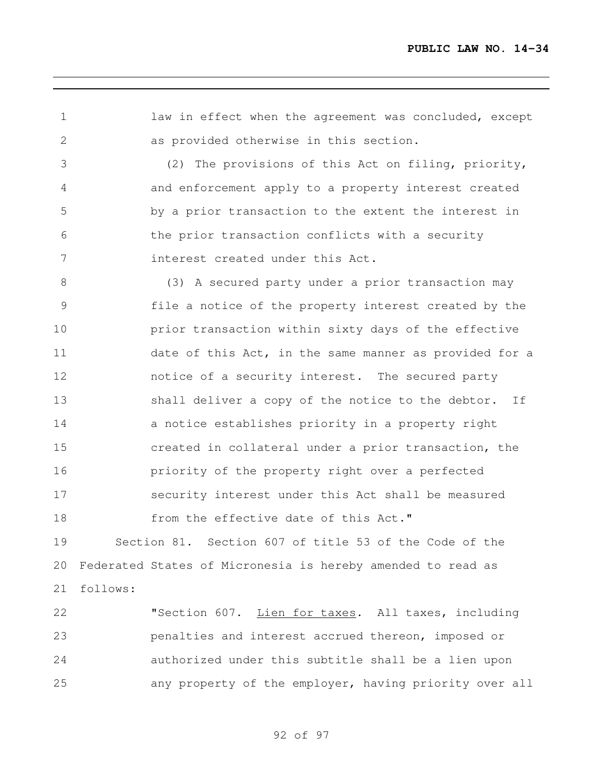1 law in effect when the agreement was concluded, except as provided otherwise in this section. (2) The provisions of this Act on filing, priority, and enforcement apply to a property interest created by a prior transaction to the extent the interest in the prior transaction conflicts with a security interest created under this Act. (3) A secured party under a prior transaction may file a notice of the property interest created by the **prior transaction within sixty days of the effective** 11 date of this Act, in the same manner as provided for a notice of a security interest. The secured party 13 shall deliver a copy of the notice to the debtor. If **a** notice establishes priority in a property right created in collateral under a prior transaction, the priority of the property right over a perfected security interest under this Act shall be measured 18 from the effective date of this Act." Section 81. Section 607 of title 53 of the Code of the Federated States of Micronesia is hereby amended to read as follows: "Section 607. Lien for taxes. All taxes, including

 penalties and interest accrued thereon, imposed or authorized under this subtitle shall be a lien upon any property of the employer, having priority over all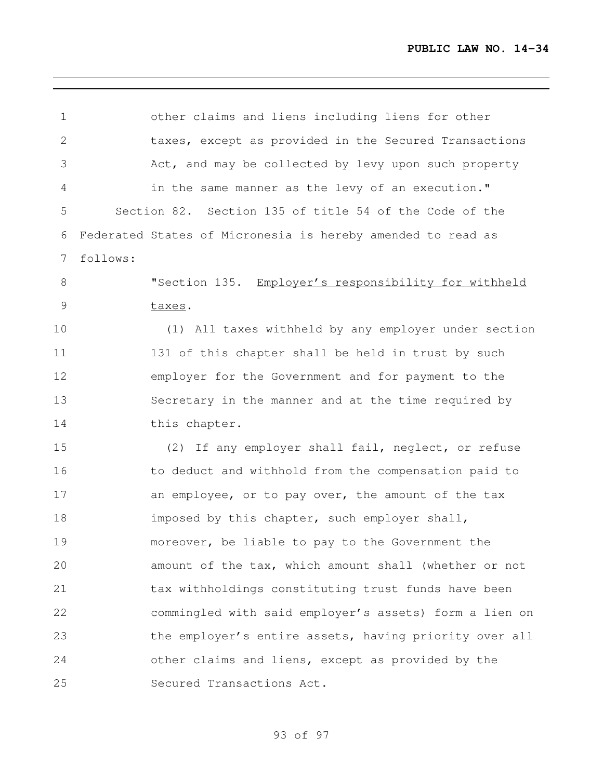| 1             | other claims and liens including liens for other            |
|---------------|-------------------------------------------------------------|
| $\mathbf{2}$  | taxes, except as provided in the Secured Transactions       |
| 3             | Act, and may be collected by levy upon such property        |
| 4             | in the same manner as the levy of an execution."            |
| 5             | Section 82. Section 135 of title 54 of the Code of the      |
| 6             | Federated States of Micronesia is hereby amended to read as |
| 7             | follows:                                                    |
| 8             | "Section 135. Employer's responsibility for withheld        |
| $\mathcal{G}$ | taxes.                                                      |
| 10            | (1) All taxes withheld by any employer under section        |
| 11            | 131 of this chapter shall be held in trust by such          |
| 12            | employer for the Government and for payment to the          |
| 13            | Secretary in the manner and at the time required by         |
| 14            | this chapter.                                               |
| 15            | (2) If any employer shall fail, neglect, or refuse          |
| 16            | to deduct and withhold from the compensation paid to        |
| 17            | an employee, or to pay over, the amount of the tax          |
| 18            | imposed by this chapter, such employer shall,               |
| 19            | moreover, be liable to pay to the Government the            |
| 20            | amount of the tax, which amount shall (whether or not       |
| 21            | tax withholdings constituting trust funds have been         |
| 22            | commingled with said employer's assets) form a lien on      |
| 23            | the employer's entire assets, having priority over all      |
| 24            | other claims and liens, except as provided by the           |
| 25            | Secured Transactions Act.                                   |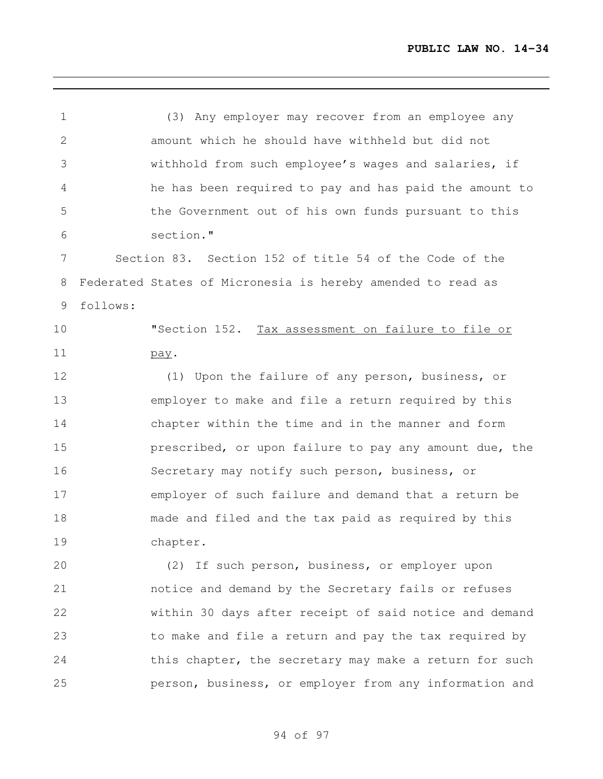(3) Any employer may recover from an employee any amount which he should have withheld but did not withhold from such employee's wages and salaries, if he has been required to pay and has paid the amount to the Government out of his own funds pursuant to this section." Section 83. Section 152 of title 54 of the Code of the Federated States of Micronesia is hereby amended to read as follows: "Section 152. Tax assessment on failure to file or pay. (1) Upon the failure of any person, business, or employer to make and file a return required by this chapter within the time and in the manner and form **prescribed, or upon failure to pay any amount due, the**  Secretary may notify such person, business, or employer of such failure and demand that a return be made and filed and the tax paid as required by this chapter. (2) If such person, business, or employer upon notice and demand by the Secretary fails or refuses within 30 days after receipt of said notice and demand to make and file a return and pay the tax required by 24 this chapter, the secretary may make a return for such

of 97

person, business, or employer from any information and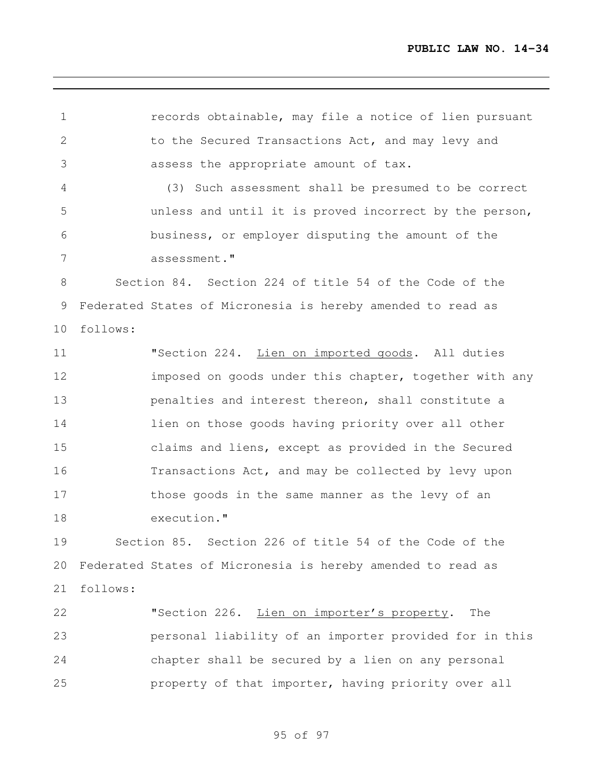records obtainable, may file a notice of lien pursuant 2 to the Secured Transactions Act, and may levy and assess the appropriate amount of tax. (3) Such assessment shall be presumed to be correct unless and until it is proved incorrect by the person, business, or employer disputing the amount of the assessment." Section 84. Section 224 of title 54 of the Code of the Federated States of Micronesia is hereby amended to read as follows: "Section 224. Lien on imported goods. All duties **imposed on goods under this chapter, together with any**  penalties and interest thereon, shall constitute a lien on those goods having priority over all other claims and liens, except as provided in the Secured Transactions Act, and may be collected by levy upon those goods in the same manner as the levy of an execution." Section 85. Section 226 of title 54 of the Code of the Federated States of Micronesia is hereby amended to read as follows: "Section 226. Lien on importer's property. The personal liability of an importer provided for in this chapter shall be secured by a lien on any personal property of that importer, having priority over all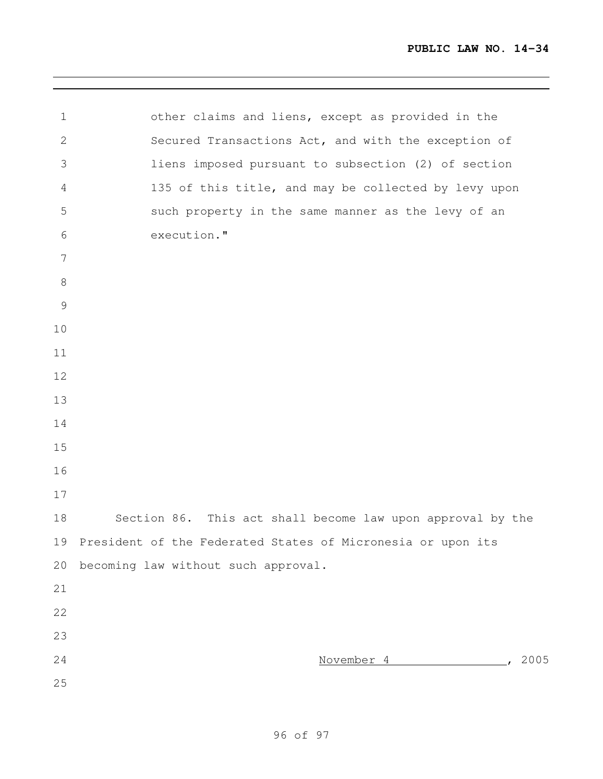| $\mathbf 1$     | other claims and liens, except as provided in the           |
|-----------------|-------------------------------------------------------------|
| $\mathbf{2}$    | Secured Transactions Act, and with the exception of         |
| 3               | liens imposed pursuant to subsection (2) of section         |
| 4               | 135 of this title, and may be collected by levy upon        |
| 5               | such property in the same manner as the levy of an          |
| 6               | execution."                                                 |
| $7\phantom{.0}$ |                                                             |
| $\,8\,$         |                                                             |
| $\mathcal{G}$   |                                                             |
| 10              |                                                             |
| 11              |                                                             |
| 12              |                                                             |
| 13              |                                                             |
| 14              |                                                             |
| 15              |                                                             |
| 16              |                                                             |
| 17              |                                                             |
| 18              | Section 86. This act shall become law upon approval by the  |
| 19              | President of the Federated States of Micronesia or upon its |
| 20              | becoming law without such approval.                         |
| 21              |                                                             |
| 22              |                                                             |
| 23              |                                                             |
| 24              | 2005<br>November 4                                          |
| 25              |                                                             |